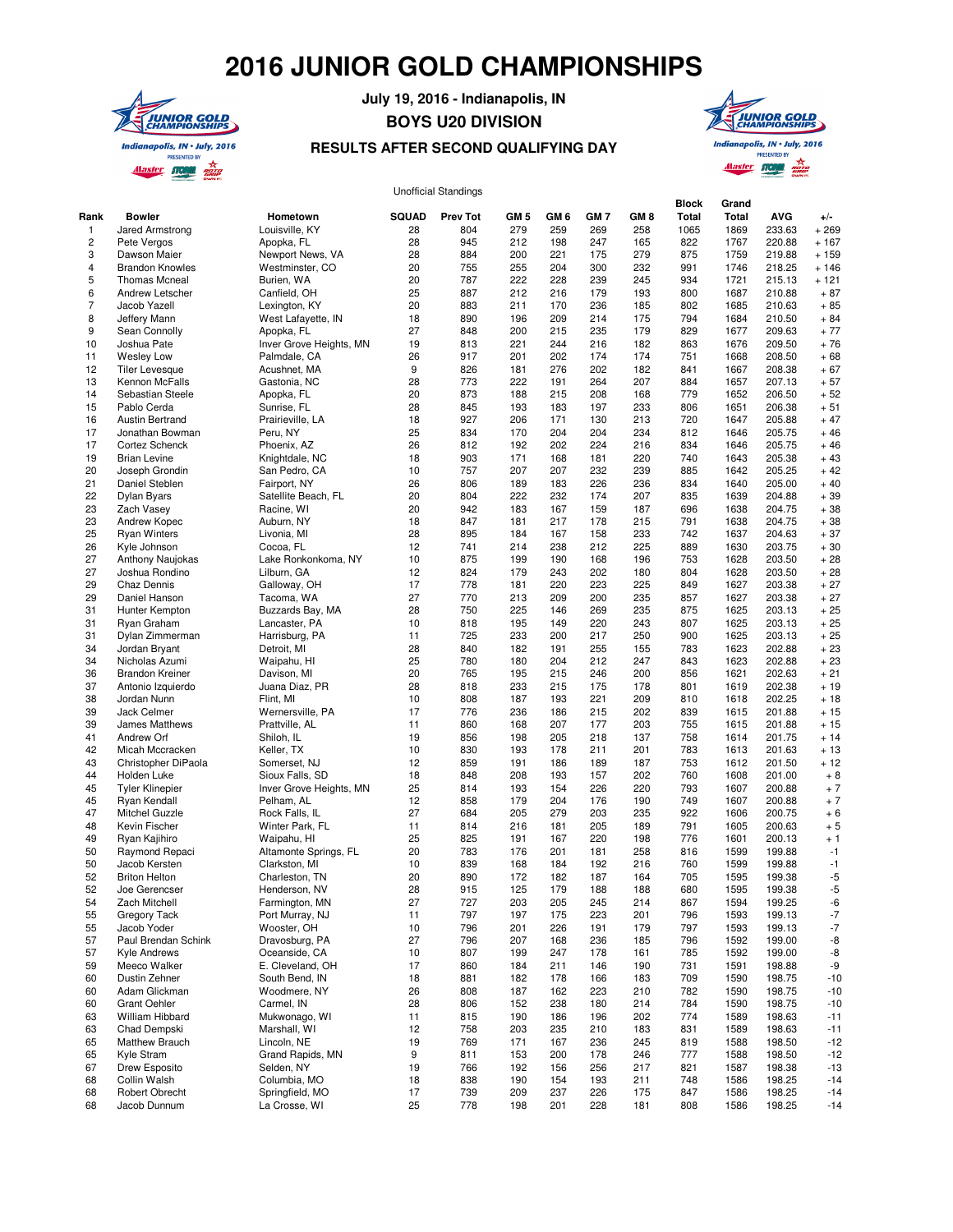## **2016 JUNIOR GOLD CHAMPIONSHIPS**



## **July 19, 2016 - Indianapolis, IN BOYS U20 DIVISION**

## **RESULTS AFTER SECOND QUALIFYING DAY**



## Unofficial Standings

|                 |                                          |                                 |              | onomora oranango |            |            |                 |                 | <b>Block</b> | Grand        |                  |                  |
|-----------------|------------------------------------------|---------------------------------|--------------|------------------|------------|------------|-----------------|-----------------|--------------|--------------|------------------|------------------|
| Rank            | <b>Bowler</b>                            | Hometown                        | <b>SQUAD</b> | <b>Prev Tot</b>  | GM 5       | GM 6       | GM <sub>7</sub> | GM <sub>8</sub> | Total        | Total        | <b>AVG</b>       | $+/-$            |
| $\mathbf{1}$    | Jared Armstrong                          | Louisville, KY                  | 28<br>28     | 804              | 279        | 259        | 269             | 258             | 1065         | 1869         | 233.63           | $+269$           |
| $\sqrt{2}$<br>3 | Pete Vergos<br>Dawson Maier              | Apopka, FL<br>Newport News, VA  | 28           | 945<br>884       | 212<br>200 | 198<br>221 | 247<br>175      | 165<br>279      | 822<br>875   | 1767<br>1759 | 220.88<br>219.88 | $+167$<br>$+159$ |
| $\overline{4}$  | <b>Brandon Knowles</b>                   | Westminster, CO                 | 20           | 755              | 255        | 204        | 300             | 232             | 991          | 1746         | 218.25           | $+146$           |
| 5               | <b>Thomas Mcneal</b>                     | Burien, WA                      | 20           | 787              | 222        | 228        | 239             | 245             | 934          | 1721         | 215.13           | $+121$           |
| 6               | Andrew Letscher                          | Canfield, OH                    | 25           | 887              | 212        | 216        | 179             | 193             | 800          | 1687         | 210.88           | $+87$            |
| $\overline{7}$  | Jacob Yazell                             | Lexington, KY                   | 20           | 883              | 211        | 170        | 236             | 185             | 802          | 1685         | 210.63           | $+85$            |
| 8               | Jeffery Mann                             | West Lafayette, IN              | 18           | 890              | 196        | 209        | 214             | 175             | 794          | 1684         | 210.50           | $+84$            |
| 9               | Sean Connolly                            | Apopka, FL                      | 27           | 848              | 200        | 215        | 235             | 179             | 829          | 1677         | 209.63           | $+77$            |
| 10              | Joshua Pate                              | Inver Grove Heights, MN         | 19           | 813              | 221        | 244        | 216             | 182             | 863          | 1676         | 209.50           | $+76$            |
| 11              | <b>Wesley Low</b>                        | Palmdale, CA                    | 26           | 917              | 201        | 202        | 174             | 174             | 751          | 1668         | 208.50           | $+68$            |
| 12              | <b>Tiler Levesque</b>                    | Acushnet, MA                    | 9            | 826              | 181        | 276        | 202             | 182             | 841          | 1667         | 208.38           | $+67$            |
| 13              | Kennon McFalls                           | Gastonia, NC                    | 28           | 773              | 222        | 191        | 264             | 207             | 884          | 1657         | 207.13           | $+57$            |
| 14              | Sebastian Steele                         | Apopka, FL                      | 20           | 873              | 188        | 215        | 208             | 168             | 779          | 1652         | 206.50           | $+52$            |
| 15              | Pablo Cerda                              | Sunrise, FL                     | 28           | 845              | 193        | 183        | 197             | 233             | 806          | 1651         | 206.38           | $+51$            |
| 16              | <b>Austin Bertrand</b>                   | Prairieville, LA                | 18           | 927              | 206        | 171        | 130             | 213             | 720          | 1647         | 205.88           | $+47$            |
| 17              | Jonathan Bowman                          | Peru, NY                        | 25<br>26     | 834              | 170        | 204        | 204             | 234             | 812          | 1646         | 205.75           | $+46$            |
| 17<br>19        | Cortez Schenck<br><b>Brian Levine</b>    | Phoenix, AZ                     | 18           | 812<br>903       | 192<br>171 | 202<br>168 | 224             | 216<br>220      | 834<br>740   | 1646<br>1643 | 205.75<br>205.38 | $+46$<br>$+43$   |
| 20              | Joseph Grondin                           | Knightdale, NC<br>San Pedro, CA | 10           | 757              | 207        | 207        | 181<br>232      | 239             | 885          | 1642         | 205.25           | $+42$            |
| 21              | Daniel Steblen                           | Fairport, NY                    | 26           | 806              | 189        | 183        | 226             | 236             | 834          | 1640         | 205.00           | $+40$            |
| 22              | Dylan Byars                              | Satellite Beach, FL             | 20           | 804              | 222        | 232        | 174             | 207             | 835          | 1639         | 204.88           | $+39$            |
| 23              | Zach Vasey                               | Racine, WI                      | 20           | 942              | 183        | 167        | 159             | 187             | 696          | 1638         | 204.75           | $+38$            |
| 23              | Andrew Kopec                             | Auburn, NY                      | 18           | 847              | 181        | 217        | 178             | 215             | 791          | 1638         | 204.75           | $+38$            |
| 25              | <b>Ryan Winters</b>                      | Livonia, MI                     | 28           | 895              | 184        | 167        | 158             | 233             | 742          | 1637         | 204.63           | $+37$            |
| 26              | Kyle Johnson                             | Cocoa, FL                       | 12           | 741              | 214        | 238        | 212             | 225             | 889          | 1630         | 203.75           | $+30$            |
| 27              | Anthony Naujokas                         | Lake Ronkonkoma, NY             | 10           | 875              | 199        | 190        | 168             | 196             | 753          | 1628         | 203.50           | $+28$            |
| 27              | Joshua Rondino                           | Lilburn, GA                     | 12           | 824              | 179        | 243        | 202             | 180             | 804          | 1628         | 203.50           | $+28$            |
| 29              | Chaz Dennis                              | Galloway, OH                    | 17           | 778              | 181        | 220        | 223             | 225             | 849          | 1627         | 203.38           | $+27$            |
| 29              | Daniel Hanson                            | Tacoma, WA                      | 27           | 770              | 213        | 209        | 200             | 235             | 857          | 1627         | 203.38           | $+27$            |
| 31              | Hunter Kempton                           | Buzzards Bay, MA                | 28           | 750              | 225        | 146        | 269             | 235             | 875          | 1625         | 203.13           | $+25$            |
| 31              | Ryan Graham                              | Lancaster, PA                   | 10           | 818              | 195        | 149        | 220             | 243             | 807          | 1625         | 203.13           | $+25$            |
| 31              | Dylan Zimmerman                          | Harrisburg, PA                  | 11           | 725              | 233        | 200        | 217             | 250             | 900          | 1625         | 203.13           | $+25$            |
| 34              | Jordan Bryant                            | Detroit, MI                     | 28           | 840              | 182        | 191        | 255             | 155             | 783          | 1623         | 202.88           | $+23$            |
| 34<br>36        | Nicholas Azumi<br><b>Brandon Kreiner</b> | Waipahu, HI                     | 25<br>20     | 780<br>765       | 180<br>195 | 204<br>215 | 212<br>246      | 247<br>200      | 843<br>856   | 1623<br>1621 | 202.88<br>202.63 | $+23$<br>$+21$   |
| 37              | Antonio Izquierdo                        | Davison, MI<br>Juana Diaz, PR   | 28           | 818              | 233        | 215        | 175             | 178             | 801          | 1619         | 202.38           | $+19$            |
| 38              | Jordan Nunn                              | Flint, MI                       | 10           | 808              | 187        | 193        | 221             | 209             | 810          | 1618         | 202.25           | $+18$            |
| 39              | Jack Celmer                              | Wernersville, PA                | 17           | 776              | 236        | 186        | 215             | 202             | 839          | 1615         | 201.88           | $+15$            |
| 39              | James Matthews                           | Prattville, AL                  | 11           | 860              | 168        | 207        | 177             | 203             | 755          | 1615         | 201.88           | $+15$            |
| 41              | Andrew Orf                               | Shiloh, IL                      | 19           | 856              | 198        | 205        | 218             | 137             | 758          | 1614         | 201.75           | $+14$            |
| 42              | Micah Mccracken                          | Keller, TX                      | 10           | 830              | 193        | 178        | 211             | 201             | 783          | 1613         | 201.63           | $+13$            |
| 43              | Christopher DiPaola                      | Somerset, NJ                    | 12           | 859              | 191        | 186        | 189             | 187             | 753          | 1612         | 201.50           | $+12$            |
| 44              | Holden Luke                              | Sioux Falls, SD                 | 18           | 848              | 208        | 193        | 157             | 202             | 760          | 1608         | 201.00           | $+8$             |
| 45              | <b>Tyler Klinepier</b>                   | Inver Grove Heights, MN         | 25           | 814              | 193        | 154        | 226             | 220             | 793          | 1607         | 200.88           | $+7$             |
| 45              | Ryan Kendall                             | Pelham, AL                      | 12           | 858              | 179        | 204        | 176             | 190             | 749          | 1607         | 200.88           | $+7$             |
| 47              | Mitchel Guzzle                           | Rock Falls, IL                  | 27           | 684              | 205        | 279        | 203             | 235             | 922          | 1606         | 200.75           | $+6$             |
| 48              | Kevin Fischer                            | Winter Park, FL                 | 11           | 814              | 216        | 181        | 205             | 189             | 791          | 1605         | 200.63           | $+5$             |
| 49              | Ryan Kajihiro                            | Waipahu, HI                     | 25           | 825              | 191        | 167        | 220             | 198             | 776          | 1601         | 200.13           | $+1$             |
| 50              | Raymond Repaci                           | Altamonte Springs, FL           | 20           | 783              | 176        | 201        | 181             | 258             | 816          | 1599         | 199.88           | $-1$             |
| 50<br>52        | Jacob Kersten                            | Clarkston, MI                   | 10<br>20     | 839<br>890       | 168<br>172 | 184<br>182 | 192<br>187      | 216             | 760<br>705   | 1599<br>1595 | 199.88<br>199.38 | $-1$<br>$-5$     |
| 52              | <b>Briton Helton</b><br>Joe Gerencser    | Charleston, TN<br>Henderson, NV | 28           | 915              | 125        | 179        | 188             | 164<br>188      | 680          | 1595         | 199.38           | $-5$             |
| 54              | Zach Mitchell                            | Farmington, MN                  | 27           | 727              | 203        | 205        | 245             | 214             | 867          | 1594         | 199.25           | -6               |
| 55              | Gregory Tack                             | Port Murray, NJ                 | 11           | 797              | 197        | 175        | 223             | 201             | 796          | 1593         | 199.13           | -7               |
| 55              | Jacob Yoder                              | Wooster, OH                     | 10           | 796              | 201        | 226        | 191             | 179             | 797          | 1593         | 199.13           | -7               |
| 57              | Paul Brendan Schink                      | Dravosburg, PA                  | 27           | 796              | 207        | 168        | 236             | 185             | 796          | 1592         | 199.00           | -8               |
| 57              | Kyle Andrews                             | Oceanside, CA                   | 10           | 807              | 199        | 247        | 178             | 161             | 785          | 1592         | 199.00           | -8               |
| 59              | Meeco Walker                             | E. Cleveland, OH                | 17           | 860              | 184        | 211        | 146             | 190             | 731          | 1591         | 198.88           | -9               |
| 60              | Dustin Zehner                            | South Bend, IN                  | 18           | 881              | 182        | 178        | 166             | 183             | 709          | 1590         | 198.75           | $-10$            |
| 60              | Adam Glickman                            | Woodmere, NY                    | 26           | 808              | 187        | 162        | 223             | 210             | 782          | 1590         | 198.75           | $-10$            |
| 60              | <b>Grant Oehler</b>                      | Carmel, IN                      | 28           | 806              | 152        | 238        | 180             | 214             | 784          | 1590         | 198.75           | $-10$            |
| 63              | William Hibbard                          | Mukwonago, WI                   | 11           | 815              | 190        | 186        | 196             | 202             | 774          | 1589         | 198.63           | $-11$            |
| 63              | Chad Dempski                             | Marshall, WI                    | 12           | 758              | 203        | 235        | 210             | 183             | 831          | 1589         | 198.63           | $-11$            |
| 65              | Matthew Brauch                           | Lincoln, NE                     | 19           | 769              | 171        | 167        | 236             | 245             | 819          | 1588         | 198.50           | $-12$            |
| 65              | Kyle Stram                               | Grand Rapids, MN                | 9            | 811              | 153        | 200        | 178             | 246             | 777          | 1588         | 198.50           | $-12$            |
| 67              | Drew Esposito                            | Selden, NY                      | 19           | 766              | 192        | 156        | 256             | 217             | 821          | 1587         | 198.38           | $-13$            |
| 68              | Collin Walsh                             | Columbia, MO                    | 18           | 838              | 190        | 154        | 193             | 211             | 748          | 1586         | 198.25           | $-14$            |
| 68              | Robert Obrecht                           | Springfield, MO                 | 17           | 739              | 209        | 237        | 226             | 175             | 847          | 1586         | 198.25           | $-14$            |
| 68              | Jacob Dunnum                             | La Crosse, WI                   | 25           | 778              | 198        | 201        | 228             | 181             | 808          | 1586         | 198.25           | $-14$            |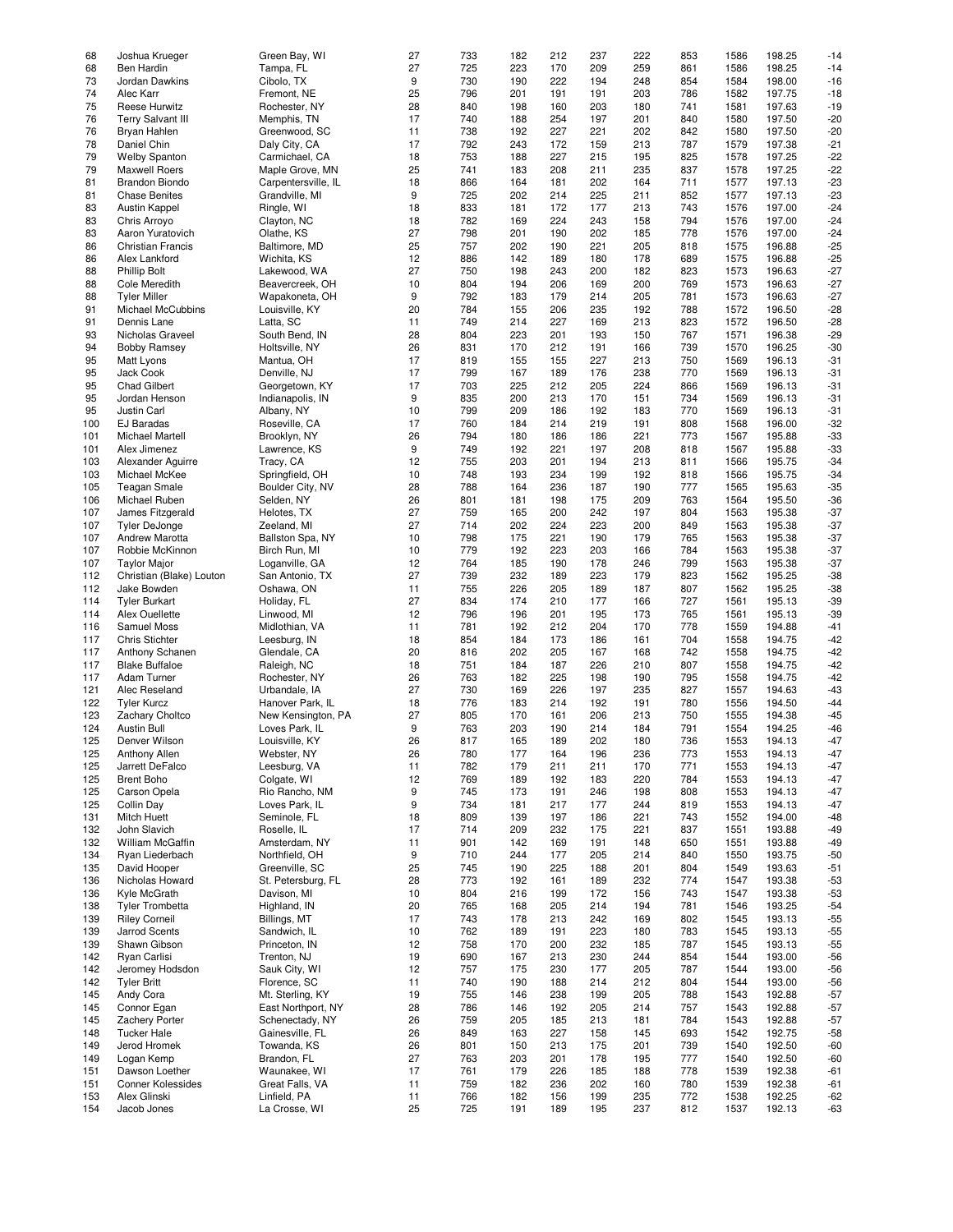| 68         | Joshua Krueger              | Green Bay, WI                 | 27       | 733        | 182        | 212        | 237        | 222        | 853        | 1586         | 198.25           | $-14$          |
|------------|-----------------------------|-------------------------------|----------|------------|------------|------------|------------|------------|------------|--------------|------------------|----------------|
|            |                             |                               |          |            |            |            |            |            |            |              |                  |                |
| 68         | Ben Hardin                  | Tampa, FL                     | 27       | 725        | 223        | 170        | 209        | 259        | 861        | 1586         | 198.25           | $-14$          |
| 73         | Jordan Dawkins              | Cibolo, TX                    | 9        | 730        | 190        | 222        | 194        | 248        | 854        | 1584         | 198.00           | $-16$          |
| 74         | Alec Karr                   | Fremont, NE                   | 25       | 796        | 201        | 191        | 191        | 203        | 786        | 1582         | 197.75           | $-18$          |
|            |                             |                               |          |            |            |            |            |            |            |              |                  |                |
| 75         | <b>Reese Hurwitz</b>        | Rochester, NY                 | 28       | 840        | 198        | 160        | 203        | 180        | 741        | 1581         | 197.63           | $-19$          |
| 76         | <b>Terry Salvant III</b>    | Memphis, TN                   | 17       | 740        | 188        | 254        | 197        | 201        | 840        | 1580         | 197.50           | $-20$          |
| 76         | Bryan Hahlen                | Greenwood, SC                 | 11       | 738        | 192        | 227        | 221        | 202        | 842        | 1580         | 197.50           | $-20$          |
| 78         | Daniel Chin                 | Daly City, CA                 | 17       | 792        | 243        | 172        | 159        | 213        | 787        | 1579         | 197.38           | $-21$          |
|            |                             |                               |          |            |            |            |            |            |            |              |                  |                |
| 79         | <b>Welby Spanton</b>        | Carmichael, CA                | 18       | 753        | 188        | 227        | 215        | 195        | 825        | 1578         | 197.25           | $-22$          |
| 79         | <b>Maxwell Roers</b>        | Maple Grove, MN               | 25       | 741        | 183        | 208        | 211        | 235        | 837        | 1578         | 197.25           | $-22$          |
| 81         | <b>Brandon Biondo</b>       | Carpentersville, IL           | 18       | 866        | 164        | 181        | 202        | 164        | 711        | 1577         | 197.13           | $-23$          |
|            |                             |                               |          |            |            |            |            |            |            |              |                  |                |
| 81         | <b>Chase Benites</b>        | Grandville, MI                | 9        | 725        | 202        | 214        | 225        | 211        | 852        | 1577         | 197.13           | $-23$          |
| 83         | Austin Kappel               | Ringle, WI                    | 18       | 833        | 181        | 172        | 177        | 213        | 743        | 1576         | 197.00           | $-24$          |
| 83         | Chris Arroyo                | Clayton, NC                   | 18       | 782        | 169        | 224        | 243        | 158        | 794        | 1576         | 197.00           | $-24$          |
|            |                             |                               |          |            |            |            |            |            |            |              |                  |                |
| 83         | Aaron Yuratovich            | Olathe, KS                    | 27       | 798        | 201        | 190        | 202        | 185        | 778        | 1576         | 197.00           | $-24$          |
| 86         | <b>Christian Francis</b>    | Baltimore, MD                 | 25       | 757        | 202        | 190        | 221        | 205        | 818        | 1575         | 196.88           | $-25$          |
| 86         | Alex Lankford               | Wichita, KS                   | 12       | 886        | 142        | 189        | 180        | 178        | 689        | 1575         | 196.88           | $-25$          |
|            |                             |                               |          |            |            |            |            |            |            |              |                  |                |
| 88         | <b>Phillip Bolt</b>         | Lakewood, WA                  | 27       | 750        | 198        | 243        | 200        | 182        | 823        | 1573         | 196.63           | $-27$          |
| 88         | Cole Meredith               | Beavercreek, OH               | 10       | 804        | 194        | 206        | 169        | 200        | 769        | 1573         | 196.63           | $-27$          |
| 88         | <b>Tyler Miller</b>         | Wapakoneta, OH                | 9        | 792        | 183        | 179        | 214        | 205        | 781        | 1573         | 196.63           | $-27$          |
|            |                             |                               |          |            |            |            |            |            |            |              |                  |                |
| 91         | Michael McCubbins           | Louisville, KY                | 20       | 784        | 155        | 206        | 235        | 192        | 788        | 1572         | 196.50           | $-28$          |
| 91         | Dennis Lane                 | Latta, SC                     | 11       | 749        | 214        | 227        | 169        | 213        | 823        | 1572         | 196.50           | $-28$          |
| 93         | Nicholas Graveel            | South Bend, IN                | 28       | 804        | 223        | 201        | 193        | 150        | 767        | 1571         | 196.38           | $-29$          |
|            |                             |                               |          |            |            |            |            |            |            |              |                  |                |
| 94         | <b>Bobby Ramsey</b>         | Holtsville, NY                | 26       | 831        | 170        | 212        | 191        | 166        | 739        | 1570         | 196.25           | $-30$          |
| 95         | Matt Lyons                  | Mantua, OH                    | 17       | 819        | 155        | 155        | 227        | 213        | 750        | 1569         | 196.13           | $-31$          |
| 95         | Jack Cook                   | Denville, NJ                  | 17       | 799        | 167        | 189        | 176        | 238        | 770        | 1569         | 196.13           | $-31$          |
|            |                             |                               |          |            |            |            |            |            |            |              |                  |                |
| 95         | <b>Chad Gilbert</b>         | Georgetown, KY                | 17       | 703        | 225        | 212        | 205        | 224        | 866        | 1569         | 196.13           | $-31$          |
| 95         | Jordan Henson               | Indianapolis, IN              | 9        | 835        | 200        | 213        | 170        | 151        | 734        | 1569         | 196.13           | $-31$          |
| 95         |                             | Albany, NY                    | 10       | 799        |            |            |            |            |            |              |                  |                |
|            | Justin Carl                 |                               |          |            | 209        | 186        | 192        | 183        | 770        | 1569         | 196.13           | $-31$          |
| 100        | EJ Baradas                  | Roseville, CA                 | 17       | 760        | 184        | 214        | 219        | 191        | 808        | 1568         | 196.00           | $-32$          |
| 101        | Michael Martell             | Brooklyn, NY                  | 26       | 794        | 180        | 186        | 186        | 221        | 773        | 1567         | 195.88           | $-33$          |
|            |                             |                               | 9        | 749        |            |            |            |            |            |              |                  |                |
| 101        | Alex Jimenez                | Lawrence, KS                  |          |            | 192        | 221        | 197        | 208        | 818        | 1567         | 195.88           | $-33$          |
| 103        | Alexander Aguirre           | Tracy, CA                     | 12       | 755        | 203        | 201        | 194        | 213        | 811        | 1566         | 195.75           | $-34$          |
| 103        | Michael McKee               | Springfield, OH               | 10       | 748        | 193        | 234        | 199        | 192        | 818        | 1566         | 195.75           | $-34$          |
|            |                             |                               |          |            |            |            |            |            |            |              |                  |                |
| 105        | <b>Teagan Smale</b>         | Boulder City, NV              | 28       | 788        | 164        | 236        | 187        | 190        | 777        | 1565         | 195.63           | $-35$          |
| 106        | Michael Ruben               | Selden, NY                    | 26       | 801        | 181        | 198        | 175        | 209        | 763        | 1564         | 195.50           | $-36$          |
| 107        | James Fitzgerald            | Helotes, TX                   | 27       | 759        | 165        | 200        | 242        | 197        | 804        | 1563         | 195.38           | $-37$          |
|            |                             |                               | 27       |            |            |            |            |            |            |              |                  |                |
| 107        | <b>Tyler DeJonge</b>        | Zeeland, MI                   |          | 714        | 202        | 224        | 223        | 200        | 849        | 1563         | 195.38           | $-37$          |
| 107        | Andrew Marotta              | Ballston Spa, NY              | 10       | 798        | 175        | 221        | 190        | 179        | 765        | 1563         | 195.38           | $-37$          |
| 107        | Robbie McKinnon             | Birch Run, MI                 | 10       | 779        | 192        | 223        | 203        | 166        | 784        | 1563         | 195.38           | $-37$          |
|            |                             |                               |          |            |            |            |            |            |            |              |                  |                |
| 107        | <b>Taylor Major</b>         | Loganville, GA                | 12       | 764        | 185        | 190        | 178        | 246        | 799        | 1563         | 195.38           | $-37$          |
| 112        | Christian (Blake) Louton    | San Antonio, TX               | 27       | 739        | 232        | 189        | 223        | 179        | 823        | 1562         | 195.25           | $-38$          |
| 112        | Jake Bowden                 | Oshawa, ON                    | 11       | 755        | 226        | 205        | 189        | 187        | 807        | 1562         | 195.25           | $-38$          |
| 114        | <b>Tyler Burkart</b>        | Holiday, FL                   | 27       | 834        | 174        | 210        | 177        | 166        | 727        | 1561         | 195.13           | $-39$          |
|            |                             |                               |          |            |            |            |            |            |            |              |                  |                |
| 114        | Alex Ouellette              | Linwood, MI                   | 12       | 796        | 196        | 201        | 195        | 173        | 765        | 1561         | 195.13           | $-39$          |
| 116        | Samuel Moss                 | Midlothian, VA                | 11       | 781        | 192        | 212        | 204        | 170        | 778        | 1559         | 194.88           | $-41$          |
|            |                             |                               | 18       | 854        | 184        |            | 186        | 161        | 704        |              |                  | $-42$          |
| 117        | <b>Chris Stichter</b>       | Leesburg, IN                  |          |            |            | 173        |            |            |            | 1558         | 194.75           |                |
| 117        | Anthony Schanen             | Glendale, CA                  | 20       | 816        | 202        | 205        | 167        | 168        | 742        | 1558         | 194.75           | $-42$          |
| 117        | <b>Blake Buffaloe</b>       | Raleigh, NC                   | 18       | 751        | 184        | 187        | 226        | 210        | 807        | 1558         | 194.75           | $-42$          |
|            |                             |                               |          | 763        |            |            |            |            |            |              |                  |                |
| 117        | Adam Turner                 | Rochester, NY                 | 26       |            | 182        | 225        | 198        | 190        | 795        | 1558         | 194.75           | $-42$          |
| 121        | Alec Reseland               | Urbandale, IA                 | 27       | 730        | 169        | 226        | 197        | 235        | 827        | 1557         | 194.63           | $-43$          |
| 122        | <b>Tyler Kurcz</b>          | Hanover Park, IL              | 18       | 776        | 183        | 214        | 192        | 191        | 780        | 1556         | 194.50           | $-44$          |
|            |                             |                               |          |            |            |            |            |            |            |              |                  |                |
| 123        | Zachary Choltco             | New Kensington, PA            | 27       | 805        | 170        | 161        | 206        | 213        | 750        | 1555         | 194.38           | $-45$          |
| 124        | <b>Austin Bull</b>          | Loves Park, IL                | 9        | 763        | 203        | 190        | 214        | 184        | 791        | 1554         | 194.25           | $-46$          |
| 125        | Denver Wilson               | Louisville, KY                | 26       | 817        | 165        | 189        | 202        | 180        | 736        | 1553         | 194.13           | $-47$          |
|            |                             |                               |          |            |            |            |            |            |            |              |                  |                |
| 125        | Anthony Allen               | Webster, NY                   | 26       | 780        | 177        | 164        | 196        | 236        | 773        | 1553         | 194.13           | $-47$          |
| 125        | Jarrett DeFalco             | Leesburg, VA                  | 11       | 782        | 179        | 211        | 211        | 170        | 771        | 1553         | 194.13           | $-47$          |
| 125        | <b>Brent Boho</b>           | Colgate, WI                   | 12       | 769        | 189        | 192        | 183        | 220        | 784        | 1553         | 194.13           | $-47$          |
|            |                             |                               |          |            |            |            |            |            |            |              |                  |                |
| 125        | Carson Opela                | Rio Rancho, NM                | 9        | 745        | 173        | 191        | 246        | 198        | 808        | 1553         | 194.13           | $-47$          |
| 125        | Collin Day                  | Loves Park, IL                | 9        | 734        | 181        | 217        | 177        | 244        | 819        | 1553         | 194.13           | $-47$          |
| 131        | Mitch Huett                 | Seminole, FL                  | 18       | 809        | 139        | 197        | 186        | 221        | 743        | 1552         | 194.00           | $-48$          |
| 132        | John Slavich                | Roselle, IL                   | 17       | 714        | 209        | 232        | 175        | 221        | 837        | 1551         | 193.88           | $-49$          |
|            |                             |                               |          |            |            |            |            |            |            |              |                  |                |
| 132        | William McGaffin            | Amsterdam, NY                 | 11       | 901        | 142        | 169        | 191        | 148        | 650        | 1551         | 193.88           | $-49$          |
| 134        | Ryan Liederbach             | Northfield, OH                | 9        | 710        | 244        | 177        | 205        | 214        | 840        | 1550         | 193.75           | $-50$          |
| 135        | David Hooper                | Greenville, SC                | 25       | 745        | 190        | 225        | 188        | 201        | 804        | 1549         | 193.63           |                |
|            |                             |                               |          |            |            |            |            |            |            |              |                  | $-51$          |
| 136        | Nicholas Howard             | St. Petersburg, FL            | 28       | 773        | 192        | 161        | 189        | 232        | 774        | 1547         | 193.38           | $-53$          |
| 136        | Kyle McGrath                | Davison, MI                   | 10       | 804        | 216        | 199        | 172        | 156        | 743        | 1547         | 193.38           | $-53$          |
|            |                             |                               |          |            |            |            |            |            |            |              |                  |                |
| 138        | <b>Tyler Trombetta</b>      | Highland, IN                  | 20       | 765        | 168        | 205        | 214        | 194        | 781        | 1546         | 193.25           | $-54$          |
| 139        | <b>Riley Corneil</b>        | Billings, MT                  | 17       | 743        | 178        | 213        | 242        | 169        | 802        | 1545         | 193.13           | $-55$          |
| 139        | Jarrod Scents               | Sandwich, IL                  | 10       | 762        | 189        | 191        | 223        | 180        | 783        | 1545         | 193.13           | $-55$          |
|            |                             |                               |          |            |            |            |            |            |            |              |                  |                |
| 139        | Shawn Gibson                | Princeton, IN                 | 12       | 758        | 170        | 200        | 232        | 185        | 787        | 1545         | 193.13           | $-55$          |
| 142        | Ryan Carlisi                | Trenton, NJ                   | 19       | 690        | 167        | 213        | 230        | 244        | 854        | 1544         | 193.00           | $-56$          |
| 142        | Jeromey Hodsdon             | Sauk City, WI                 | 12       | 757        | 175        | 230        | 177        | 205        | 787        | 1544         | 193.00           | $-56$          |
|            |                             |                               |          |            |            |            |            |            |            |              |                  |                |
| 142        | <b>Tyler Britt</b>          | Florence, SC                  | 11       | 740        | 190        | 188        | 214        | 212        | 804        | 1544         | 193.00           | $-56$          |
| 145        | Andy Cora                   | Mt. Sterling, KY              | 19       | 755        | 146        | 238        | 199        | 205        | 788        | 1543         | 192.88           | $-57$          |
| 145        | Connor Egan                 | East Northport, NY            | 28       | 786        | 146        | 192        | 205        | 214        | 757        | 1543         | 192.88           | $-57$          |
|            |                             |                               |          |            |            |            |            |            |            |              |                  |                |
| 145        | Zachery Porter              | Schenectady, NY               | 26       | 759        | 205        | 185        | 213        | 181        | 784        | 1543         | 192.88           | $-57$          |
| 148        | <b>Tucker Hale</b>          | Gainesville, FL               | 26       | 849        | 163        | 227        | 158        | 145        | 693        | 1542         | 192.75           | $-58$          |
| 149        | Jerod Hromek                | Towanda, KS                   | 26       | 801        | 150        | 213        | 175        | 201        | 739        | 1540         | 192.50           | $-60$          |
|            |                             |                               |          |            |            |            |            |            |            |              |                  |                |
| 149        | Logan Kemp                  | Brandon, FL                   | 27       | 763        | 203        | 201        | 178        | 195        | 777        | 1540         | 192.50           | $-60$          |
| 151        |                             |                               |          |            |            |            |            |            |            |              |                  |                |
|            | Dawson Loether              | Waunakee, WI                  | 17       | 761        | 179        | 226        | 185        | 188        | 778        | 1539         | 192.38           | $-61$          |
|            |                             |                               |          |            |            |            |            |            |            |              |                  |                |
| 151        | Conner Kolessides           | Great Falls, VA               | 11       | 759        | 182        | 236        | 202        | 160        | 780        | 1539         | 192.38           | $-61$          |
| 153<br>154 | Alex Glinski<br>Jacob Jones | Linfield, PA<br>La Crosse, WI | 11<br>25 | 766<br>725 | 182<br>191 | 156<br>189 | 199<br>195 | 235<br>237 | 772<br>812 | 1538<br>1537 | 192.25<br>192.13 | $-62$<br>$-63$ |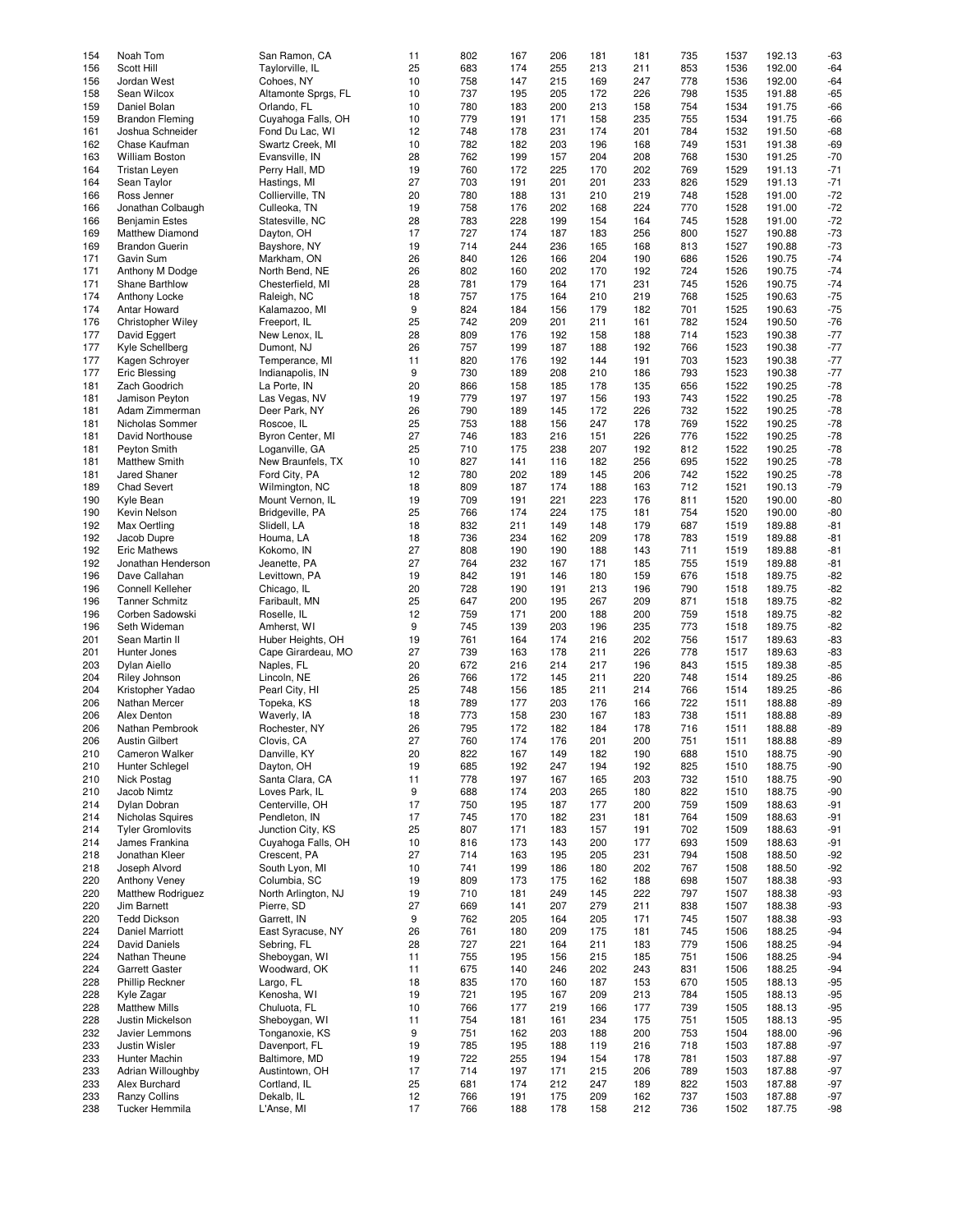|     | Noah Tom                 | San Ramon, CA       |    | 802 |     |     |     |     |     |      | 192.13 | $-63$ |
|-----|--------------------------|---------------------|----|-----|-----|-----|-----|-----|-----|------|--------|-------|
| 154 |                          |                     | 11 |     | 167 | 206 | 181 | 181 | 735 | 1537 |        |       |
| 156 | Scott Hill               | Taylorville, IL     | 25 | 683 | 174 | 255 | 213 | 211 | 853 | 1536 | 192.00 | $-64$ |
| 156 | Jordan West              | Cohoes, NY          | 10 | 758 | 147 | 215 | 169 | 247 | 778 | 1536 | 192.00 | $-64$ |
| 158 | Sean Wilcox              | Altamonte Sprgs, FL | 10 | 737 | 195 | 205 | 172 | 226 | 798 | 1535 | 191.88 | $-65$ |
|     |                          |                     |    |     |     |     |     |     |     |      |        |       |
| 159 | Daniel Bolan             | Orlando, FL         | 10 | 780 | 183 | 200 | 213 | 158 | 754 | 1534 | 191.75 | $-66$ |
| 159 | <b>Brandon Fleming</b>   | Cuyahoga Falls, OH  | 10 | 779 | 191 | 171 | 158 | 235 | 755 | 1534 | 191.75 | $-66$ |
| 161 | Joshua Schneider         | Fond Du Lac, WI     | 12 | 748 | 178 | 231 | 174 | 201 | 784 | 1532 | 191.50 | $-68$ |
|     |                          |                     |    |     |     |     |     |     |     |      |        |       |
| 162 | Chase Kaufman            | Swartz Creek, MI    | 10 | 782 | 182 | 203 | 196 | 168 | 749 | 1531 | 191.38 | $-69$ |
| 163 | <b>William Boston</b>    | Evansville, IN      | 28 | 762 | 199 | 157 | 204 | 208 | 768 | 1530 | 191.25 | $-70$ |
|     |                          |                     | 19 | 760 | 172 | 225 | 170 | 202 | 769 | 1529 | 191.13 | $-71$ |
| 164 | <b>Tristan Leyen</b>     | Perry Hall, MD      |    |     |     |     |     |     |     |      |        |       |
| 164 | Sean Taylor              | Hastings, MI        | 27 | 703 | 191 | 201 | 201 | 233 | 826 | 1529 | 191.13 | $-71$ |
| 166 | Ross Jenner              | Collierville, TN    | 20 | 780 | 188 | 131 | 210 | 219 | 748 | 1528 | 191.00 | $-72$ |
|     |                          |                     |    |     |     |     |     |     |     |      | 191.00 |       |
| 166 | Jonathan Colbaugh        | Culleoka, TN        | 19 | 758 | 176 | 202 | 168 | 224 | 770 | 1528 |        | $-72$ |
| 166 | <b>Benjamin Estes</b>    | Statesville, NC     | 28 | 783 | 228 | 199 | 154 | 164 | 745 | 1528 | 191.00 | $-72$ |
| 169 | Matthew Diamond          | Dayton, OH          | 17 | 727 | 174 | 187 | 183 | 256 | 800 | 1527 | 190.88 | $-73$ |
|     |                          |                     |    |     |     |     |     |     |     |      |        |       |
| 169 | <b>Brandon Guerin</b>    | Bayshore, NY        | 19 | 714 | 244 | 236 | 165 | 168 | 813 | 1527 | 190.88 | $-73$ |
| 171 | Gavin Sum                | Markham, ON         | 26 | 840 | 126 | 166 | 204 | 190 | 686 | 1526 | 190.75 | $-74$ |
| 171 | Anthony M Dodge          | North Bend, NE      | 26 | 802 | 160 | 202 | 170 | 192 | 724 | 1526 | 190.75 | $-74$ |
|     |                          |                     |    |     |     |     |     |     |     |      |        |       |
| 171 | Shane Barthlow           | Chesterfield, MI    | 28 | 781 | 179 | 164 | 171 | 231 | 745 | 1526 | 190.75 | $-74$ |
| 174 | Anthony Locke            | Raleigh, NC         | 18 | 757 | 175 | 164 | 210 | 219 | 768 | 1525 | 190.63 | $-75$ |
| 174 | Antar Howard             | Kalamazoo, MI       | 9  | 824 | 184 | 156 | 179 | 182 | 701 | 1525 | 190.63 | $-75$ |
|     |                          |                     |    |     |     |     |     |     |     |      |        |       |
| 176 | <b>Christopher Wiley</b> | Freeport, IL        | 25 | 742 | 209 | 201 | 211 | 161 | 782 | 1524 | 190.50 | $-76$ |
| 177 | David Eggert             | New Lenox, IL       | 28 | 809 | 176 | 192 | 158 | 188 | 714 | 1523 | 190.38 | $-77$ |
| 177 | Kyle Schellberg          | Dumont, NJ          | 26 | 757 | 199 | 187 | 188 | 192 | 766 | 1523 | 190.38 | $-77$ |
|     |                          |                     |    |     |     |     |     |     |     |      |        |       |
| 177 | Kagen Schrover           | Temperance, MI      | 11 | 820 | 176 | 192 | 144 | 191 | 703 | 1523 | 190.38 | $-77$ |
| 177 | <b>Eric Blessing</b>     | Indianapolis, IN    | 9  | 730 | 189 | 208 | 210 | 186 | 793 | 1523 | 190.38 | $-77$ |
|     |                          |                     |    |     |     |     |     |     |     |      |        |       |
| 181 | Zach Goodrich            | La Porte, IN        | 20 | 866 | 158 | 185 | 178 | 135 | 656 | 1522 | 190.25 | $-78$ |
| 181 | Jamison Peyton           | Las Vegas, NV       | 19 | 779 | 197 | 197 | 156 | 193 | 743 | 1522 | 190.25 | $-78$ |
| 181 | Adam Zimmerman           | Deer Park, NY       | 26 | 790 | 189 | 145 | 172 | 226 | 732 | 1522 | 190.25 | $-78$ |
|     |                          |                     |    |     |     |     |     |     |     |      |        |       |
| 181 | Nicholas Sommer          | Roscoe, IL          | 25 | 753 | 188 | 156 | 247 | 178 | 769 | 1522 | 190.25 | $-78$ |
| 181 | David Northouse          | Byron Center, MI    | 27 | 746 | 183 | 216 | 151 | 226 | 776 | 1522 | 190.25 | $-78$ |
| 181 | Peyton Smith             | Loganville, GA      | 25 | 710 | 175 | 238 | 207 | 192 | 812 | 1522 | 190.25 | $-78$ |
|     |                          |                     |    |     |     |     |     |     |     |      |        |       |
| 181 | <b>Matthew Smith</b>     | New Braunfels, TX   | 10 | 827 | 141 | 116 | 182 | 256 | 695 | 1522 | 190.25 | $-78$ |
| 181 | <b>Jared Shaner</b>      | Ford City, PA       | 12 | 780 | 202 | 189 | 145 | 206 | 742 | 1522 | 190.25 | $-78$ |
| 189 | Chad Severt              | Wilmington, NC      | 18 | 809 | 187 | 174 | 188 | 163 | 712 | 1521 | 190.13 | $-79$ |
|     |                          |                     |    |     |     |     |     |     |     |      |        |       |
| 190 | Kyle Bean                | Mount Vernon, IL    | 19 | 709 | 191 | 221 | 223 | 176 | 811 | 1520 | 190.00 | $-80$ |
| 190 | Kevin Nelson             | Bridgeville, PA     | 25 | 766 | 174 | 224 | 175 | 181 | 754 | 1520 | 190.00 | $-80$ |
| 192 | Max Oertling             | Slidell, LA         | 18 | 832 | 211 | 149 | 148 | 179 | 687 | 1519 | 189.88 | $-81$ |
|     |                          |                     |    |     |     |     |     |     |     |      |        |       |
| 192 | Jacob Dupre              | Houma, LA           | 18 | 736 | 234 | 162 | 209 | 178 | 783 | 1519 | 189.88 | $-81$ |
| 192 | <b>Eric Mathews</b>      | Kokomo, IN          | 27 | 808 | 190 | 190 | 188 | 143 | 711 | 1519 | 189.88 | $-81$ |
| 192 | Jonathan Henderson       | Jeanette, PA        | 27 | 764 | 232 | 167 | 171 | 185 | 755 | 1519 | 189.88 | $-81$ |
|     |                          |                     |    |     |     |     |     |     |     |      |        |       |
| 196 | Dave Callahan            | Levittown, PA       | 19 | 842 | 191 | 146 | 180 | 159 | 676 | 1518 | 189.75 | $-82$ |
| 196 | Connell Kelleher         | Chicago, IL         | 20 | 728 | 190 | 191 | 213 | 196 | 790 | 1518 | 189.75 | $-82$ |
| 196 | <b>Tanner Schmitz</b>    | Faribault, MN       | 25 | 647 | 200 | 195 | 267 | 209 | 871 | 1518 | 189.75 | $-82$ |
|     |                          |                     |    |     |     |     |     |     |     |      |        |       |
| 196 | Corben Sadowski          | Roselle, IL         | 12 | 759 | 171 | 200 | 188 | 200 | 759 | 1518 | 189.75 | $-82$ |
| 196 | Seth Wideman             | Amherst, WI         | 9  | 745 | 139 | 203 | 196 | 235 | 773 | 1518 | 189.75 | $-82$ |
| 201 | Sean Martin II           | Huber Heights, OH   | 19 | 761 | 164 | 174 | 216 | 202 | 756 | 1517 | 189.63 | $-83$ |
|     |                          |                     |    |     |     |     |     |     |     |      |        |       |
| 201 | Hunter Jones             | Cape Girardeau, MO  | 27 | 739 | 163 | 178 | 211 | 226 | 778 | 1517 | 189.63 | $-83$ |
| 203 | Dylan Aiello             | Naples, FL          | 20 | 672 | 216 | 214 | 217 | 196 | 843 | 1515 | 189.38 | $-85$ |
| 204 | Riley Johnson            | Lincoln, NE         | 26 | 766 | 172 | 145 | 211 | 220 | 748 | 1514 | 189.25 | $-86$ |
|     |                          |                     |    |     |     |     |     |     |     |      |        |       |
| 204 | Kristopher Yadao         | Pearl City, HI      | 25 | 748 | 156 | 185 | 211 | 214 | 766 | 1514 | 189.25 | $-86$ |
| 206 | Nathan Mercer            | Topeka, KS          | 18 | 789 | 177 | 203 | 176 | 166 | 722 | 1511 | 188.88 | $-89$ |
| 206 |                          |                     |    | 773 | 158 | 230 |     |     | 738 |      |        | $-89$ |
|     | Alex Denton              | Waverly, IA         | 18 |     |     |     | 167 | 183 |     | 1511 | 188.88 |       |
| 206 | Nathan Pembrook          | Rochester, NY       | 26 | 795 | 172 | 182 | 184 | 178 | 716 | 1511 | 188.88 | $-89$ |
| 206 | <b>Austin Gilbert</b>    | Clovis, CA          | 27 | 760 | 174 | 176 | 201 | 200 | 751 | 1511 | 188.88 | $-89$ |
|     |                          |                     |    |     |     |     |     |     |     |      |        |       |
| 210 | Cameron Walker           | Danville, KY        | 20 | 822 | 167 | 149 | 182 | 190 | 688 | 1510 | 188.75 | $-90$ |
| 210 | Hunter Schlegel          | Dayton, OH          | 19 | 685 | 192 | 247 | 194 | 192 | 825 | 1510 | 188.75 | $-90$ |
| 210 | Nick Postag              | Santa Clara, CA     | 11 | 778 | 197 | 167 | 165 | 203 | 732 | 1510 | 188.75 | $-90$ |
| 210 | Jacob Nimtz              | Loves Park, IL      | 9  | 688 |     | 203 | 265 |     | 822 |      | 188.75 |       |
|     |                          |                     |    |     | 174 |     |     | 180 |     | 1510 |        | $-90$ |
| 214 | Dylan Dobran             | Centerville, OH     | 17 | 750 | 195 | 187 | 177 | 200 | 759 | 1509 | 188.63 | $-91$ |
| 214 | Nicholas Squires         | Pendleton, IN       | 17 | 745 | 170 | 182 | 231 | 181 | 764 | 1509 | 188.63 | $-91$ |
|     |                          |                     |    |     |     |     |     |     |     |      |        |       |
| 214 | <b>Tyler Gromlovits</b>  | Junction City, KS   | 25 | 807 | 171 | 183 | 157 | 191 | 702 | 1509 | 188.63 | $-91$ |
| 214 | James Frankina           | Cuyahoga Falls, OH  | 10 | 816 | 173 | 143 | 200 | 177 | 693 | 1509 | 188.63 | $-91$ |
| 218 | Jonathan Kleer           | Crescent, PA        | 27 | 714 | 163 | 195 | 205 | 231 | 794 | 1508 | 188.50 | $-92$ |
|     |                          |                     |    |     |     |     |     |     |     |      |        |       |
| 218 | Joseph Alvord            | South Lyon, MI      | 10 | 741 | 199 | 186 | 180 | 202 | 767 | 1508 | 188.50 | $-92$ |
| 220 | Anthony Veney            | Columbia, SC        | 19 | 809 | 173 | 175 | 162 | 188 | 698 | 1507 | 188.38 | $-93$ |
| 220 | Matthew Rodriguez        | North Arlington, NJ | 19 | 710 | 181 | 249 | 145 | 222 | 797 | 1507 | 188.38 | $-93$ |
|     |                          |                     |    |     |     |     |     |     |     |      |        |       |
| 220 | Jim Barnett              | Pierre, SD          | 27 | 669 | 141 | 207 | 279 | 211 | 838 | 1507 | 188.38 | $-93$ |
| 220 | <b>Tedd Dickson</b>      | Garrett, IN         | 9  | 762 | 205 | 164 | 205 | 171 | 745 | 1507 | 188.38 | $-93$ |
| 224 | <b>Daniel Marriott</b>   | East Syracuse, NY   | 26 | 761 | 180 | 209 | 175 | 181 | 745 | 1506 | 188.25 | $-94$ |
|     |                          |                     |    |     |     |     |     |     |     |      |        |       |
| 224 | David Daniels            | Sebring, FL         | 28 | 727 | 221 | 164 | 211 | 183 | 779 | 1506 | 188.25 | $-94$ |
| 224 | Nathan Theune            | Sheboygan, WI       | 11 | 755 | 195 | 156 | 215 | 185 | 751 | 1506 | 188.25 | $-94$ |
| 224 | <b>Garrett Gaster</b>    | Woodward, OK        | 11 | 675 | 140 | 246 | 202 | 243 | 831 | 1506 | 188.25 | $-94$ |
|     |                          |                     |    |     |     |     |     |     |     |      |        |       |
| 228 | Phillip Reckner          | Largo, FL           | 18 | 835 | 170 | 160 | 187 | 153 | 670 | 1505 | 188.13 | $-95$ |
| 228 | Kyle Zagar               | Kenosha, WI         | 19 | 721 | 195 | 167 | 209 | 213 | 784 | 1505 | 188.13 | $-95$ |
|     |                          |                     |    |     |     |     |     |     |     |      |        |       |
| 228 | <b>Matthew Mills</b>     | Chuluota, FL        | 10 | 766 | 177 | 219 | 166 | 177 | 739 | 1505 | 188.13 | $-95$ |
| 228 | Justin Mickelson         | Sheboygan, WI       | 11 | 754 | 181 | 161 | 234 | 175 | 751 | 1505 | 188.13 | $-95$ |
| 232 | Javier Lemmons           | Tonganoxie, KS      | 9  | 751 | 162 | 203 | 188 | 200 | 753 | 1504 | 188.00 | -96   |
|     |                          |                     |    |     |     |     |     |     |     |      |        |       |
| 233 | Justin Wisler            | Davenport, FL       | 19 | 785 | 195 | 188 | 119 | 216 | 718 | 1503 | 187.88 | $-97$ |
| 233 | Hunter Machin            | Baltimore, MD       | 19 | 722 | 255 | 194 | 154 | 178 | 781 | 1503 | 187.88 | $-97$ |
| 233 | Adrian Willoughby        | Austintown, OH      | 17 | 714 | 197 | 171 | 215 | 206 | 789 | 1503 | 187.88 | $-97$ |
|     |                          |                     |    |     |     |     |     |     |     |      |        |       |
| 233 | Alex Burchard            | Cortland, IL        | 25 | 681 | 174 | 212 | 247 | 189 | 822 | 1503 | 187.88 | $-97$ |
| 233 | <b>Ranzy Collins</b>     | Dekalb, IL          | 12 | 766 | 191 | 175 | 209 | 162 | 737 | 1503 | 187.88 | $-97$ |
| 238 | Tucker Hemmila           | L'Anse, MI          | 17 | 766 | 188 | 178 | 158 | 212 | 736 | 1502 | 187.75 | -98   |
|     |                          |                     |    |     |     |     |     |     |     |      |        |       |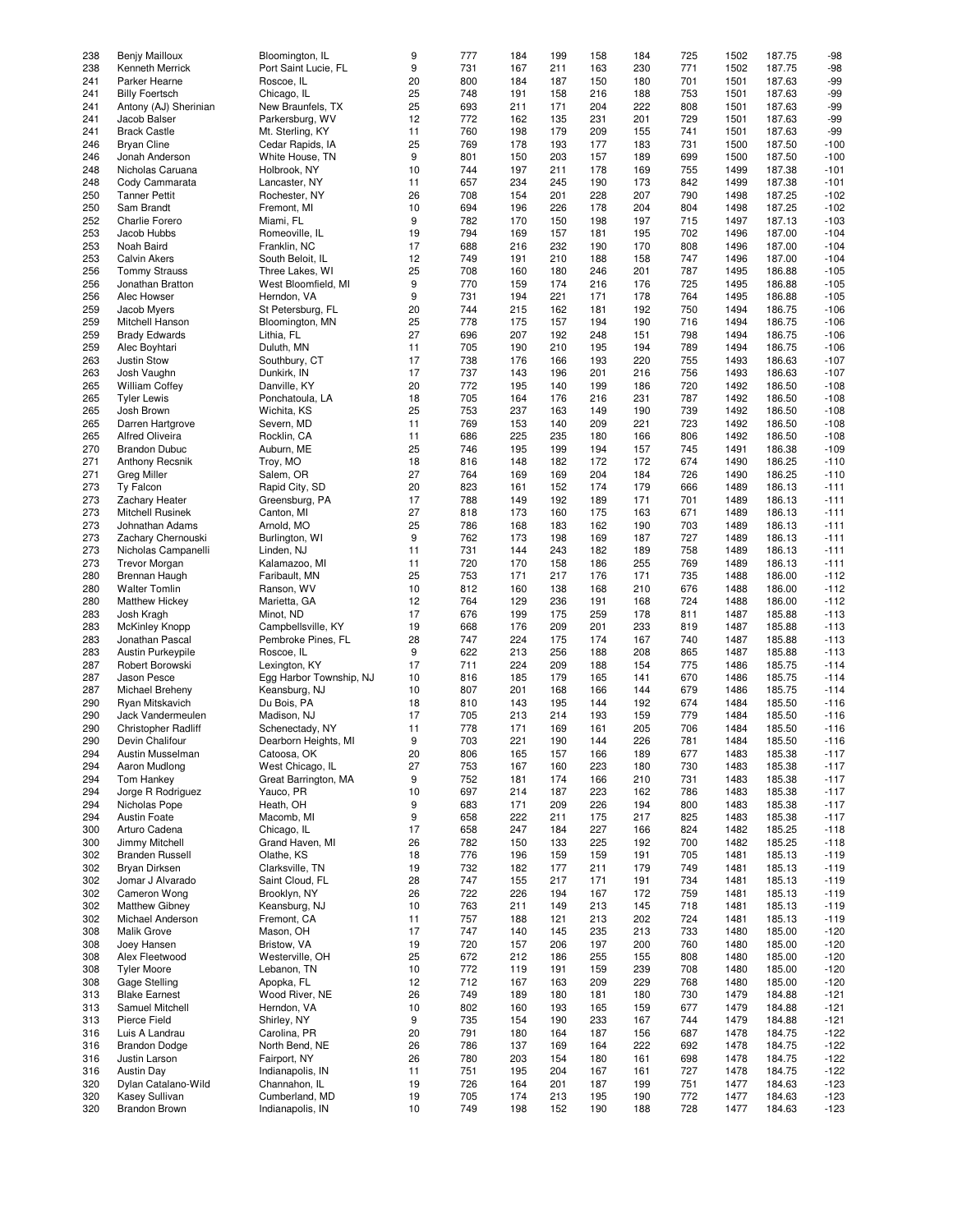| 238 | Benjy Mailloux             | Bloomington, IL         | 9  | 777 | 184 | 199 | 158 | 184 | 725 | 1502 | 187.75 | $-98$  |
|-----|----------------------------|-------------------------|----|-----|-----|-----|-----|-----|-----|------|--------|--------|
|     |                            |                         |    |     |     |     |     |     |     |      |        |        |
| 238 | Kenneth Merrick            | Port Saint Lucie, FL    | 9  | 731 | 167 | 211 | 163 | 230 | 771 | 1502 | 187.75 | $-98$  |
| 241 | Parker Hearne              | Roscoe, IL              | 20 | 800 | 184 | 187 | 150 | 180 | 701 | 1501 | 187.63 | -99    |
| 241 | <b>Billy Foertsch</b>      | Chicago, IL             | 25 | 748 | 191 | 158 | 216 | 188 | 753 | 1501 | 187.63 | $-99$  |
| 241 |                            | New Braunfels, TX       | 25 | 693 | 211 | 171 | 204 | 222 | 808 | 1501 | 187.63 | $-99$  |
|     | Antony (AJ) Sherinian      |                         |    |     |     |     |     |     |     |      |        |        |
| 241 | Jacob Balser               | Parkersburg, WV         | 12 | 772 | 162 | 135 | 231 | 201 | 729 | 1501 | 187.63 | $-99$  |
| 241 | <b>Brack Castle</b>        | Mt. Sterling, KY        | 11 | 760 | 198 | 179 | 209 | 155 | 741 | 1501 | 187.63 | $-99$  |
| 246 | <b>Bryan Cline</b>         | Cedar Rapids, IA        | 25 | 769 | 178 | 193 | 177 | 183 | 731 | 1500 | 187.50 | $-100$ |
|     |                            |                         |    |     |     |     |     |     |     |      |        |        |
| 246 | Jonah Anderson             | White House, TN         | 9  | 801 | 150 | 203 | 157 | 189 | 699 | 1500 | 187.50 | $-100$ |
| 248 | Nicholas Caruana           | Holbrook, NY            | 10 | 744 | 197 | 211 | 178 | 169 | 755 | 1499 | 187.38 | $-101$ |
| 248 | Cody Cammarata             | Lancaster, NY           | 11 | 657 | 234 | 245 | 190 | 173 | 842 | 1499 | 187.38 | $-101$ |
|     |                            |                         |    |     |     |     |     |     |     |      |        |        |
| 250 | <b>Tanner Pettit</b>       | Rochester, NY           | 26 | 708 | 154 | 201 | 228 | 207 | 790 | 1498 | 187.25 | $-102$ |
| 250 | Sam Brandt                 | Fremont, MI             | 10 | 694 | 196 | 226 | 178 | 204 | 804 | 1498 | 187.25 | $-102$ |
| 252 | <b>Charlie Forero</b>      | Miami, FL               | 9  | 782 | 170 | 150 | 198 | 197 | 715 | 1497 | 187.13 | $-103$ |
|     |                            |                         |    |     |     |     |     |     |     |      |        |        |
| 253 | Jacob Hubbs                | Romeoville, IL          | 19 | 794 | 169 | 157 | 181 | 195 | 702 | 1496 | 187.00 | $-104$ |
| 253 | Noah Baird                 | Franklin, NC            | 17 | 688 | 216 | 232 | 190 | 170 | 808 | 1496 | 187.00 | $-104$ |
| 253 | <b>Calvin Akers</b>        | South Beloit, IL        | 12 | 749 | 191 | 210 | 188 | 158 | 747 | 1496 | 187.00 | $-104$ |
|     |                            |                         |    |     |     |     |     |     |     |      |        |        |
| 256 | <b>Tommy Strauss</b>       | Three Lakes, WI         | 25 | 708 | 160 | 180 | 246 | 201 | 787 | 1495 | 186.88 | $-105$ |
| 256 | Jonathan Bratton           | West Bloomfield, MI     | 9  | 770 | 159 | 174 | 216 | 176 | 725 | 1495 | 186.88 | $-105$ |
| 256 | Alec Howser                | Herndon, VA             | 9  | 731 | 194 | 221 | 171 | 178 | 764 | 1495 | 186.88 | $-105$ |
|     |                            |                         |    |     |     |     |     |     |     |      |        |        |
| 259 | Jacob Myers                | St Petersburg, FL       | 20 | 744 | 215 | 162 | 181 | 192 | 750 | 1494 | 186.75 | $-106$ |
| 259 | Mitchell Hanson            | Bloomington, MN         | 25 | 778 | 175 | 157 | 194 | 190 | 716 | 1494 | 186.75 | $-106$ |
| 259 | <b>Brady Edwards</b>       | Lithia, FL              | 27 | 696 | 207 | 192 | 248 | 151 | 798 | 1494 | 186.75 | $-106$ |
|     |                            |                         |    | 705 |     |     |     |     |     |      |        |        |
| 259 | Alec Boyhtari              | Duluth, MN              | 11 |     | 190 | 210 | 195 | 194 | 789 | 1494 | 186.75 | $-106$ |
| 263 | Justin Stow                | Southbury, CT           | 17 | 738 | 176 | 166 | 193 | 220 | 755 | 1493 | 186.63 | $-107$ |
| 263 | Josh Vaughn                | Dunkirk, IN             | 17 | 737 | 143 | 196 | 201 | 216 | 756 | 1493 | 186.63 | $-107$ |
|     |                            |                         |    |     |     |     |     |     |     |      |        |        |
| 265 | <b>William Coffey</b>      | Danville, KY            | 20 | 772 | 195 | 140 | 199 | 186 | 720 | 1492 | 186.50 | $-108$ |
| 265 | <b>Tyler Lewis</b>         | Ponchatoula, LA         | 18 | 705 | 164 | 176 | 216 | 231 | 787 | 1492 | 186.50 | $-108$ |
| 265 | Josh Brown                 | Wichita, KS             | 25 | 753 | 237 | 163 | 149 | 190 | 739 | 1492 | 186.50 | $-108$ |
|     |                            |                         |    |     |     |     |     |     |     |      |        |        |
| 265 | Darren Hartgrove           | Severn, MD              | 11 | 769 | 153 | 140 | 209 | 221 | 723 | 1492 | 186.50 | $-108$ |
| 265 | <b>Alfred Oliveira</b>     | Rocklin, CA             | 11 | 686 | 225 | 235 | 180 | 166 | 806 | 1492 | 186.50 | $-108$ |
| 270 | <b>Brandon Dubuc</b>       | Auburn, ME              | 25 | 746 | 195 | 199 | 194 | 157 | 745 | 1491 | 186.38 | $-109$ |
|     |                            |                         |    |     |     |     |     |     |     |      |        |        |
| 271 | <b>Anthony Recsnik</b>     | Troy, MO                | 18 | 816 | 148 | 182 | 172 | 172 | 674 | 1490 | 186.25 | $-110$ |
| 271 | <b>Greg Miller</b>         | Salem, OR               | 27 | 764 | 169 | 169 | 204 | 184 | 726 | 1490 | 186.25 | $-110$ |
| 273 | Ty Falcon                  | Rapid City, SD          | 20 | 823 | 161 | 152 | 174 | 179 | 666 | 1489 | 186.13 | $-111$ |
|     |                            |                         |    |     |     |     |     |     |     |      |        |        |
| 273 | <b>Zachary Heater</b>      | Greensburg, PA          | 17 | 788 | 149 | 192 | 189 | 171 | 701 | 1489 | 186.13 | $-111$ |
| 273 | Mitchell Rusinek           | Canton, MI              | 27 | 818 | 173 | 160 | 175 | 163 | 671 | 1489 | 186.13 | $-111$ |
| 273 | Johnathan Adams            | Arnold, MO              | 25 | 786 | 168 | 183 | 162 | 190 | 703 | 1489 | 186.13 | $-111$ |
|     |                            |                         |    |     |     |     |     |     |     |      |        |        |
| 273 | Zachary Chernouski         | Burlington, WI          | 9  | 762 | 173 | 198 | 169 | 187 | 727 | 1489 | 186.13 | $-111$ |
| 273 | Nicholas Campanelli        | Linden, NJ              | 11 | 731 | 144 | 243 | 182 | 189 | 758 | 1489 | 186.13 | $-111$ |
| 273 | <b>Trevor Morgan</b>       | Kalamazoo, MI           | 11 | 720 | 170 | 158 | 186 | 255 | 769 | 1489 | 186.13 | $-111$ |
|     |                            |                         |    |     |     |     |     |     |     |      |        |        |
| 280 | Brennan Haugh              | Faribault, MN           | 25 | 753 | 171 | 217 | 176 | 171 | 735 | 1488 | 186.00 | $-112$ |
| 280 | <b>Walter Tomlin</b>       | Ranson, WV              | 10 | 812 | 160 | 138 | 168 | 210 | 676 | 1488 | 186.00 | $-112$ |
| 280 | <b>Matthew Hickey</b>      | Marietta, GA            | 12 | 764 | 129 | 236 | 191 | 168 | 724 | 1488 | 186.00 | $-112$ |
|     |                            |                         |    |     |     |     |     |     |     |      |        |        |
| 283 | Josh Kragh                 | Minot, ND               | 17 | 676 | 199 | 175 | 259 | 178 | 811 | 1487 | 185.88 | $-113$ |
| 283 | <b>McKinley Knopp</b>      | Campbellsville, KY      | 19 | 668 | 176 | 209 | 201 | 233 | 819 | 1487 | 185.88 | $-113$ |
| 283 | Jonathan Pascal            | Pembroke Pines, FL      | 28 | 747 | 224 | 175 | 174 | 167 | 740 | 1487 | 185.88 | $-113$ |
|     |                            |                         |    |     |     |     |     |     |     |      |        |        |
| 283 | Austin Purkeypile          | Roscoe, IL              | 9  | 622 | 213 | 256 | 188 | 208 | 865 | 1487 | 185.88 | $-113$ |
| 287 | Robert Borowski            | Lexington, KY           | 17 | 711 | 224 | 209 | 188 | 154 | 775 | 1486 | 185.75 | $-114$ |
| 287 | Jason Pesce                | Egg Harbor Township, NJ | 10 | 816 | 185 | 179 | 165 | 141 | 670 | 1486 | 185.75 | $-114$ |
|     |                            |                         |    |     |     |     |     |     |     |      |        |        |
| 287 | Michael Breheny            | Keansburg, NJ           | 10 | 807 | 201 | 168 | 166 | 144 | 679 | 1486 | 185.75 | $-114$ |
| 290 | Ryan Mitskavich            | Du Bois, PA             | 18 | 810 | 143 | 195 | 144 | 192 | 674 | 1484 | 185.50 | $-116$ |
| 290 | Jack Vandermeulen          | Madison, NJ             | 17 | 705 | 213 | 214 | 193 | 159 | 779 | 1484 | 185.50 | $-116$ |
|     |                            |                         |    |     |     |     |     |     |     |      |        |        |
| 290 | <b>Christopher Radliff</b> | Schenectady, NY         | 11 | 778 | 171 | 169 | 161 | 205 | 706 | 1484 | 185.50 | $-116$ |
| 290 | Devin Chalifour            | Dearborn Heights, MI    | 9  | 703 | 221 | 190 | 144 | 226 | 781 | 1484 | 185.50 | $-116$ |
| 294 | Austin Musselman           | Catoosa, OK             | 20 | 806 | 165 | 157 | 166 | 189 | 677 | 1483 | 185.38 | $-117$ |
|     |                            |                         |    |     |     |     |     |     |     |      |        |        |
| 294 | Aaron Mudlong              | West Chicago, IL        | 27 | 753 | 167 | 160 | 223 | 180 | 730 | 1483 | 185.38 | $-117$ |
| 294 | Tom Hankey                 | Great Barrington, MA    | 9  | 752 | 181 | 174 | 166 | 210 | 731 | 1483 | 185.38 | $-117$ |
| 294 | Jorge R Rodriguez          | Yauco, PR               | 10 | 697 | 214 | 187 | 223 | 162 | 786 | 1483 | 185.38 | $-117$ |
|     |                            |                         |    |     |     |     |     |     |     |      |        |        |
| 294 | Nicholas Pope              | Heath, OH               | 9  | 683 | 171 | 209 | 226 | 194 | 800 | 1483 | 185.38 | $-117$ |
| 294 | <b>Austin Foate</b>        | Macomb, MI              | 9  | 658 | 222 | 211 | 175 | 217 | 825 | 1483 | 185.38 | $-117$ |
| 300 | Arturo Cadena              | Chicago, IL             | 17 | 658 | 247 | 184 | 227 | 166 | 824 | 1482 | 185.25 | $-118$ |
|     |                            |                         |    |     |     |     |     |     |     |      |        |        |
| 300 | Jimmy Mitchell             | Grand Haven, MI         | 26 | 782 | 150 | 133 | 225 | 192 | 700 | 1482 | 185.25 | $-118$ |
| 302 | <b>Branden Russell</b>     | Olathe, KS              | 18 | 776 | 196 | 159 | 159 | 191 | 705 | 1481 | 185.13 | $-119$ |
| 302 | Bryan Dirksen              | Clarksville, TN         | 19 | 732 | 182 | 177 | 211 | 179 | 749 | 1481 | 185.13 | $-119$ |
|     |                            |                         |    |     |     |     |     |     |     |      |        |        |
| 302 | Jomar J Alvarado           | Saint Cloud, FL         | 28 | 747 | 155 | 217 | 171 | 191 | 734 | 1481 | 185.13 | $-119$ |
| 302 | Cameron Wong               | Brooklyn, NY            | 26 | 722 | 226 | 194 | 167 | 172 | 759 | 1481 | 185.13 | $-119$ |
| 302 | <b>Matthew Gibney</b>      | Keansburg, NJ           | 10 | 763 | 211 | 149 | 213 | 145 | 718 | 1481 | 185.13 | $-119$ |
|     |                            |                         |    |     |     |     |     |     |     |      |        |        |
| 302 | Michael Anderson           | Fremont, CA             | 11 | 757 | 188 | 121 | 213 | 202 | 724 | 1481 | 185.13 | $-119$ |
| 308 | Malik Grove                | Mason, OH               | 17 | 747 | 140 | 145 | 235 | 213 | 733 | 1480 | 185.00 | $-120$ |
| 308 | Joey Hansen                | Bristow, VA             | 19 | 720 | 157 | 206 | 197 | 200 | 760 | 1480 | 185.00 | $-120$ |
|     |                            |                         |    |     |     |     |     |     |     |      |        |        |
| 308 | Alex Fleetwood             | Westerville, OH         | 25 | 672 | 212 | 186 | 255 | 155 | 808 | 1480 | 185.00 | $-120$ |
| 308 | <b>Tyler Moore</b>         | Lebanon, TN             | 10 | 772 | 119 | 191 | 159 | 239 | 708 | 1480 | 185.00 | $-120$ |
| 308 | Gage Stelling              | Apopka, FL              | 12 | 712 | 167 | 163 | 209 | 229 | 768 | 1480 | 185.00 | $-120$ |
|     |                            |                         |    |     |     |     |     |     |     |      |        |        |
| 313 | <b>Blake Earnest</b>       | Wood River, NE          | 26 | 749 | 189 | 180 | 181 | 180 | 730 | 1479 | 184.88 | $-121$ |
| 313 | Samuel Mitchell            | Herndon, VA             | 10 | 802 | 160 | 193 | 165 | 159 | 677 | 1479 | 184.88 | $-121$ |
| 313 | Pierce Field               | Shirley, NY             | 9  | 735 | 154 | 190 | 233 | 167 | 744 | 1479 | 184.88 | $-121$ |
|     |                            |                         |    |     |     |     |     |     |     |      |        |        |
| 316 | Luis A Landrau             | Carolina, PR            | 20 | 791 | 180 | 164 | 187 | 156 | 687 | 1478 | 184.75 | $-122$ |
| 316 | <b>Brandon Dodge</b>       | North Bend, NE          | 26 | 786 | 137 | 169 | 164 | 222 | 692 | 1478 | 184.75 | $-122$ |
| 316 | Justin Larson              | Fairport, NY            | 26 | 780 | 203 | 154 | 180 | 161 | 698 | 1478 | 184.75 | $-122$ |
|     | <b>Austin Day</b>          | Indianapolis, IN        |    | 751 | 195 | 204 | 167 |     | 727 |      | 184.75 |        |
| 316 |                            |                         | 11 |     |     |     |     | 161 |     | 1478 |        | $-122$ |
| 320 | Dylan Catalano-Wild        | Channahon, IL           | 19 | 726 | 164 | 201 | 187 | 199 | 751 | 1477 | 184.63 | $-123$ |
| 320 | Kasey Sullivan             | Cumberland, MD          | 19 | 705 | 174 | 213 | 195 | 190 | 772 | 1477 | 184.63 | $-123$ |
| 320 | <b>Brandon Brown</b>       | Indianapolis, IN        | 10 | 749 | 198 | 152 | 190 | 188 | 728 | 1477 | 184.63 | $-123$ |
|     |                            |                         |    |     |     |     |     |     |     |      |        |        |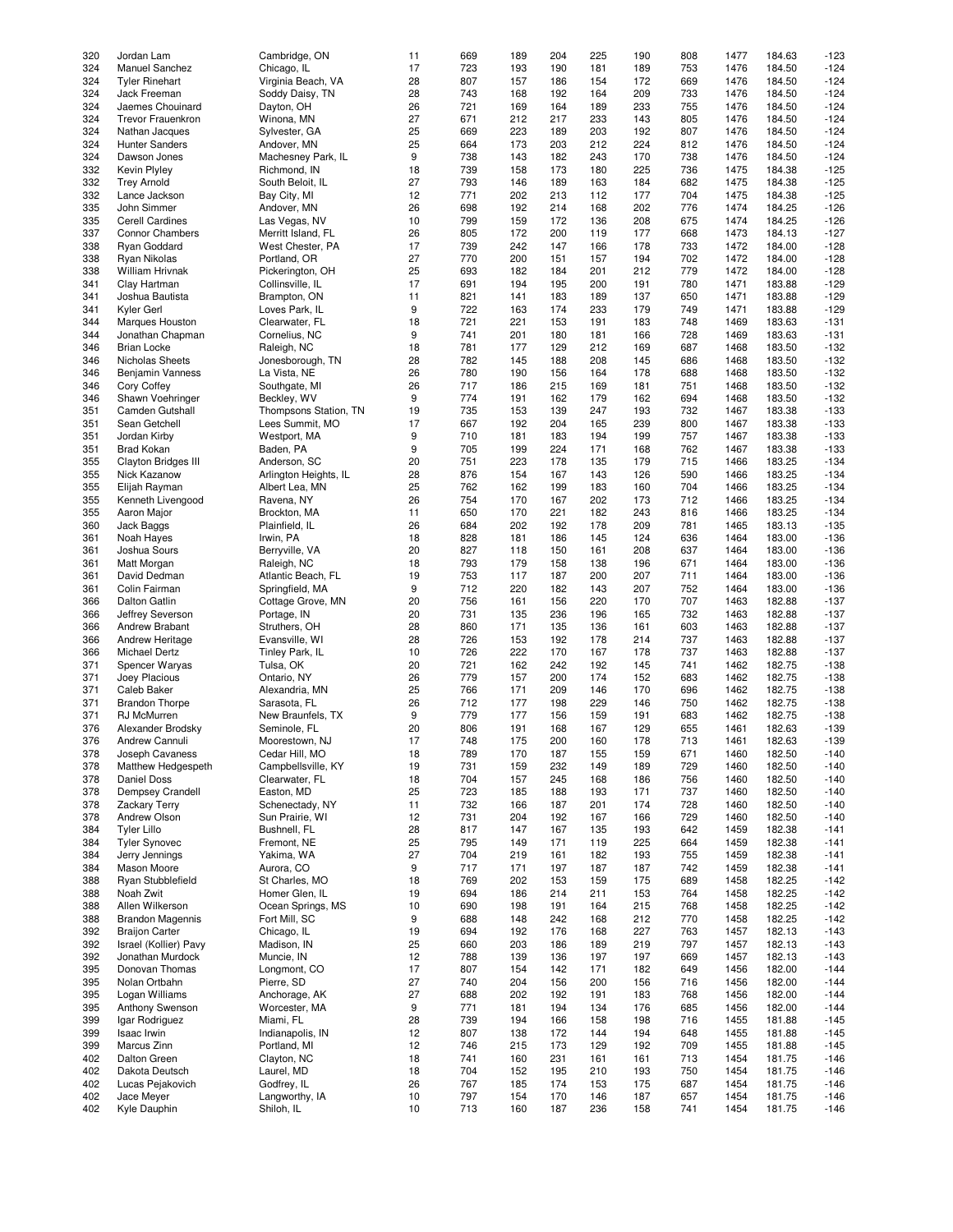| 320 | Jordan Lam                 |                       |    | 669 | 189 | 204 | 225 | 190 | 808 | 1477 | 184.63 | $-123$ |
|-----|----------------------------|-----------------------|----|-----|-----|-----|-----|-----|-----|------|--------|--------|
|     |                            | Cambridge, ON         | 11 |     |     |     |     |     |     |      |        |        |
| 324 | Manuel Sanchez             | Chicago, IL           | 17 | 723 | 193 | 190 | 181 | 189 | 753 | 1476 | 184.50 | $-124$ |
| 324 | <b>Tyler Rinehart</b>      | Virginia Beach, VA    | 28 | 807 | 157 | 186 | 154 | 172 | 669 | 1476 | 184.50 | $-124$ |
|     |                            |                       |    |     |     |     |     |     |     |      |        |        |
| 324 | Jack Freeman               | Soddy Daisy, TN       | 28 | 743 | 168 | 192 | 164 | 209 | 733 | 1476 | 184.50 | $-124$ |
| 324 |                            |                       | 26 | 721 | 169 | 164 | 189 | 233 | 755 | 1476 | 184.50 | $-124$ |
|     | Jaemes Chouinard           | Dayton, OH            |    |     |     |     |     |     |     |      |        |        |
| 324 | <b>Trevor Frauenkron</b>   | Winona, MN            | 27 | 671 | 212 | 217 | 233 | 143 | 805 | 1476 | 184.50 | $-124$ |
| 324 | Nathan Jacques             | Sylvester, GA         | 25 | 669 | 223 | 189 | 203 | 192 | 807 | 1476 | 184.50 | $-124$ |
|     |                            |                       |    |     |     |     |     |     |     |      |        |        |
| 324 | <b>Hunter Sanders</b>      | Andover, MN           | 25 | 664 | 173 | 203 | 212 | 224 | 812 | 1476 | 184.50 | $-124$ |
| 324 | Dawson Jones               | Machesney Park, IL    | 9  | 738 | 143 | 182 | 243 | 170 | 738 | 1476 | 184.50 | $-124$ |
|     |                            |                       |    |     |     |     |     |     |     |      |        |        |
| 332 | Kevin Plylev               | Richmond, IN          | 18 | 739 | 158 | 173 | 180 | 225 | 736 | 1475 | 184.38 | $-125$ |
| 332 |                            |                       | 27 | 793 | 146 | 189 | 163 | 184 | 682 | 1475 | 184.38 | $-125$ |
|     | <b>Trey Arnold</b>         | South Beloit, IL      |    |     |     |     |     |     |     |      |        |        |
| 332 | Lance Jackson              | Bay City, MI          | 12 | 771 | 202 | 213 | 112 | 177 | 704 | 1475 | 184.38 | $-125$ |
|     |                            |                       |    |     |     |     |     |     |     |      |        |        |
| 335 | John Simmer                | Andover, MN           | 26 | 698 | 192 | 214 | 168 | 202 | 776 | 1474 | 184.25 | $-126$ |
| 335 | <b>Cerell Cardines</b>     | Las Vegas, NV         | 10 | 799 | 159 | 172 | 136 | 208 | 675 | 1474 | 184.25 | $-126$ |
|     |                            |                       |    |     |     |     |     |     |     |      |        |        |
| 337 | Connor Chambers            | Merritt Island, FL    | 26 | 805 | 172 | 200 | 119 | 177 | 668 | 1473 | 184.13 | $-127$ |
| 338 | Ryan Goddard               | West Chester, PA      | 17 | 739 | 242 | 147 | 166 | 178 | 733 | 1472 | 184.00 | $-128$ |
|     |                            |                       |    |     |     |     |     |     |     |      |        |        |
| 338 | Ryan Nikolas               | Portland, OR          | 27 | 770 | 200 | 151 | 157 | 194 | 702 | 1472 | 184.00 | $-128$ |
| 338 | William Hrivnak            | Pickerington, OH      | 25 | 693 | 182 | 184 | 201 | 212 | 779 | 1472 | 184.00 | $-128$ |
|     |                            |                       | 17 | 691 |     | 195 | 200 |     |     |      |        |        |
| 341 | Clay Hartman               | Collinsville, IL      |    |     | 194 |     |     | 191 | 780 | 1471 | 183.88 | $-129$ |
| 341 | Joshua Bautista            | Brampton, ON          | 11 | 821 | 141 | 183 | 189 | 137 | 650 | 1471 | 183.88 | $-129$ |
|     |                            |                       |    |     |     |     |     |     |     |      |        |        |
| 341 | Kyler Gerl                 | Loves Park, IL        | 9  | 722 | 163 | 174 | 233 | 179 | 749 | 1471 | 183.88 | $-129$ |
| 344 | Marques Houston            | Clearwater, FL        | 18 | 721 | 221 | 153 | 191 | 183 | 748 | 1469 | 183.63 | $-131$ |
|     |                            |                       |    |     |     |     |     |     |     |      |        |        |
| 344 | Jonathan Chapman           | Cornelius, NC         | 9  | 741 | 201 | 180 | 181 | 166 | 728 | 1469 | 183.63 | $-131$ |
| 346 | <b>Brian Locke</b>         | Raleigh, NC           | 18 | 781 | 177 | 129 | 212 | 169 | 687 | 1468 | 183.50 | $-132$ |
|     |                            |                       |    |     |     |     |     |     |     |      |        |        |
| 346 | Nicholas Sheets            | Jonesborough, TN      | 28 | 782 | 145 | 188 | 208 | 145 | 686 | 1468 | 183.50 | $-132$ |
| 346 | <b>Benjamin Vanness</b>    | La Vista, NE          | 26 | 780 | 190 | 156 | 164 | 178 | 688 | 1468 | 183.50 | $-132$ |
|     |                            |                       |    |     |     |     |     |     |     |      |        |        |
| 346 | Cory Coffey                | Southgate, MI         | 26 | 717 | 186 | 215 | 169 | 181 | 751 | 1468 | 183.50 | $-132$ |
| 346 | Shawn Voehringer           | Beckley, WV           | 9  | 774 | 191 | 162 | 179 | 162 | 694 | 1468 | 183.50 | $-132$ |
|     |                            |                       |    |     |     |     |     |     |     |      |        |        |
| 351 | Camden Gutshall            | Thompsons Station, TN | 19 | 735 | 153 | 139 | 247 | 193 | 732 | 1467 | 183.38 | $-133$ |
| 351 | Sean Getchell              | Lees Summit, MO       | 17 | 667 | 192 | 204 | 165 | 239 | 800 | 1467 | 183.38 | $-133$ |
|     |                            |                       |    |     |     |     |     |     |     |      |        |        |
| 351 | Jordan Kirby               | Westport, MA          | 9  | 710 | 181 | 183 | 194 | 199 | 757 | 1467 | 183.38 | $-133$ |
| 351 | <b>Brad Kokan</b>          | Baden, PA             | 9  | 705 | 199 | 224 | 171 | 168 | 762 | 1467 | 183.38 | $-133$ |
|     |                            |                       |    |     |     |     |     |     |     |      |        |        |
| 355 | <b>Clayton Bridges III</b> | Anderson, SC          | 20 | 751 | 223 | 178 | 135 | 179 | 715 | 1466 | 183.25 | $-134$ |
| 355 | Nick Kazanow               | Arlington Heights, IL | 28 | 876 | 154 | 167 | 143 | 126 | 590 | 1466 | 183.25 | $-134$ |
|     |                            |                       |    |     |     |     |     |     |     |      |        |        |
| 355 | Elijah Rayman              | Albert Lea, MN        | 25 | 762 | 162 | 199 | 183 | 160 | 704 | 1466 | 183.25 | $-134$ |
| 355 | Kenneth Livengood          | Ravena, NY            | 26 | 754 | 170 | 167 | 202 | 173 | 712 | 1466 | 183.25 | $-134$ |
|     |                            |                       |    |     |     |     |     |     |     |      |        |        |
| 355 | Aaron Major                | Brockton, MA          | 11 | 650 | 170 | 221 | 182 | 243 | 816 | 1466 | 183.25 | $-134$ |
| 360 | Jack Baggs                 | Plainfield, IL        | 26 | 684 | 202 | 192 | 178 | 209 | 781 | 1465 | 183.13 | $-135$ |
|     |                            |                       |    |     |     |     |     |     |     |      |        |        |
| 361 | Noah Hayes                 | Irwin, PA             | 18 | 828 | 181 | 186 | 145 | 124 | 636 | 1464 | 183.00 | $-136$ |
| 361 | Joshua Sours               | Berryville, VA        | 20 | 827 | 118 | 150 | 161 | 208 | 637 | 1464 | 183.00 | $-136$ |
|     |                            |                       |    |     |     |     |     |     |     |      |        |        |
| 361 | Matt Morgan                | Raleigh, NC           | 18 | 793 | 179 | 158 | 138 | 196 | 671 | 1464 | 183.00 | $-136$ |
| 361 | David Dedman               | Atlantic Beach, FL    | 19 | 753 | 117 | 187 | 200 | 207 | 711 | 1464 | 183.00 | $-136$ |
|     |                            |                       |    |     |     |     |     |     |     |      |        |        |
| 361 | Colin Fairman              | Springfield, MA       | 9  | 712 | 220 | 182 | 143 | 207 | 752 | 1464 | 183.00 | $-136$ |
| 366 |                            |                       | 20 | 756 | 161 | 156 | 220 | 170 | 707 |      |        | $-137$ |
|     | <b>Dalton Gatlin</b>       | Cottage Grove, MN     |    |     |     |     |     |     |     | 1463 | 182.88 |        |
| 366 | Jeffrey Severson           | Portage, IN           | 20 | 731 | 135 | 236 | 196 | 165 | 732 | 1463 | 182.88 | $-137$ |
|     |                            |                       |    |     |     |     |     |     |     |      |        |        |
| 366 | Andrew Brabant             | Struthers, OH         | 28 | 860 | 171 | 135 | 136 | 161 | 603 | 1463 | 182.88 | $-137$ |
| 366 | Andrew Heritage            | Evansville, WI        | 28 | 726 | 153 | 192 | 178 | 214 | 737 | 1463 | 182.88 | $-137$ |
|     |                            |                       |    |     |     |     |     |     |     |      |        |        |
| 366 | Michael Dertz              | Tinley Park, IL       | 10 | 726 | 222 | 170 | 167 | 178 | 737 | 1463 | 182.88 | $-137$ |
| 371 | Spencer Waryas             | Tulsa, OK             | 20 | 721 | 162 | 242 | 192 | 145 | 741 | 1462 | 182.75 | $-138$ |
|     |                            |                       |    |     |     |     |     |     |     |      |        |        |
| 371 | Joey Placious              | Ontario, NY           | 26 | 779 | 157 | 200 | 174 | 152 | 683 | 1462 | 182.75 | $-138$ |
| 371 | Caleb Baker                | Alexandria, MN        | 25 | 766 | 171 | 209 | 146 | 170 | 696 | 1462 | 182.75 | $-138$ |
|     |                            |                       |    |     |     |     |     |     |     |      |        |        |
| 371 | <b>Brandon Thorpe</b>      | Sarasota, FL          | 26 | 712 | 177 | 198 | 229 | 146 | 750 | 1462 | 182.75 | $-138$ |
| 371 | RJ McMurren                | New Braunfels, TX     | 9  | 779 | 177 | 156 | 159 | 191 | 683 | 1462 | 182.75 | $-138$ |
|     |                            |                       |    |     |     |     |     |     |     |      |        |        |
| 376 | Alexander Brodsky          | Seminole, FL          | 20 | 806 | 191 | 168 | 167 | 129 | 655 | 1461 | 182.63 | $-139$ |
| 376 | Andrew Cannuli             | Moorestown, NJ        | 17 | 748 | 175 | 200 | 160 | 178 | 713 | 1461 | 182.63 | $-139$ |
|     |                            |                       |    |     |     |     |     |     |     |      |        |        |
| 378 | Joseph Cavaness            | Cedar Hill, MO        | 18 | 789 | 170 | 187 | 155 | 159 | 671 | 1460 | 182.50 | $-140$ |
| 378 | Matthew Hedgespeth         | Campbellsville, KY    | 19 | 731 | 159 | 232 | 149 | 189 | 729 | 1460 | 182.50 | $-140$ |
|     |                            |                       |    |     |     |     |     |     |     |      |        |        |
| 378 | Daniel Doss                | Clearwater, FL        | 18 | 704 | 157 | 245 | 168 | 186 | 756 | 1460 | 182.50 | $-140$ |
| 378 | Dempsey Crandell           | Easton, MD            | 25 | 723 | 185 | 188 | 193 | 171 | 737 | 1460 | 182.50 | $-140$ |
|     |                            |                       |    |     |     |     |     |     |     |      |        |        |
| 378 | Zackary Terry              | Schenectady, NY       | 11 | 732 | 166 | 187 | 201 | 174 | 728 | 1460 | 182.50 | $-140$ |
| 378 | Andrew Olson               | Sun Prairie, WI       | 12 | 731 | 204 | 192 | 167 | 166 | 729 | 1460 | 182.50 | $-140$ |
|     |                            |                       |    |     |     |     |     |     |     |      |        |        |
| 384 | <b>Tyler Lillo</b>         | Bushnell, FL          | 28 | 817 | 147 | 167 | 135 | 193 | 642 | 1459 | 182.38 | $-141$ |
| 384 | <b>Tyler Synovec</b>       | Fremont, NE           | 25 | 795 | 149 | 171 | 119 | 225 | 664 | 1459 | 182.38 | $-141$ |
|     |                            |                       |    |     |     |     |     |     |     |      |        |        |
| 384 | Jerry Jennings             | Yakima, WA            | 27 | 704 | 219 | 161 | 182 | 193 | 755 | 1459 | 182.38 | $-141$ |
|     |                            |                       | 9  | 717 |     |     |     |     | 742 |      |        |        |
| 384 | Mason Moore                | Aurora, CO            |    |     | 171 | 197 | 187 | 187 |     | 1459 | 182.38 | $-141$ |
| 388 | Ryan Stubblefield          | St Charles, MO        | 18 | 769 | 202 | 153 | 159 | 175 | 689 | 1458 | 182.25 | $-142$ |
|     |                            |                       |    |     |     |     |     |     |     |      |        |        |
| 388 | Noah Zwit                  | Homer Glen, IL        | 19 | 694 | 186 | 214 | 211 | 153 | 764 | 1458 | 182.25 | $-142$ |
| 388 | Allen Wilkerson            | Ocean Springs, MS     | 10 | 690 | 198 | 191 | 164 | 215 | 768 | 1458 | 182.25 | $-142$ |
|     |                            |                       |    |     |     |     |     |     |     |      |        |        |
| 388 | <b>Brandon Magennis</b>    | Fort Mill, SC         | 9  | 688 | 148 | 242 | 168 | 212 | 770 | 1458 | 182.25 | $-142$ |
| 392 | <b>Braijon Carter</b>      | Chicago, IL           | 19 | 694 | 192 | 176 | 168 | 227 | 763 | 1457 | 182.13 | $-143$ |
|     |                            |                       |    |     |     |     |     |     |     |      |        |        |
| 392 | Israel (Kollier) Pavy      | Madison, IN           | 25 | 660 | 203 | 186 | 189 | 219 | 797 | 1457 | 182.13 | $-143$ |
| 392 | Jonathan Murdock           | Muncie, IN            | 12 | 788 | 139 | 136 | 197 | 197 | 669 | 1457 | 182.13 | $-143$ |
|     |                            |                       |    |     |     |     |     |     |     |      |        |        |
| 395 | Donovan Thomas             | Longmont, CO          | 17 | 807 | 154 | 142 | 171 | 182 | 649 | 1456 | 182.00 | $-144$ |
| 395 | Nolan Ortbahn              | Pierre, SD            | 27 | 740 | 204 | 156 | 200 | 156 | 716 | 1456 | 182.00 | $-144$ |
|     |                            |                       |    |     |     |     |     |     |     |      |        |        |
| 395 | Logan Williams             | Anchorage, AK         | 27 | 688 | 202 | 192 | 191 | 183 | 768 | 1456 | 182.00 | $-144$ |
| 395 | Anthony Swenson            | Worcester, MA         | 9  | 771 | 181 | 194 | 134 | 176 | 685 | 1456 | 182.00 | $-144$ |
|     |                            |                       |    |     |     |     |     |     |     |      |        |        |
| 399 | Igar Rodriguez             | Miami, FL             | 28 | 739 | 194 | 166 | 158 | 198 | 716 | 1455 | 181.88 | $-145$ |
| 399 | Isaac Irwin                | Indianapolis, IN      | 12 | 807 | 138 | 172 | 144 | 194 | 648 | 1455 | 181.88 | $-145$ |
|     |                            |                       |    |     |     |     |     |     |     |      |        |        |
| 399 | Marcus Zinn                | Portland, MI          | 12 | 746 | 215 | 173 | 129 | 192 | 709 | 1455 | 181.88 | $-145$ |
| 402 | Dalton Green               | Clayton, NC           | 18 | 741 | 160 | 231 | 161 | 161 | 713 | 1454 | 181.75 | $-146$ |
|     |                            |                       |    |     |     |     |     |     |     |      |        |        |
| 402 | Dakota Deutsch             | Laurel, MD            | 18 | 704 | 152 | 195 | 210 | 193 | 750 | 1454 | 181.75 | $-146$ |
| 402 | Lucas Pejakovich           | Godfrey, IL           | 26 | 767 | 185 | 174 | 153 | 175 | 687 | 1454 | 181.75 | $-146$ |
|     |                            |                       |    |     |     |     |     |     |     |      |        |        |
| 402 | Jace Meyer                 | Langworthy, IA        | 10 | 797 | 154 | 170 | 146 | 187 | 657 | 1454 | 181.75 | $-146$ |
| 402 | Kyle Dauphin               | Shiloh, IL            | 10 | 713 | 160 | 187 | 236 | 158 | 741 | 1454 | 181.75 | $-146$ |
|     |                            |                       |    |     |     |     |     |     |     |      |        |        |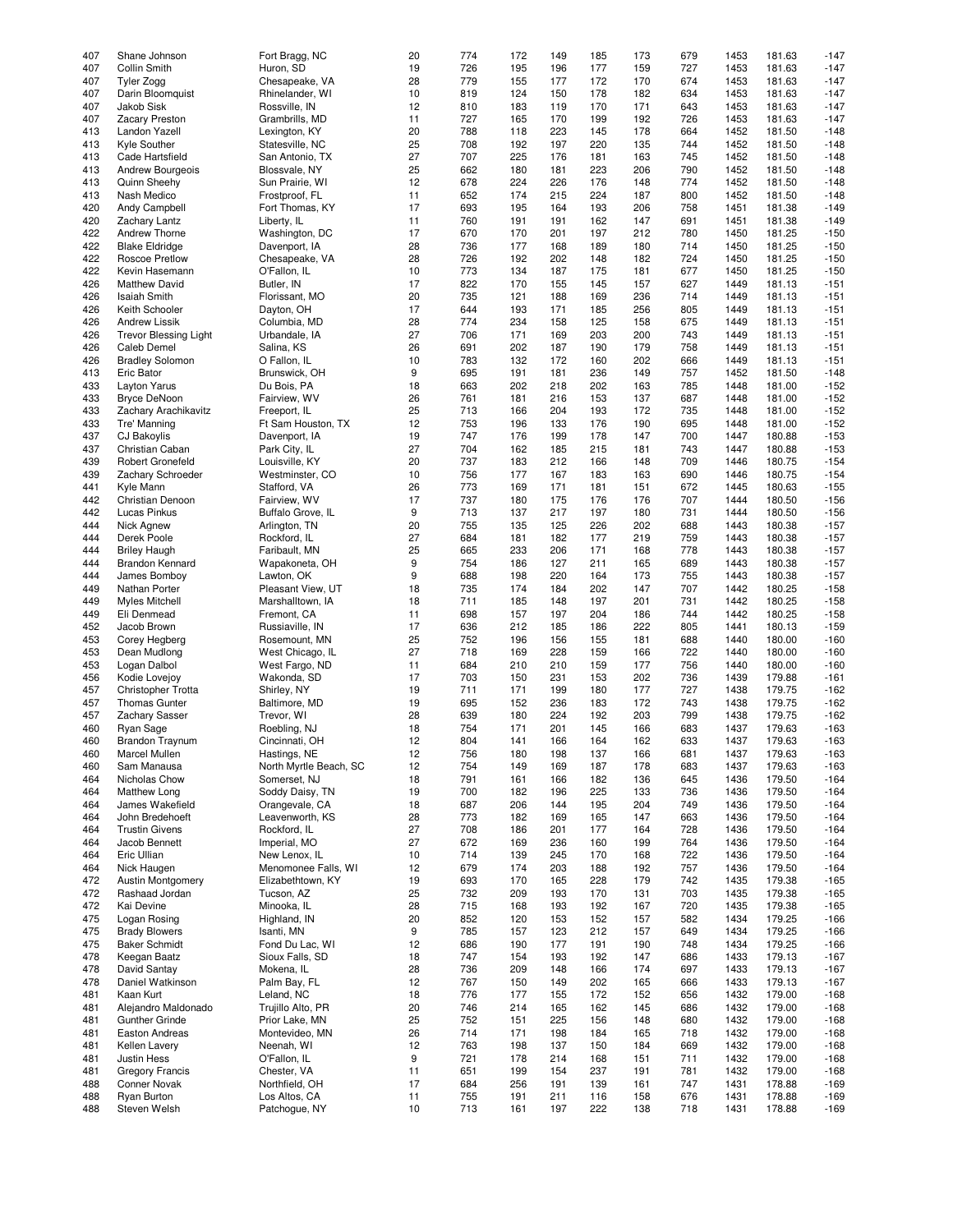|     |                              |                        |    | 774 | 172 | 149 |     | 173 | 679 | 1453 | 181.63 |        |
|-----|------------------------------|------------------------|----|-----|-----|-----|-----|-----|-----|------|--------|--------|
| 407 | Shane Johnson                | Fort Bragg, NC         | 20 |     |     |     | 185 |     |     |      |        | $-147$ |
| 407 | <b>Collin Smith</b>          | Huron, SD              | 19 | 726 | 195 | 196 | 177 | 159 | 727 | 1453 | 181.63 | $-147$ |
| 407 | Tyler Zogg                   | Chesapeake, VA         | 28 | 779 | 155 | 177 | 172 | 170 | 674 | 1453 | 181.63 | $-147$ |
| 407 |                              | Rhinelander, WI        | 10 | 819 | 124 | 150 | 178 | 182 | 634 | 1453 | 181.63 | $-147$ |
|     | Darin Bloomquist             |                        |    |     |     |     |     |     |     |      |        |        |
| 407 | Jakob Sisk                   | Rossville, IN          | 12 | 810 | 183 | 119 | 170 | 171 | 643 | 1453 | 181.63 | $-147$ |
| 407 | Zacary Preston               | Grambrills, MD         | 11 | 727 | 165 | 170 | 199 | 192 | 726 | 1453 | 181.63 | $-147$ |
|     |                              |                        | 20 | 788 |     | 223 |     | 178 |     |      |        |        |
| 413 | Landon Yazell                | Lexington, KY          |    |     | 118 |     | 145 |     | 664 | 1452 | 181.50 | $-148$ |
| 413 | Kyle Souther                 | Statesville, NC        | 25 | 708 | 192 | 197 | 220 | 135 | 744 | 1452 | 181.50 | $-148$ |
| 413 | Cade Hartsfield              | San Antonio, TX        | 27 | 707 | 225 | 176 | 181 | 163 | 745 | 1452 | 181.50 | $-148$ |
|     |                              |                        |    |     |     |     |     |     |     |      |        |        |
| 413 | Andrew Bourgeois             | Blossvale, NY          | 25 | 662 | 180 | 181 | 223 | 206 | 790 | 1452 | 181.50 | $-148$ |
| 413 | Quinn Sheehy                 | Sun Prairie, WI        | 12 | 678 | 224 | 226 | 176 | 148 | 774 | 1452 | 181.50 | $-148$ |
| 413 | Nash Medico                  | Frostproof, FL         | 11 | 652 | 174 | 215 | 224 | 187 | 800 | 1452 | 181.50 | $-148$ |
|     |                              |                        |    |     |     |     |     |     |     |      |        |        |
| 420 | Andy Campbell                | Fort Thomas, KY        | 17 | 693 | 195 | 164 | 193 | 206 | 758 | 1451 | 181.38 | $-149$ |
| 420 | Zachary Lantz                | Liberty, IL            | 11 | 760 | 191 | 191 | 162 | 147 | 691 | 1451 | 181.38 | $-149$ |
| 422 | Andrew Thorne                | Washington, DC         | 17 | 670 | 170 | 201 | 197 | 212 | 780 | 1450 | 181.25 | $-150$ |
|     |                              |                        |    |     |     |     |     |     |     |      |        |        |
| 422 | <b>Blake Eldridge</b>        | Davenport, IA          | 28 | 736 | 177 | 168 | 189 | 180 | 714 | 1450 | 181.25 | $-150$ |
| 422 | Roscoe Pretlow               | Chesapeake, VA         | 28 | 726 | 192 | 202 | 148 | 182 | 724 | 1450 | 181.25 | $-150$ |
| 422 | Kevin Hasemann               | O'Fallon, IL           | 10 | 773 | 134 | 187 | 175 | 181 | 677 | 1450 | 181.25 | $-150$ |
|     |                              |                        |    |     |     |     |     |     |     |      |        |        |
| 426 | <b>Matthew David</b>         | Butler, IN             | 17 | 822 | 170 | 155 | 145 | 157 | 627 | 1449 | 181.13 | $-151$ |
| 426 | <b>Isaiah Smith</b>          | Florissant, MO         | 20 | 735 | 121 | 188 | 169 | 236 | 714 | 1449 | 181.13 | $-151$ |
| 426 | Keith Schooler               | Dayton, OH             | 17 | 644 | 193 | 171 | 185 | 256 | 805 | 1449 | 181.13 | $-151$ |
|     |                              |                        |    |     |     |     |     |     |     |      |        |        |
| 426 | <b>Andrew Lissik</b>         | Columbia, MD           | 28 | 774 | 234 | 158 | 125 | 158 | 675 | 1449 | 181.13 | $-151$ |
| 426 | <b>Trevor Blessing Light</b> | Urbandale, IA          | 27 | 706 | 171 | 169 | 203 | 200 | 743 | 1449 | 181.13 | $-151$ |
| 426 | Caleb Demel                  |                        | 26 | 691 | 202 | 187 | 190 | 179 | 758 | 1449 | 181.13 | $-151$ |
|     |                              | Salina, KS             |    |     |     |     |     |     |     |      |        |        |
| 426 | <b>Bradley Solomon</b>       | O Fallon, IL           | 10 | 783 | 132 | 172 | 160 | 202 | 666 | 1449 | 181.13 | $-151$ |
| 413 | Eric Bator                   | Brunswick, OH          | 9  | 695 | 191 | 181 | 236 | 149 | 757 | 1452 | 181.50 | $-148$ |
|     |                              |                        |    |     |     |     |     |     |     |      |        |        |
| 433 | <b>Layton Yarus</b>          | Du Bois, PA            | 18 | 663 | 202 | 218 | 202 | 163 | 785 | 1448 | 181.00 | $-152$ |
| 433 | <b>Bryce DeNoon</b>          | Fairview, WV           | 26 | 761 | 181 | 216 | 153 | 137 | 687 | 1448 | 181.00 | $-152$ |
| 433 | Zachary Arachikavitz         | Freeport, IL           | 25 | 713 | 166 | 204 | 193 | 172 | 735 | 1448 | 181.00 | $-152$ |
|     |                              |                        |    |     |     |     |     |     |     |      |        |        |
| 433 | Tre' Manning                 | Ft Sam Houston, TX     | 12 | 753 | 196 | 133 | 176 | 190 | 695 | 1448 | 181.00 | $-152$ |
| 437 | <b>CJ Bakoylis</b>           | Davenport, IA          | 19 | 747 | 176 | 199 | 178 | 147 | 700 | 1447 | 180.88 | $-153$ |
| 437 | Christian Caban              | Park City, IL          | 27 | 704 | 162 | 185 | 215 | 181 | 743 | 1447 | 180.88 | $-153$ |
|     |                              |                        |    |     |     |     |     |     |     |      |        |        |
| 439 | <b>Robert Gronefeld</b>      | Louisville, KY         | 20 | 737 | 183 | 212 | 166 | 148 | 709 | 1446 | 180.75 | $-154$ |
| 439 | Zachary Schroeder            | Westminster, CO        | 10 | 756 | 177 | 167 | 183 | 163 | 690 | 1446 | 180.75 | $-154$ |
| 441 | Kyle Mann                    | Stafford, VA           | 26 | 773 | 169 | 171 | 181 | 151 | 672 | 1445 | 180.63 | $-155$ |
|     |                              |                        |    |     |     |     |     |     |     |      |        |        |
| 442 | Christian Denoon             | Fairview, WV           | 17 | 737 | 180 | 175 | 176 | 176 | 707 | 1444 | 180.50 | $-156$ |
| 442 | Lucas Pinkus                 | Buffalo Grove, IL      | 9  | 713 | 137 | 217 | 197 | 180 | 731 | 1444 | 180.50 | $-156$ |
| 444 | Nick Agnew                   | Arlington, TN          | 20 | 755 | 135 | 125 | 226 | 202 | 688 | 1443 | 180.38 | $-157$ |
|     |                              |                        |    |     |     |     |     |     |     |      |        |        |
| 444 | Derek Poole                  | Rockford, IL           | 27 | 684 | 181 | 182 | 177 | 219 | 759 | 1443 | 180.38 | $-157$ |
| 444 | <b>Briley Haugh</b>          | Faribault, MN          | 25 | 665 | 233 | 206 | 171 | 168 | 778 | 1443 | 180.38 | $-157$ |
| 444 | <b>Brandon Kennard</b>       | Wapakoneta, OH         | 9  | 754 | 186 | 127 | 211 | 165 | 689 | 1443 | 180.38 | $-157$ |
|     |                              |                        |    |     |     |     |     |     |     |      |        |        |
| 444 | James Bomboy                 | Lawton, OK             | 9  | 688 | 198 | 220 | 164 | 173 | 755 | 1443 | 180.38 | $-157$ |
| 449 | Nathan Porter                | Pleasant View, UT      | 18 | 735 | 174 | 184 | 202 | 147 | 707 | 1442 | 180.25 | $-158$ |
| 449 | <b>Myles Mitchell</b>        | Marshalltown, IA       | 18 | 711 | 185 | 148 | 197 | 201 | 731 | 1442 | 180.25 | $-158$ |
|     |                              |                        |    |     |     |     |     |     |     |      |        |        |
| 449 | Eli Denmead                  | Fremont, CA            | 11 | 698 | 157 | 197 | 204 | 186 | 744 | 1442 | 180.25 | $-158$ |
| 452 | Jacob Brown                  | Russiaville, IN        | 17 | 636 | 212 | 185 | 186 | 222 | 805 | 1441 | 180.13 | $-159$ |
| 453 | Corey Hegberg                | Rosemount, MN          | 25 | 752 | 196 | 156 | 155 | 181 | 688 | 1440 | 180.00 | $-160$ |
|     |                              |                        |    |     |     |     |     |     |     |      |        |        |
| 453 | Dean Mudlong                 | West Chicago, IL       | 27 | 718 | 169 | 228 | 159 | 166 | 722 | 1440 | 180.00 | $-160$ |
| 453 | Logan Dalbol                 | West Fargo, ND         | 11 | 684 | 210 | 210 | 159 | 177 | 756 | 1440 | 180.00 | $-160$ |
| 456 | Kodie Lovejoy                | Wakonda, SD            | 17 | 703 | 150 | 231 | 153 | 202 | 736 | 1439 | 179.88 | $-161$ |
|     |                              |                        |    |     |     |     |     |     |     |      |        |        |
| 457 | Christopher Trotta           | Shirley, NY            | 19 | 711 | 171 | 199 | 180 | 177 | 727 | 1438 | 179.75 | $-162$ |
| 457 | <b>Thomas Gunter</b>         | Baltimore, MD          | 19 | 695 | 152 | 236 | 183 | 172 | 743 | 1438 | 179.75 | $-162$ |
|     |                              |                        |    |     |     |     |     |     |     |      |        |        |
| 457 | Zachary Sasser               | Trevor, WI             | 28 | 639 | 180 | 224 | 192 | 203 | 799 | 1438 | 179.75 | $-162$ |
| 460 | Ryan Sage                    | Roebling, NJ           | 18 | 754 | 171 | 201 | 145 | 166 | 683 | 1437 | 179.63 | $-163$ |
| 460 | <b>Brandon Traynum</b>       | Cincinnati, OH         | 12 | 804 | 141 | 166 | 164 | 162 | 633 | 1437 | 179.63 | $-163$ |
|     |                              |                        |    |     |     |     |     |     |     |      |        |        |
| 460 | Marcel Mullen                | Hastings, NE           | 12 | 756 | 180 | 198 | 137 | 166 | 681 | 1437 | 179.63 | $-163$ |
| 460 | Sam Manausa                  | North Myrtle Beach, SC | 12 | 754 | 149 | 169 | 187 | 178 | 683 | 1437 | 179.63 | $-163$ |
| 464 | Nicholas Chow                | Somerset, NJ           | 18 | 791 | 161 | 166 | 182 | 136 | 645 | 1436 | 179.50 | $-164$ |
|     |                              |                        |    |     |     |     |     |     |     |      |        |        |
| 464 | Matthew Long                 | Soddy Daisy, TN        | 19 | 700 | 182 | 196 | 225 | 133 | 736 | 1436 | 179.50 | $-164$ |
| 464 | James Wakefield              | Orangevale, CA         | 18 | 687 | 206 | 144 | 195 | 204 | 749 | 1436 | 179.50 | $-164$ |
| 464 | John Bredehoeft              | Leavenworth, KS        | 28 | 773 | 182 | 169 | 165 | 147 | 663 | 1436 | 179.50 | $-164$ |
|     |                              |                        |    |     |     |     |     |     |     |      |        |        |
| 464 | <b>Trustin Givens</b>        | Rockford, IL           | 27 | 708 | 186 | 201 | 177 | 164 | 728 | 1436 | 179.50 | $-164$ |
| 464 | Jacob Bennett                | Imperial, MO           | 27 | 672 | 169 | 236 | 160 | 199 | 764 | 1436 | 179.50 | $-164$ |
| 464 | Eric Ullian                  | New Lenox, IL          | 10 | 714 | 139 | 245 | 170 | 168 | 722 | 1436 | 179.50 | $-164$ |
|     |                              |                        |    |     |     |     |     |     |     |      |        |        |
| 464 | Nick Haugen                  | Menomonee Falls, WI    | 12 | 679 | 174 | 203 | 188 | 192 | 757 | 1436 | 179.50 | $-164$ |
| 472 | <b>Austin Montgomery</b>     | Elizabethtown, KY      | 19 | 693 | 170 | 165 | 228 | 179 | 742 | 1435 | 179.38 | $-165$ |
| 472 | Rashaad Jordan               | Tucson, AZ             | 25 | 732 | 209 | 193 | 170 | 131 | 703 | 1435 | 179.38 | $-165$ |
|     |                              |                        |    |     |     |     |     |     |     |      |        |        |
| 472 | Kai Devine                   | Minooka, IL            | 28 | 715 | 168 | 193 | 192 | 167 | 720 | 1435 | 179.38 | $-165$ |
| 475 | Logan Rosing                 | Highland, IN           | 20 | 852 | 120 | 153 | 152 | 157 | 582 | 1434 | 179.25 | $-166$ |
| 475 | <b>Brady Blowers</b>         | Isanti, MN             | 9  | 785 | 157 | 123 | 212 | 157 | 649 | 1434 | 179.25 | $-166$ |
|     |                              |                        |    |     |     |     |     |     |     |      |        |        |
| 475 | <b>Baker Schmidt</b>         | Fond Du Lac, WI        | 12 | 686 | 190 | 177 | 191 | 190 | 748 | 1434 | 179.25 | $-166$ |
| 478 | Keegan Baatz                 | Sioux Falls, SD        | 18 | 747 | 154 | 193 | 192 | 147 | 686 | 1433 | 179.13 | $-167$ |
|     | David Santay                 | Mokena, IL             |    | 736 | 209 | 148 | 166 | 174 | 697 |      | 179.13 | $-167$ |
| 478 |                              |                        | 28 |     |     |     |     |     |     | 1433 |        |        |
| 478 | Daniel Watkinson             | Palm Bay, FL           | 12 | 767 | 150 | 149 | 202 | 165 | 666 | 1433 | 179.13 | $-167$ |
| 481 | Kaan Kurt                    | Leland, NC             | 18 | 776 | 177 | 155 | 172 | 152 | 656 | 1432 | 179.00 | $-168$ |
|     |                              |                        |    |     |     |     |     |     |     |      |        |        |
| 481 | Alejandro Maldonado          | Trujillo Alto, PR      | 20 | 746 | 214 | 165 | 162 | 145 | 686 | 1432 | 179.00 | $-168$ |
| 481 | <b>Gunther Grinde</b>        | Prior Lake, MN         | 25 | 752 | 151 | 225 | 156 | 148 | 680 | 1432 | 179.00 | $-168$ |
| 481 | Easton Andreas               | Montevideo, MN         | 26 | 714 | 171 | 198 | 184 | 165 | 718 | 1432 | 179.00 | $-168$ |
|     |                              |                        |    |     |     |     |     |     |     |      |        |        |
| 481 | Kellen Lavery                | Neenah, WI             | 12 | 763 | 198 | 137 | 150 | 184 | 669 | 1432 | 179.00 | $-168$ |
| 481 | Justin Hess                  | O'Fallon, IL           | 9  | 721 | 178 | 214 | 168 | 151 | 711 | 1432 | 179.00 | $-168$ |
| 481 | <b>Gregory Francis</b>       | Chester, VA            | 11 | 651 | 199 | 154 | 237 | 191 | 781 | 1432 | 179.00 | $-168$ |
|     |                              |                        |    |     |     |     |     |     |     |      |        |        |
| 488 | Conner Novak                 | Northfield, OH         | 17 | 684 | 256 | 191 | 139 | 161 | 747 | 1431 | 178.88 | $-169$ |
| 488 | Ryan Burton                  | Los Altos, CA          | 11 | 755 | 191 | 211 | 116 | 158 | 676 | 1431 | 178.88 | $-169$ |
| 488 | Steven Welsh                 | Patchogue, NY          | 10 | 713 | 161 | 197 | 222 | 138 | 718 | 1431 | 178.88 | $-169$ |
|     |                              |                        |    |     |     |     |     |     |     |      |        |        |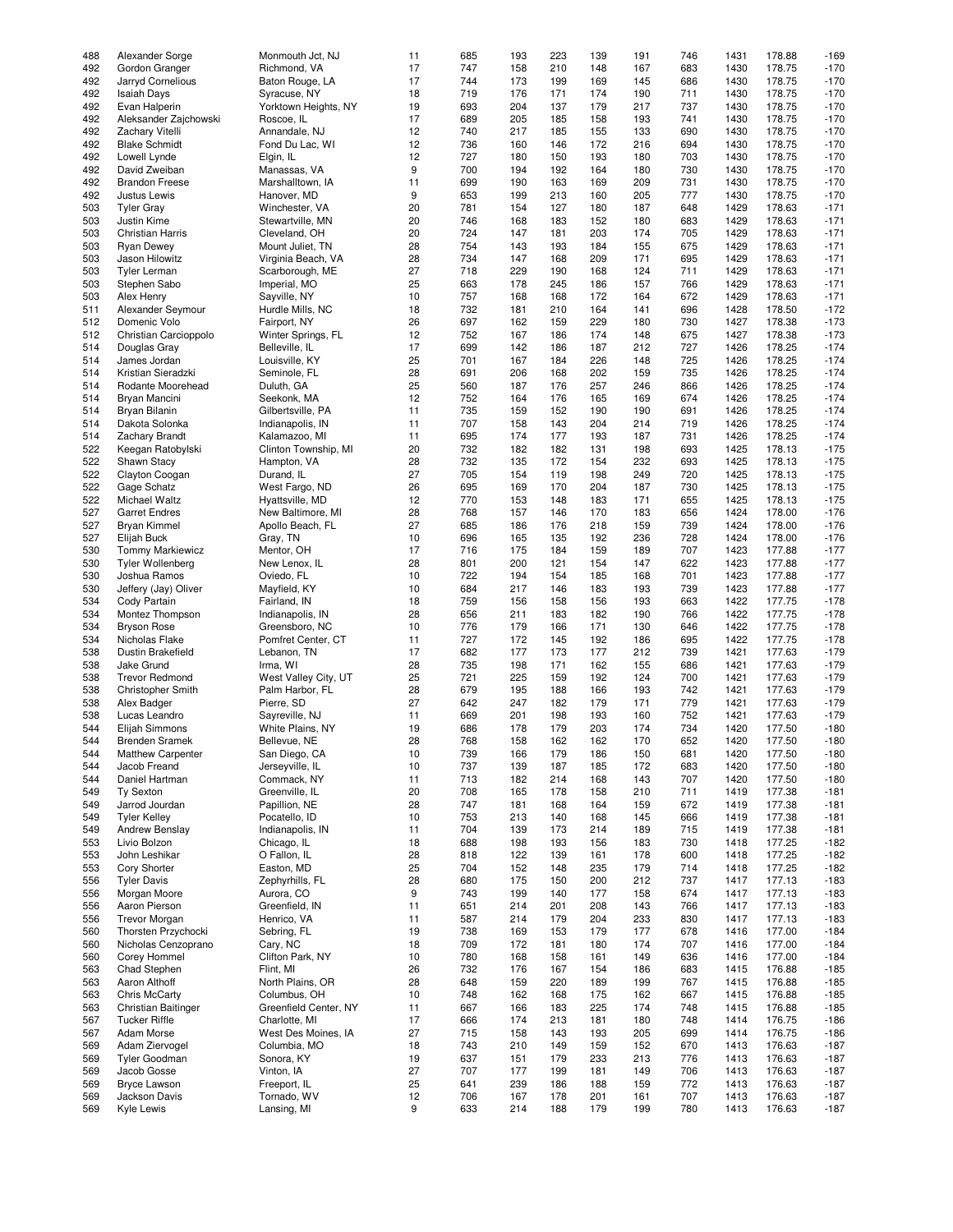| 488 | Alexander Sorge          | Monmouth Jct, NJ      | 11 | 685 | 193 | 223 | 139 | 191 | 746 | 1431 | 178.88 | $-169$ |
|-----|--------------------------|-----------------------|----|-----|-----|-----|-----|-----|-----|------|--------|--------|
|     |                          |                       |    |     |     |     |     |     |     |      |        |        |
| 492 | Gordon Granger           | Richmond, VA          | 17 | 747 | 158 | 210 | 148 | 167 | 683 | 1430 | 178.75 | $-170$ |
| 492 | Jarryd Cornelious        | Baton Rouge, LA       | 17 | 744 | 173 | 199 | 169 | 145 | 686 | 1430 | 178.75 | $-170$ |
| 492 | <b>Isaiah Days</b>       | Syracuse, NY          | 18 | 719 | 176 | 171 | 174 | 190 | 711 | 1430 | 178.75 | $-170$ |
|     |                          |                       |    |     |     |     |     |     |     |      |        |        |
| 492 | Evan Halperin            | Yorktown Heights, NY  | 19 | 693 | 204 | 137 | 179 | 217 | 737 | 1430 | 178.75 | $-170$ |
| 492 | Aleksander Zajchowski    | Roscoe, IL            | 17 | 689 | 205 | 185 | 158 | 193 | 741 | 1430 | 178.75 | $-170$ |
| 492 | Zachary Vitelli          | Annandale, NJ         | 12 | 740 | 217 | 185 | 155 | 133 | 690 | 1430 | 178.75 | $-170$ |
| 492 | <b>Blake Schmidt</b>     |                       | 12 | 736 | 160 | 146 | 172 | 216 | 694 | 1430 | 178.75 | $-170$ |
|     |                          | Fond Du Lac, WI       |    |     |     |     |     |     |     |      |        |        |
| 492 | Lowell Lynde             | Elgin, IL             | 12 | 727 | 180 | 150 | 193 | 180 | 703 | 1430 | 178.75 | $-170$ |
| 492 | David Zweiban            | Manassas, VA          | 9  | 700 | 194 | 192 | 164 | 180 | 730 | 1430 | 178.75 | $-170$ |
| 492 | <b>Brandon Freese</b>    | Marshalltown, IA      | 11 | 699 | 190 | 163 | 169 | 209 | 731 | 1430 | 178.75 | $-170$ |
|     |                          |                       |    |     |     |     |     |     |     |      |        |        |
| 492 | Justus Lewis             | Hanover, MD           | 9  | 653 | 199 | 213 | 160 | 205 | 777 | 1430 | 178.75 | $-170$ |
| 503 | <b>Tyler Gray</b>        | Winchester, VA        | 20 | 781 | 154 | 127 | 180 | 187 | 648 | 1429 | 178.63 | $-171$ |
| 503 | Justin Kime              | Stewartville, MN      | 20 | 746 | 168 | 183 | 152 | 180 | 683 | 1429 | 178.63 | $-171$ |
|     |                          |                       |    |     |     |     |     |     |     |      |        |        |
| 503 | Christian Harris         | Cleveland, OH         | 20 | 724 | 147 | 181 | 203 | 174 | 705 | 1429 | 178.63 | $-171$ |
| 503 | <b>Ryan Dewey</b>        | Mount Juliet, TN      | 28 | 754 | 143 | 193 | 184 | 155 | 675 | 1429 | 178.63 | $-171$ |
| 503 | Jason Hilowitz           | Virginia Beach, VA    | 28 | 734 | 147 | 168 | 209 | 171 | 695 | 1429 | 178.63 | $-171$ |
|     |                          |                       |    |     |     |     |     |     |     |      |        |        |
| 503 | <b>Tyler Lerman</b>      | Scarborough, ME       | 27 | 718 | 229 | 190 | 168 | 124 | 711 | 1429 | 178.63 | $-171$ |
| 503 | Stephen Sabo             | Imperial, MO          | 25 | 663 | 178 | 245 | 186 | 157 | 766 | 1429 | 178.63 | $-171$ |
| 503 | Alex Henry               | Sayville, NY          | 10 | 757 | 168 | 168 | 172 | 164 | 672 | 1429 | 178.63 | $-171$ |
|     |                          |                       |    |     |     |     |     |     |     |      |        |        |
| 511 | Alexander Seymour        | Hurdle Mills, NC      | 18 | 732 | 181 | 210 | 164 | 141 | 696 | 1428 | 178.50 | $-172$ |
| 512 | Domenic Volo             | Fairport, NY          | 26 | 697 | 162 | 159 | 229 | 180 | 730 | 1427 | 178.38 | $-173$ |
| 512 | Christian Carcioppolo    | Winter Springs, FL    | 12 | 752 | 167 | 186 | 174 | 148 | 675 | 1427 | 178.38 | $-173$ |
|     |                          |                       | 17 |     |     |     |     |     |     |      |        |        |
| 514 | Douglas Gray             | Belleville, IL        |    | 699 | 142 | 186 | 187 | 212 | 727 | 1426 | 178.25 | $-174$ |
| 514 | James Jordan             | Louisville, KY        | 25 | 701 | 167 | 184 | 226 | 148 | 725 | 1426 | 178.25 | $-174$ |
| 514 | Kristian Sieradzki       | Seminole, FL          | 28 | 691 | 206 | 168 | 202 | 159 | 735 | 1426 | 178.25 | $-174$ |
|     |                          |                       |    |     |     |     |     |     |     |      |        |        |
| 514 | Rodante Moorehead        | Duluth, GA            | 25 | 560 | 187 | 176 | 257 | 246 | 866 | 1426 | 178.25 | $-174$ |
| 514 | Bryan Mancini            | Seekonk, MA           | 12 | 752 | 164 | 176 | 165 | 169 | 674 | 1426 | 178.25 | $-174$ |
| 514 | Bryan Bilanin            | Gilbertsville, PA     | 11 | 735 | 159 | 152 | 190 | 190 | 691 | 1426 | 178.25 | $-174$ |
|     |                          |                       |    |     |     |     |     |     |     |      |        |        |
| 514 | Dakota Solonka           | Indianapolis, IN      | 11 | 707 | 158 | 143 | 204 | 214 | 719 | 1426 | 178.25 | $-174$ |
| 514 | <b>Zachary Brandt</b>    | Kalamazoo, MI         | 11 | 695 | 174 | 177 | 193 | 187 | 731 | 1426 | 178.25 | $-174$ |
| 522 | Keegan Ratobylski        | Clinton Township, MI  | 20 | 732 | 182 | 182 | 131 | 198 | 693 | 1425 | 178.13 | $-175$ |
|     |                          |                       |    |     |     |     |     |     |     |      |        |        |
| 522 | Shawn Stacy              | Hampton, VA           | 28 | 732 | 135 | 172 | 154 | 232 | 693 | 1425 | 178.13 | $-175$ |
| 522 | Clayton Coogan           | Durand, IL            | 27 | 705 | 154 | 119 | 198 | 249 | 720 | 1425 | 178.13 | $-175$ |
| 522 |                          |                       | 26 | 695 | 169 | 170 | 204 | 187 | 730 | 1425 | 178.13 | $-175$ |
|     | Gage Schatz              | West Fargo, ND        |    |     |     |     |     |     |     |      |        |        |
| 522 | Michael Waltz            | Hyattsville, MD       | 12 | 770 | 153 | 148 | 183 | 171 | 655 | 1425 | 178.13 | $-175$ |
| 527 | <b>Garret Endres</b>     | New Baltimore, MI     | 28 | 768 | 157 | 146 | 170 | 183 | 656 | 1424 | 178.00 | $-176$ |
| 527 | <b>Bryan Kimmel</b>      | Apollo Beach, FL      | 27 | 685 | 186 | 176 | 218 | 159 | 739 | 1424 | 178.00 | $-176$ |
|     |                          |                       |    |     |     |     |     |     |     |      |        |        |
| 527 | Elijah Buck              | Gray, TN              | 10 | 696 | 165 | 135 | 192 | 236 | 728 | 1424 | 178.00 | $-176$ |
| 530 | <b>Tommy Markiewicz</b>  | Mentor, OH            | 17 | 716 | 175 | 184 | 159 | 189 | 707 | 1423 | 177.88 | $-177$ |
| 530 | <b>Tyler Wollenberg</b>  | New Lenox, IL         | 28 | 801 | 200 | 121 | 154 | 147 | 622 | 1423 | 177.88 | $-177$ |
|     |                          |                       |    |     |     |     |     |     |     |      |        |        |
| 530 | Joshua Ramos             | Oviedo, FL            | 10 | 722 | 194 | 154 | 185 | 168 | 701 | 1423 | 177.88 | $-177$ |
| 530 | Jeffery (Jay) Oliver     | Mayfield, KY          | 10 | 684 | 217 | 146 | 183 | 193 | 739 | 1423 | 177.88 | $-177$ |
| 534 | Cody Partain             | Fairland, IN          | 18 | 759 | 156 | 158 | 156 | 193 | 663 | 1422 | 177.75 | $-178$ |
|     |                          |                       |    |     |     |     |     |     |     |      |        |        |
| 534 | Montez Thompson          | Indianapolis, IN      | 28 | 656 | 211 | 183 | 182 | 190 | 766 | 1422 | 177.75 | $-178$ |
| 534 | <b>Bryson Rose</b>       | Greensboro, NC        | 10 | 776 | 179 | 166 | 171 | 130 | 646 | 1422 | 177.75 | $-178$ |
| 534 | Nicholas Flake           | Pomfret Center, CT    | 11 | 727 | 172 | 145 | 192 | 186 | 695 | 1422 | 177.75 | $-178$ |
|     |                          |                       |    |     |     |     |     |     |     |      |        |        |
| 538 | Dustin Brakefield        | Lebanon, TN           | 17 | 682 | 177 | 173 | 177 | 212 | 739 | 1421 | 177.63 | $-179$ |
| 538 | Jake Grund               | Irma, WI              | 28 | 735 | 198 | 171 | 162 | 155 | 686 | 1421 | 177.63 | $-179$ |
| 538 | <b>Trevor Redmond</b>    | West Valley City, UT  | 25 | 721 | 225 | 159 | 192 | 124 | 700 | 1421 | 177.63 | $-179$ |
|     |                          |                       |    |     |     |     |     |     |     |      |        |        |
| 538 | Christopher Smith        | Palm Harbor, FL       | 28 | 679 | 195 | 188 | 166 | 193 | 742 | 1421 | 177.63 | $-179$ |
| 538 | Alex Badger              | Pierre, SD            | 27 | 642 | 247 | 182 | 179 | 171 | 779 | 1421 | 177.63 | $-179$ |
| 538 | Lucas Leandro            | Sayreville, NJ        | 11 | 669 | 201 | 198 | 193 | 160 | 752 | 1421 | 177.63 | $-179$ |
|     |                          |                       |    |     |     |     |     |     |     |      |        |        |
| 544 | Elijah Simmons           | White Plains, NY      | 19 | 686 | 178 | 179 | 203 | 174 | 734 | 1420 | 177.50 | $-180$ |
| 544 | <b>Brenden Sramek</b>    | Bellevue, NE          | 28 | 768 | 158 | 162 | 162 | 170 | 652 | 1420 | 177.50 | $-180$ |
| 544 | <b>Matthew Carpenter</b> | San Diego, CA         | 10 | 739 | 166 | 179 | 186 | 150 | 681 | 1420 | 177.50 | -180   |
|     |                          |                       |    |     |     |     |     |     |     |      |        |        |
| 544 | Jacob Freand             | Jerseyville, IL       | 10 | 737 | 139 | 187 | 185 | 172 | 683 | 1420 | 177.50 | $-180$ |
| 544 | Daniel Hartman           | Commack, NY           | 11 | 713 | 182 | 214 | 168 | 143 | 707 | 1420 | 177.50 | $-180$ |
| 549 | <b>Ty Sexton</b>         | Greenville, IL        | 20 | 708 | 165 | 178 | 158 | 210 | 711 | 1419 | 177.38 | $-181$ |
|     |                          |                       |    |     |     |     |     |     |     |      |        |        |
| 549 | Jarrod Jourdan           | Papillion, NE         | 28 | 747 | 181 | 168 | 164 | 159 | 672 | 1419 | 177.38 | $-181$ |
| 549 | <b>Tyler Kelley</b>      | Pocatello, ID         | 10 | 753 | 213 | 140 | 168 | 145 | 666 | 1419 | 177.38 | $-181$ |
| 549 | Andrew Benslay           | Indianapolis, IN      | 11 | 704 | 139 | 173 | 214 | 189 | 715 | 1419 | 177.38 | $-181$ |
|     |                          |                       |    |     |     |     |     |     |     |      |        |        |
| 553 | Livio Bolzon             | Chicago, IL           | 18 | 688 | 198 | 193 | 156 | 183 | 730 | 1418 | 177.25 | $-182$ |
| 553 | John Leshikar            | O Fallon, IL          | 28 | 818 | 122 | 139 | 161 | 178 | 600 | 1418 | 177.25 | $-182$ |
| 553 | Cory Shorter             | Easton, MD            | 25 | 704 | 152 | 148 | 235 | 179 | 714 | 1418 | 177.25 | $-182$ |
| 556 | <b>Tyler Davis</b>       | Zephyrhills, FL       | 28 | 680 | 175 | 150 | 200 | 212 | 737 | 1417 | 177.13 | $-183$ |
|     |                          |                       |    |     |     |     |     |     |     |      |        |        |
| 556 | Morgan Moore             | Aurora, CO            | 9  | 743 | 199 | 140 | 177 | 158 | 674 | 1417 | 177.13 | $-183$ |
| 556 | Aaron Pierson            | Greenfield, IN        | 11 | 651 | 214 | 201 | 208 | 143 | 766 | 1417 | 177.13 | $-183$ |
|     |                          |                       |    |     |     |     |     |     |     |      |        |        |
| 556 | <b>Trevor Morgan</b>     | Henrico, VA           | 11 | 587 | 214 | 179 | 204 | 233 | 830 | 1417 | 177.13 | $-183$ |
| 560 | Thorsten Przychocki      | Sebring, FL           | 19 | 738 | 169 | 153 | 179 | 177 | 678 | 1416 | 177.00 | $-184$ |
| 560 | Nicholas Cenzoprano      | Cary, NC              | 18 | 709 | 172 | 181 | 180 | 174 | 707 | 1416 | 177.00 | $-184$ |
|     |                          |                       |    |     |     |     |     |     |     |      |        |        |
| 560 | Corey Hommel             | Clifton Park, NY      | 10 | 780 | 168 | 158 | 161 | 149 | 636 | 1416 | 177.00 | $-184$ |
| 563 | Chad Stephen             | Flint, MI             | 26 | 732 | 176 | 167 | 154 | 186 | 683 | 1415 | 176.88 | $-185$ |
| 563 | Aaron Althoff            | North Plains, OR      | 28 | 648 | 159 | 220 | 189 | 199 | 767 | 1415 | 176.88 | $-185$ |
|     |                          |                       |    |     |     |     |     |     |     |      |        |        |
| 563 | Chris McCarty            | Columbus, OH          | 10 | 748 | 162 | 168 | 175 | 162 | 667 | 1415 | 176.88 | $-185$ |
| 563 | Christian Baitinger      | Greenfield Center, NY | 11 | 667 | 166 | 183 | 225 | 174 | 748 | 1415 | 176.88 | $-185$ |
| 567 | <b>Tucker Riffle</b>     | Charlotte, MI         | 17 | 666 | 174 | 213 | 181 | 180 | 748 | 1414 | 176.75 | $-186$ |
|     |                          |                       |    |     |     |     |     |     |     |      |        |        |
| 567 | Adam Morse               | West Des Moines, IA   | 27 | 715 | 158 | 143 | 193 | 205 | 699 | 1414 | 176.75 | $-186$ |
| 569 | Adam Ziervogel           | Columbia, MO          | 18 | 743 | 210 | 149 | 159 | 152 | 670 | 1413 | 176.63 | $-187$ |
| 569 | Tyler Goodman            | Sonora, KY            | 19 | 637 | 151 | 179 | 233 | 213 | 776 | 1413 | 176.63 | $-187$ |
|     | Jacob Gosse              | Vinton, IA            | 27 |     |     |     |     |     |     |      |        |        |
| 569 |                          |                       |    | 707 | 177 | 199 | 181 | 149 | 706 | 1413 | 176.63 | $-187$ |
| 569 | <b>Bryce Lawson</b>      | Freeport, IL          | 25 | 641 | 239 | 186 | 188 | 159 | 772 | 1413 | 176.63 | $-187$ |
| 569 | Jackson Davis            | Tornado, WV           | 12 | 706 | 167 | 178 | 201 | 161 | 707 | 1413 | 176.63 | $-187$ |
| 569 | Kyle Lewis               | Lansing, MI           | 9  | 633 | 214 | 188 | 179 | 199 | 780 | 1413 | 176.63 | $-187$ |
|     |                          |                       |    |     |     |     |     |     |     |      |        |        |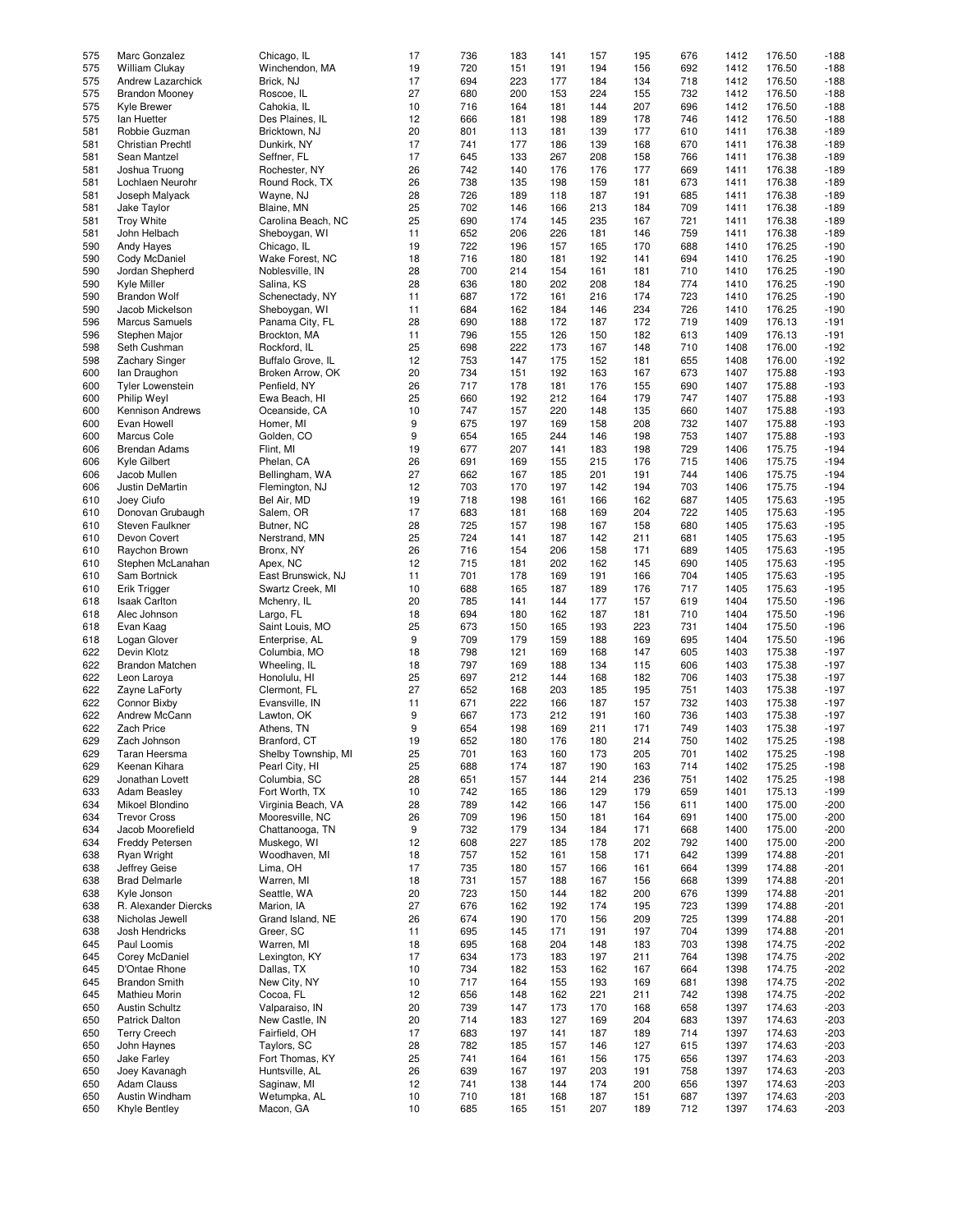| 575        | Marc Gonzalez                   | Chicago, IL               | 17       | 736        | 183        | 141        | 157        | 195        | 676        | 1412         | 176.50           | $-188$           |
|------------|---------------------------------|---------------------------|----------|------------|------------|------------|------------|------------|------------|--------------|------------------|------------------|
|            |                                 |                           |          |            |            |            |            |            |            |              |                  |                  |
| 575        | William Clukay                  | Winchendon, MA            | 19       | 720        | 151        | 191        | 194        | 156        | 692        | 1412         | 176.50           | $-188$           |
| 575        | Andrew Lazarchick               | Brick, NJ                 | 17       | 694        | 223        | 177        | 184        | 134        | 718        | 1412         | 176.50           | $-188$           |
| 575        | <b>Brandon Mooney</b>           | Roscoe, IL                | 27       | 680        | 200        | 153        | 224        | 155        | 732        | 1412         | 176.50           | $-188$           |
|            | Kyle Brewer                     | Cahokia, IL               |          | 716        |            |            |            |            |            |              | 176.50           |                  |
| 575        |                                 |                           | 10       |            | 164        | 181        | 144        | 207        | 696        | 1412         |                  | $-188$           |
| 575        | lan Huetter                     | Des Plaines, IL           | 12       | 666        | 181        | 198        | 189        | 178        | 746        | 1412         | 176.50           | $-188$           |
| 581        | Robbie Guzman                   | Bricktown, NJ             | 20       | 801        | 113        | 181        | 139        | 177        | 610        | 1411         | 176.38           | $-189$           |
| 581        | <b>Christian Prechtl</b>        | Dunkirk, NY               | 17       | 741        | 177        | 186        | 139        | 168        | 670        | 1411         | 176.38           | $-189$           |
|            |                                 |                           |          |            |            |            |            |            |            |              |                  |                  |
| 581        | Sean Mantzel                    | Seffner, FL               | 17       | 645        | 133        | 267        | 208        | 158        | 766        | 1411         | 176.38           | $-189$           |
| 581        | Joshua Truong                   | Rochester, NY             | 26       | 742        | 140        | 176        | 176        | 177        | 669        | 1411         | 176.38           | $-189$           |
| 581        | Lochlaen Neurohr                | Round Rock, TX            | 26       | 738        | 135        | 198        | 159        | 181        | 673        | 1411         | 176.38           | $-189$           |
| 581        |                                 |                           | 28       | 726        | 189        | 118        | 187        | 191        | 685        | 1411         | 176.38           | $-189$           |
|            | Joseph Malyack                  | Wayne, NJ                 |          |            |            |            |            |            |            |              |                  |                  |
| 581        | Jake Taylor                     | Blaine, MN                | 25       | 702        | 146        | 166        | 213        | 184        | 709        | 1411         | 176.38           | $-189$           |
| 581        | <b>Troy White</b>               | Carolina Beach, NC        | 25       | 690        | 174        | 145        | 235        | 167        | 721        | 1411         | 176.38           | $-189$           |
| 581        | John Helbach                    | Sheboygan, WI             | 11       | 652        | 206        | 226        | 181        | 146        | 759        | 1411         | 176.38           | $-189$           |
|            |                                 |                           |          |            |            |            |            |            |            |              |                  |                  |
| 590        | Andy Hayes                      | Chicago, IL               | 19       | 722        | 196        | 157        | 165        | 170        | 688        | 1410         | 176.25           | $-190$           |
| 590        | Cody McDaniel                   | Wake Forest, NC           | 18       | 716        | 180        | 181        | 192        | 141        | 694        | 1410         | 176.25           | $-190$           |
| 590        | Jordan Shepherd                 | Noblesville, IN           | 28       | 700        | 214        | 154        | 161        | 181        | 710        | 1410         | 176.25           | $-190$           |
|            |                                 |                           |          |            |            |            | 208        |            | 774        |              | 176.25           |                  |
| 590        | Kyle Miller                     | Salina, KS                | 28       | 636        | 180        | 202        |            | 184        |            | 1410         |                  | $-190$           |
| 590        | <b>Brandon Wolf</b>             | Schenectady, NY           | 11       | 687        | 172        | 161        | 216        | 174        | 723        | 1410         | 176.25           | $-190$           |
| 590        | Jacob Mickelson                 | Sheboygan, WI             | 11       | 684        | 162        | 184        | 146        | 234        | 726        | 1410         | 176.25           | $-190$           |
| 596        | <b>Marcus Samuels</b>           | Panama City, FL           | 28       | 690        | 188        | 172        | 187        | 172        | 719        | 1409         | 176.13           | $-191$           |
|            |                                 |                           |          |            |            |            |            |            |            |              |                  |                  |
| 596        | Stephen Major                   | Brockton, MA              | 11       | 796        | 155        | 126        | 150        | 182        | 613        | 1409         | 176.13           | $-191$           |
| 598        | Seth Cushman                    | Rockford, IL              | 25       | 698        | 222        | 173        | 167        | 148        | 710        | 1408         | 176.00           | $-192$           |
| 598        | <b>Zachary Singer</b>           | Buffalo Grove, IL         | 12       | 753        | 147        | 175        | 152        | 181        | 655        | 1408         | 176.00           | $-192$           |
|            |                                 |                           |          |            |            |            |            |            |            |              |                  |                  |
| 600        | lan Draughon                    | Broken Arrow, OK          | 20       | 734        | 151        | 192        | 163        | 167        | 673        | 1407         | 175.88           | $-193$           |
| 600        | <b>Tyler Lowenstein</b>         | Penfield, NY              | 26       | 717        | 178        | 181        | 176        | 155        | 690        | 1407         | 175.88           | $-193$           |
| 600        | Philip Weyl                     | Ewa Beach, HI             | 25       | 660        | 192        | 212        | 164        | 179        | 747        | 1407         | 175.88           | $-193$           |
| 600        | Kennison Andrews                | Oceanside, CA             | 10       | 747        | 157        | 220        | 148        | 135        | 660        | 1407         | 175.88           | $-193$           |
|            |                                 |                           |          |            |            |            |            |            |            |              |                  |                  |
| 600        | Evan Howell                     | Homer, MI                 | 9        | 675        | 197        | 169        | 158        | 208        | 732        | 1407         | 175.88           | $-193$           |
| 600        | Marcus Cole                     | Golden, CO                | 9        | 654        | 165        | 244        | 146        | 198        | 753        | 1407         | 175.88           | $-193$           |
| 606        | <b>Brendan Adams</b>            | Flint, MI                 | 19       | 677        | 207        | 141        | 183        | 198        | 729        | 1406         | 175.75           | $-194$           |
|            |                                 |                           |          |            |            |            |            |            |            |              |                  |                  |
| 606        | Kyle Gilbert                    | Phelan, CA                | 26       | 691        | 169        | 155        | 215        | 176        | 715        | 1406         | 175.75           | $-194$           |
| 606        | Jacob Mullen                    | Bellingham, WA            | 27       | 662        | 167        | 185        | 201        | 191        | 744        | 1406         | 175.75           | $-194$           |
| 606        | Justin DeMartin                 | Flemington, NJ            | 12       | 703        | 170        | 197        | 142        | 194        | 703        | 1406         | 175.75           | $-194$           |
|            | Joey Ciufo                      |                           |          | 718        | 198        |            |            |            | 687        | 1405         | 175.63           | $-195$           |
| 610        |                                 | Bel Air, MD               | 19       |            |            | 161        | 166        | 162        |            |              |                  |                  |
| 610        | Donovan Grubaugh                | Salem, OR                 | 17       | 683        | 181        | 168        | 169        | 204        | 722        | 1405         | 175.63           | $-195$           |
| 610        | Steven Faulkner                 | Butner, NC                | 28       | 725        | 157        | 198        | 167        | 158        | 680        | 1405         | 175.63           | $-195$           |
| 610        | Devon Covert                    | Nerstrand, MN             | 25       | 724        | 141        | 187        | 142        | 211        | 681        | 1405         | 175.63           | $-195$           |
|            |                                 |                           |          |            |            |            |            |            |            |              |                  |                  |
| 610        | Raychon Brown                   | Bronx, NY                 | 26       | 716        | 154        | 206        | 158        | 171        | 689        | 1405         | 175.63           | $-195$           |
| 610        | Stephen McLanahan               | Apex, NC                  | 12       | 715        | 181        | 202        | 162        | 145        | 690        | 1405         | 175.63           | $-195$           |
| 610        | Sam Bortnick                    | East Brunswick, NJ        | 11       | 701        | 178        | 169        | 191        | 166        | 704        | 1405         | 175.63           | $-195$           |
|            |                                 |                           |          |            |            |            |            |            |            |              |                  |                  |
| 610        | Erik Trigger                    | Swartz Creek, MI          | 10       | 688        | 165        | 187        | 189        | 176        | 717        | 1405         | 175.63           | $-195$           |
| 618        | <b>Isaak Carlton</b>            | Mchenry, IL               | 20       | 785        | 141        | 144        | 177        | 157        | 619        | 1404         | 175.50           | $-196$           |
| 618        | Alec Johnson                    | Largo, FL                 | 18       | 694        | 180        | 162        | 187        | 181        | 710        | 1404         | 175.50           | $-196$           |
| 618        | Evan Kaag                       | Saint Louis, MO           | 25       | 673        | 150        | 165        | 193        | 223        | 731        | 1404         | 175.50           | $-196$           |
|            |                                 |                           |          |            |            |            |            |            |            |              |                  |                  |
| 618        | Logan Glover                    | Enterprise, AL            | 9        | 709        | 179        | 159        | 188        | 169        | 695        | 1404         | 175.50           | $-196$           |
| 622        | Devin Klotz                     | Columbia, MO              | 18       | 798        | 121        | 169        | 168        | 147        | 605        | 1403         | 175.38           | $-197$           |
| 622        | Brandon Matchen                 | Wheeling, IL              | 18       | 797        | 169        | 188        | 134        | 115        | 606        | 1403         | 175.38           | $-197$           |
|            |                                 |                           |          |            |            |            |            |            |            |              |                  |                  |
| 622        | Leon Laroya                     | Honolulu, HI              | 25       | 697        | 212        | 144        | 168        | 182        | 706        | 1403         | 175.38           | $-197$           |
| 622        | Zayne LaForty                   | Clermont, FL              | 27       | 652        | 168        | 203        | 185        | 195        | 751        | 1403         | 175.38           | $-197$           |
| 622        | Connor Bixby                    | Evansville, IN            | 11       | 671        | 222        | 166        | 187        | 157        | 732        | 1403         | 175.38           | $-197$           |
| 622        | Andrew McCann                   |                           | 9        | 667        |            | 212        |            | 160        |            |              | 175.38           | $-197$           |
|            |                                 | Lawton, OK                |          |            | 173        |            | 191        |            | 736        | 1403         |                  |                  |
| 622        | Zach Price                      | Athens, TN                | 9        | 654        | 198        | 169        | 211        | 171        | 749        | 1403         | 175.38           | $-197$           |
| 629        | Zach Johnson                    | Branford, CT              | 19       | 652        | 180        | 176        | 180        | 214        | 750        | 1402         | 175.25           | $-198$           |
| 629        | Taran Heersma                   | Shelby Township, MI       | 25       | 701        | 163        | 160        | 173        | 205        | 701        | 1402         | 175.25           | $-198$           |
|            |                                 |                           |          |            |            |            |            |            |            |              |                  |                  |
| 629        | Keenan Kihara                   | Pearl City, HI            | 25       | 688        | 174        | 187        | 190        | 163        | 714        | 1402         | 175.25           | $-198$           |
| 629        | Jonathan Lovett                 | Columbia, SC              | 28       | 651        | 157        | 144        | 214        | 236        | 751        | 1402         | 175.25           | $-198$           |
| 633        | <b>Adam Beasley</b>             | Fort Worth, TX            | 10       | 742        | 165        | 186        | 129        | 179        | 659        | 1401         | 175.13           | $-199$           |
| 634        | Mikoel Blondino                 | Virginia Beach, VA        | 28       | 789        | 142        | 166        | 147        | 156        | 611        | 1400         | 175.00           | $-200$           |
|            |                                 |                           |          |            |            |            |            |            |            |              |                  |                  |
| 634        | <b>Trevor Cross</b>             | Mooresville, NC           | 26       | 709        | 196        | 150        | 181        | 164        | 691        | 1400         | 175.00           | $-200$           |
| 634        | Jacob Moorefield                | Chattanooga, TN           | 9        | 732        | 179        | 134        | 184        | 171        | 668        | 1400         | 175.00           | $-200$           |
| 634        | Freddy Petersen                 | Muskego, WI               | 12       | 608        | 227        | 185        | 178        | 202        | 792        | 1400         | 175.00           | $-200$           |
| 638        | Ryan Wright                     | Woodhaven, MI             | 18       | 757        | 152        | 161        | 158        | 171        | 642        | 1399         | 174.88           | $-201$           |
|            |                                 |                           |          |            |            |            |            |            |            |              |                  |                  |
| 638        | Jeffrey Geise                   | Lima, OH                  | 17       | 735        | 180        | 157        | 166        | 161        | 664        | 1399         | 174.88           | $-201$           |
| 638        | <b>Brad Delmarle</b>            | Warren, MI                | 18       | 731        | 157        | 188        | 167        | 156        | 668        | 1399         | 174.88           | $-201$           |
| 638        | Kyle Jonson                     | Seattle, WA               | 20       | 723        | 150        | 144        | 182        | 200        | 676        | 1399         | 174.88           | $-201$           |
|            |                                 |                           |          |            |            |            |            |            |            |              |                  |                  |
| 638        | R. Alexander Diercks            | Marion, IA                | 27       | 676        | 162        | 192        | 174        | 195        | 723        | 1399         | 174.88           | $-201$           |
| 638        | Nicholas Jewell                 | Grand Island, NE          | 26       | 674        | 190        | 170        | 156        | 209        | 725        | 1399         | 174.88           | $-201$           |
| 638        | Josh Hendricks                  | Greer, SC                 | 11       | 695        | 145        | 171        | 191        | 197        | 704        | 1399         | 174.88           | $-201$           |
| 645        | Paul Loomis                     | Warren, MI                | 18       | 695        | 168        | 204        | 148        | 183        | 703        | 1398         | 174.75           | $-202$           |
|            |                                 |                           |          |            |            |            |            |            |            |              |                  |                  |
| 645        | Corey McDaniel                  | Lexington, KY             | 17       | 634        | 173        | 183        | 197        | 211        | 764        | 1398         | 174.75           | $-202$           |
| 645        | D'Ontae Rhone                   | Dallas, TX                | 10       | 734        | 182        | 153        | 162        | 167        | 664        | 1398         | 174.75           | $-202$           |
| 645        | <b>Brandon Smith</b>            | New City, NY              | 10       | 717        | 164        | 155        | 193        | 169        | 681        | 1398         | 174.75           | $-202$           |
|            | Mathieu Morin                   | Cocoa, FL                 | 12       | 656        |            |            |            |            |            |              | 174.75           | $-202$           |
| 645        |                                 |                           |          |            | 148        | 162        | 221        | 211        | 742        | 1398         |                  |                  |
| 650        | <b>Austin Schultz</b>           | Valparaiso, IN            | 20       | 739        | 147        | 173        | 170        | 168        | 658        | 1397         | 174.63           | $-203$           |
|            |                                 | New Castle, IN            | 20       | 714        | 183        | 127        | 169        | 204        | 683        | 1397         | 174.63           | $-203$           |
| 650        | <b>Patrick Dalton</b>           |                           |          |            |            |            |            |            |            |              |                  |                  |
|            |                                 |                           |          |            |            |            |            |            |            |              |                  |                  |
| 650        | <b>Terry Creech</b>             | Fairfield, OH             | 17       | 683        | 197        | 141        | 187        | 189        | 714        | 1397         | 174.63           | $-203$           |
| 650        | John Haynes                     | Taylors, SC               | 28       | 782        | 185        | 157        | 146        | 127        | 615        | 1397         | 174.63           | $-203$           |
| 650        | Jake Farley                     | Fort Thomas, KY           | 25       | 741        | 164        | 161        | 156        | 175        | 656        | 1397         | 174.63           | $-203$           |
|            |                                 |                           |          |            |            |            |            |            |            |              |                  |                  |
| 650        | Joey Kavanagh                   | Huntsville, AL            | 26       | 639        | 167        | 197        | 203        | 191        | 758        | 1397         | 174.63           | $-203$           |
| 650        | <b>Adam Clauss</b>              | Saginaw, MI               | 12       | 741        | 138        | 144        | 174        | 200        | 656        | 1397         | 174.63           | $-203$           |
| 650<br>650 | Austin Windham<br>Khyle Bentley | Wetumpka, AL<br>Macon, GA | 10<br>10 | 710<br>685 | 181<br>165 | 168<br>151 | 187<br>207 | 151<br>189 | 687<br>712 | 1397<br>1397 | 174.63<br>174.63 | $-203$<br>$-203$ |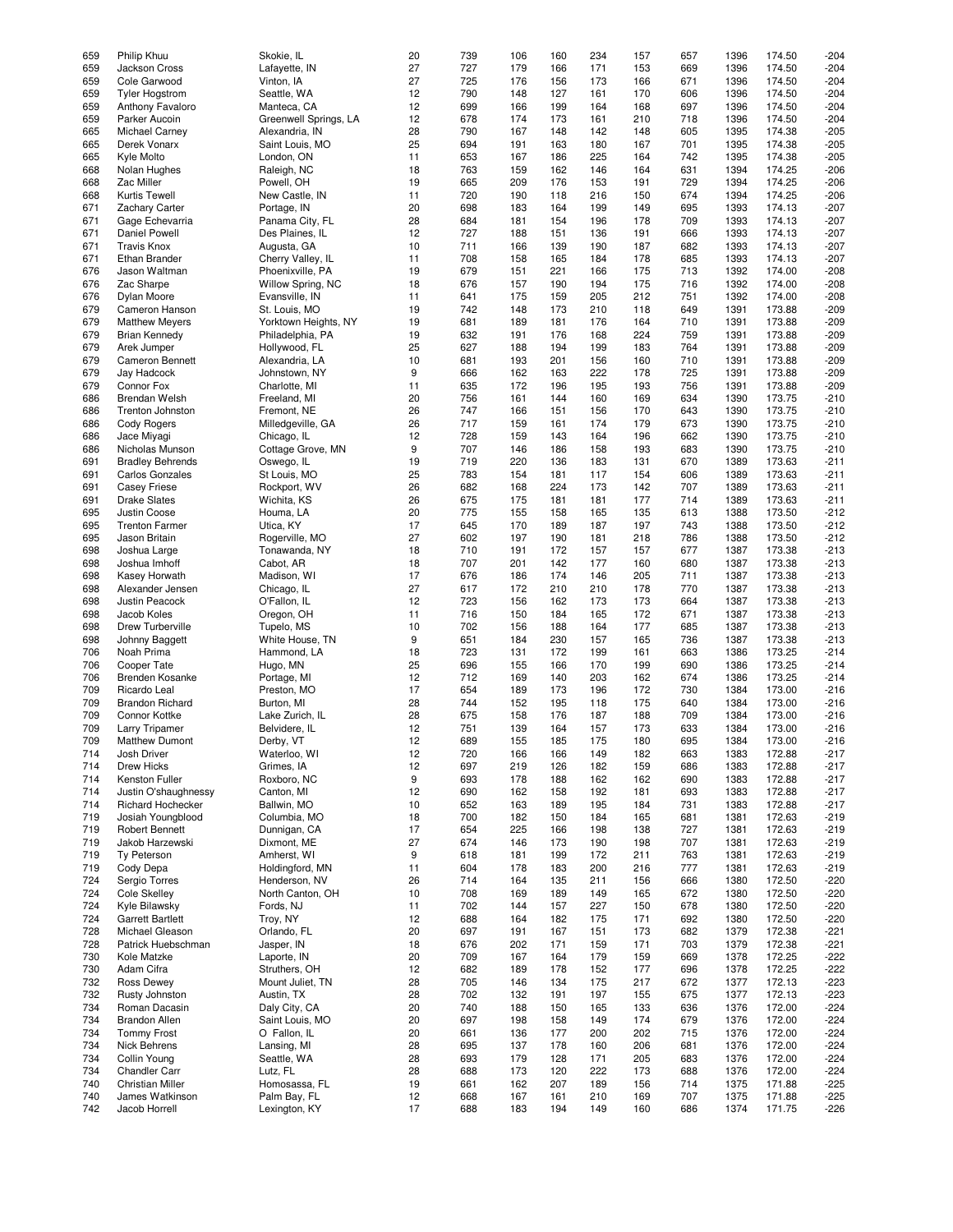| 659        | Philip Khuu                      | Skokie, IL                    | 20       | 739        | 106        | 160        | 234        | 157        | 657        | 1396         | 174.50           | $-204$           |
|------------|----------------------------------|-------------------------------|----------|------------|------------|------------|------------|------------|------------|--------------|------------------|------------------|
|            |                                  |                               |          |            |            |            |            |            |            |              | 174.50           |                  |
| 659        | Jackson Cross                    | Lafayette, IN                 | 27       | 727        | 179        | 166        | 171        | 153        | 669        | 1396         |                  | $-204$           |
| 659        | Cole Garwood                     | Vinton, IA                    | 27       | 725        | 176        | 156        | 173        | 166        | 671        | 1396         | 174.50           | $-204$           |
| 659        | <b>Tyler Hogstrom</b>            | Seattle, WA                   | 12       | 790        | 148        | 127        | 161        | 170        | 606        | 1396         | 174.50           | $-204$           |
| 659        | Anthony Favaloro                 | Manteca, CA                   | 12       | 699        | 166        | 199        | 164        | 168        | 697        | 1396         | 174.50           | $-204$           |
|            |                                  |                               |          |            |            |            |            |            |            |              |                  |                  |
| 659        | Parker Aucoin                    | Greenwell Springs, LA         | 12       | 678        | 174        | 173        | 161        | 210        | 718        | 1396         | 174.50           | $-204$           |
| 665        | <b>Michael Carney</b>            | Alexandria, IN                | 28       | 790        | 167        | 148        | 142        | 148        | 605        | 1395         | 174.38           | $-205$           |
| 665        | Derek Vonarx                     | Saint Louis, MO               | 25       | 694        | 191        | 163        | 180        | 167        | 701        | 1395         | 174.38           | $-205$           |
|            |                                  |                               |          |            |            |            |            |            |            |              |                  |                  |
| 665        | Kyle Molto                       | London, ON                    | 11       | 653        | 167        | 186        | 225        | 164        | 742        | 1395         | 174.38           | $-205$           |
| 668        | Nolan Hughes                     | Raleigh, NC                   | 18       | 763        | 159        | 162        | 146        | 164        | 631        | 1394         | 174.25           | $-206$           |
| 668        | Zac Miller                       | Powell, OH                    | 19       | 665        | 209        | 176        | 153        | 191        | 729        | 1394         | 174.25           | $-206$           |
|            |                                  |                               |          |            |            |            |            |            |            |              |                  |                  |
| 668        | Kurtis Tewell                    | New Castle, IN                | 11       | 720        | 190        | 118        | 216        | 150        | 674        | 1394         | 174.25           | $-206$           |
| 671        | <b>Zachary Carter</b>            | Portage, IN                   | 20       | 698        | 183        | 164        | 199        | 149        | 695        | 1393         | 174.13           | $-207$           |
| 671        | Gage Echevarria                  | Panama City, FL               | 28       | 684        | 181        | 154        | 196        | 178        | 709        | 1393         | 174.13           | $-207$           |
|            | <b>Daniel Powell</b>             |                               |          | 727        |            |            |            |            |            |              |                  |                  |
| 671        |                                  | Des Plaines, IL               | 12       |            | 188        | 151        | 136        | 191        | 666        | 1393         | 174.13           | $-207$           |
| 671        | <b>Travis Knox</b>               | Augusta, GA                   | 10       | 711        | 166        | 139        | 190        | 187        | 682        | 1393         | 174.13           | $-207$           |
| 671        | <b>Ethan Brander</b>             | Cherry Valley, IL             | 11       | 708        | 158        | 165        | 184        | 178        | 685        | 1393         | 174.13           | $-207$           |
|            |                                  |                               |          |            |            |            |            |            |            |              |                  |                  |
| 676        | Jason Waltman                    | Phoenixville, PA              | 19       | 679        | 151        | 221        | 166        | 175        | 713        | 1392         | 174.00           | $-208$           |
| 676        | Zac Sharpe                       | Willow Spring, NC             | 18       | 676        | 157        | 190        | 194        | 175        | 716        | 1392         | 174.00           | $-208$           |
| 676        | Dylan Moore                      | Evansville, IN                | 11       | 641        | 175        | 159        | 205        | 212        | 751        | 1392         | 174.00           | $-208$           |
| 679        | Cameron Hanson                   | St. Louis, MO                 | 19       | 742        | 148        | 173        | 210        | 118        | 649        | 1391         | 173.88           | $-209$           |
|            |                                  |                               |          |            |            |            |            |            |            |              |                  |                  |
| 679        | <b>Matthew Meyers</b>            | Yorktown Heights, NY          | 19       | 681        | 189        | 181        | 176        | 164        | 710        | 1391         | 173.88           | $-209$           |
| 679        | <b>Brian Kennedy</b>             | Philadelphia, PA              | 19       | 632        | 191        | 176        | 168        | 224        | 759        | 1391         | 173.88           | $-209$           |
| 679        | Arek Jumper                      | Hollywood, FL                 | 25       | 627        | 188        | 194        | 199        | 183        | 764        | 1391         | 173.88           | $-209$           |
|            |                                  |                               |          |            |            |            |            |            |            |              |                  |                  |
| 679        | <b>Cameron Bennett</b>           | Alexandria, LA                | 10       | 681        | 193        | 201        | 156        | 160        | 710        | 1391         | 173.88           | $-209$           |
| 679        | Jay Hadcock                      | Johnstown, NY                 | 9        | 666        | 162        | 163        | 222        | 178        | 725        | 1391         | 173.88           | $-209$           |
| 679        | Connor Fox                       | Charlotte, MI                 | 11       | 635        | 172        | 196        | 195        | 193        | 756        | 1391         | 173.88           | $-209$           |
|            |                                  |                               |          |            |            |            |            |            |            |              |                  |                  |
| 686        | <b>Brendan Welsh</b>             | Freeland, MI                  | 20       | 756        | 161        | 144        | 160        | 169        | 634        | 1390         | 173.75           | $-210$           |
| 686        | Trenton Johnston                 | Fremont, NE                   | 26       | 747        | 166        | 151        | 156        | 170        | 643        | 1390         | 173.75           | $-210$           |
| 686        | Cody Rogers                      | Milledgeville, GA             | 26       | 717        | 159        | 161        | 174        | 179        | 673        | 1390         | 173.75           | $-210$           |
|            |                                  |                               |          |            |            |            |            |            |            |              |                  |                  |
| 686        | Jace Miyagi                      | Chicago, IL                   | 12       | 728        | 159        | 143        | 164        | 196        | 662        | 1390         | 173.75           | $-210$           |
| 686        | Nicholas Munson                  | Cottage Grove, MN             | 9        | 707        | 146        | 186        | 158        | 193        | 683        | 1390         | 173.75           | $-210$           |
| 691        | <b>Bradley Behrends</b>          | Oswego, IL                    | 19       | 719        | 220        | 136        | 183        | 131        | 670        | 1389         | 173.63           | $-211$           |
|            |                                  |                               |          |            |            |            |            |            |            |              |                  |                  |
| 691        | <b>Carlos Gonzales</b>           | St Louis, MO                  | 25       | 783        | 154        | 181        | 117        | 154        | 606        | 1389         | 173.63           | $-211$           |
| 691        | <b>Casey Friese</b>              | Rockport, WV                  | 26       | 682        | 168        | 224        | 173        | 142        | 707        | 1389         | 173.63           | $-211$           |
| 691        | <b>Drake Slates</b>              | Wichita, KS                   | 26       | 675        | 175        | 181        | 181        | 177        | 714        | 1389         | 173.63           | $-211$           |
| 695        | Justin Coose                     | Houma, LA                     | 20       | 775        | 155        | 158        | 165        | 135        | 613        | 1388         | 173.50           | $-212$           |
|            |                                  |                               |          |            |            |            |            |            |            |              |                  |                  |
| 695        | <b>Trenton Farmer</b>            | Utica, KY                     | 17       | 645        | 170        | 189        | 187        | 197        | 743        | 1388         | 173.50           | $-212$           |
| 695        | Jason Britain                    | Rogerville, MO                | 27       | 602        | 197        | 190        | 181        | 218        | 786        | 1388         | 173.50           | $-212$           |
| 698        | Joshua Large                     | Tonawanda, NY                 | 18       | 710        | 191        | 172        | 157        | 157        | 677        | 1387         | 173.38           | $-213$           |
|            |                                  |                               |          |            |            |            |            |            |            |              |                  |                  |
| 698        | Joshua Imhoff                    | Cabot, AR                     | 18       | 707        | 201        | 142        | 177        | 160        | 680        | 1387         | 173.38           | $-213$           |
| 698        | Kasey Horwath                    | Madison, WI                   | 17       | 676        | 186        | 174        | 146        | 205        | 711        | 1387         | 173.38           | $-213$           |
| 698        | Alexander Jensen                 | Chicago, IL                   | 27       | 617        | 172        | 210        | 210        | 178        | 770        | 1387         | 173.38           | $-213$           |
|            |                                  |                               |          |            |            |            |            |            |            |              |                  |                  |
| 698        | <b>Justin Peacock</b>            | O'Fallon, IL                  | 12       | 723        | 156        | 162        | 173        | 173        | 664        | 1387         | 173.38           | $-213$           |
| 698        | Jacob Koles                      | Oregon, OH                    | 11       | 716        | 150        | 184        | 165        | 172        | 671        | 1387         | 173.38           | $-213$           |
| 698        | Drew Turberville                 | Tupelo, MS                    | 10       | 702        | 156        | 188        | 164        | 177        | 685        | 1387         | 173.38           | $-213$           |
|            |                                  |                               |          |            |            |            |            |            |            |              |                  |                  |
| 698        | Johnny Baggett                   | White House, TN               | 9        | 651        | 184        | 230        | 157        | 165        | 736        | 1387         | 173.38           | $-213$           |
| 706        | Noah Prima                       | Hammond, LA                   | 18       | 723        | 131        | 172        | 199        | 161        | 663        | 1386         | 173.25           | $-214$           |
| 706        | Cooper Tate                      | Hugo, MN                      | 25       | 696        | 155        | 166        | 170        | 199        | 690        | 1386         | 173.25           | $-214$           |
|            |                                  |                               |          |            |            |            |            |            |            |              |                  |                  |
| 706        | <b>Brenden Kosanke</b>           | Portage, MI                   | 12       | 712        | 169        | 140        | 203        | 162        | 674        | 1386         | 173.25           | $-214$           |
| 709        | Ricardo Leal                     | Preston, MO                   | 17       | 654        | 189        | 173        | 196        | 172        | 730        | 1384         | 173.00           | $-216$           |
| 709        | <b>Brandon Richard</b>           | Burton, MI                    | 28       | 744        | 152        | 195        | 118        | 175        | 640        | 1384         | 173.00           | $-216$           |
|            |                                  |                               |          |            |            |            |            |            |            |              |                  |                  |
| 709        | Connor Kottke                    | Lake Zurich, IL               | 28       | 675        | 158        | 176        | 187        | 188        | 709        | 1384         | 173.00           | $-216$           |
| 709        | <b>Larry Tripamer</b>            | Belvidere, IL                 | 12       | 751        | 139        | 164        | 157        | 173        | 633        | 1384         | 173.00           | $-216$           |
| 709        | <b>Matthew Dumont</b>            | Derby, VT                     | 12       | 689        | 155        | 185        | 175        | 180        | 695        | 1384         | 173.00           | $-216$           |
|            |                                  |                               |          |            |            |            |            |            |            |              |                  |                  |
| 714        | Josh Driver                      | Waterloo, WI                  | 12       | 720        | 166        | 166        | 149        | 182        | 663        | 1383         | 172.88           | $-217$           |
| 714        | Drew Hicks                       | Grimes, IA                    | 12       | 697        | 219        | 126        | 182        | 159        | 686        | 1383         | 172.88           | $-217$           |
| 714        | Kenston Fuller                   | Roxboro, NC                   | 9        | 693        | 178        | 188        | 162        | 162        | 690        | 1383         | 172.88           | $-217$           |
| 714        | Justin O'shaughnessy             | Canton, MI                    | 12       | 690        | 162        | 158        | 192        | 181        | 693        | 1383         | 172.88           | $-217$           |
|            |                                  |                               |          |            |            |            |            |            |            |              |                  |                  |
| 714        | <b>Richard Hochecker</b>         | Ballwin, MO                   | 10       | 652        | 163        | 189        | 195        | 184        | 731        | 1383         | 172.88           | $-217$           |
| 719        | Josiah Youngblood                | Columbia, MO                  | 18       | 700        | 182        | 150        | 184        | 165        | 681        | 1381         | 172.63           | $-219$           |
| 719        | <b>Robert Bennett</b>            | Dunnigan, CA                  | 17       | 654        | 225        | 166        | 198        | 138        | 727        | 1381         | 172.63           | $-219$           |
|            |                                  |                               |          | 674        |            |            |            |            |            |              |                  |                  |
| 719        | Jakob Harzewski                  | Dixmont, ME                   | 27       |            | 146        | 173        | 190        | 198        | 707        | 1381         | 172.63           | $-219$           |
| 719        | Ty Peterson                      | Amherst, WI                   | 9        | 618        | 181        | 199        | 172        | 211        | 763        | 1381         | 172.63           | $-219$           |
| 719        | Cody Depa                        | Holdingford, MN               | 11       | 604        | 178        | 183        | 200        | 216        | 777        | 1381         | 172.63           | $-219$           |
| 724        | Sergio Torres                    | Henderson, NV                 | 26       | 714        | 164        | 135        | 211        | 156        | 666        | 1380         | 172.50           |                  |
|            |                                  |                               |          |            |            |            |            |            |            |              |                  | $-220$           |
| 724        | Cole Skelley                     | North Canton, OH              | 10       | 708        | 169        | 189        | 149        | 165        | 672        | 1380         | 172.50           | $-220$           |
| 724        | Kyle Bilawsky                    | Fords, NJ                     | 11       | 702        | 144        | 157        | 227        | 150        | 678        | 1380         | 172.50           | $-220$           |
| 724        | <b>Garrett Bartlett</b>          | Troy, NY                      | 12       | 688        | 164        | 182        | 175        | 171        | 692        | 1380         | 172.50           | $-220$           |
|            |                                  |                               |          |            |            |            |            |            |            |              |                  |                  |
| 728        | Michael Gleason                  | Orlando, FL                   | 20       | 697        | 191        | 167        | 151        | 173        | 682        | 1379         | 172.38           | $-221$           |
| 728        |                                  |                               | 18       | 676        | 202        | 171        | 159        | 171        | 703        | 1379         | 172.38           | $-221$           |
| 730        | Patrick Huebschman               | Jasper, IN                    |          |            |            |            |            |            |            |              |                  |                  |
|            |                                  |                               |          |            |            |            |            |            |            |              |                  |                  |
|            | Kole Matzke                      | Laporte, IN                   | 20       | 709        | 167        | 164        | 179        | 159        | 669        | 1378         | 172.25           | $-222$           |
| 730        | Adam Cifra                       | Struthers, OH                 | 12       | 682        | 189        | 178        | 152        | 177        | 696        | 1378         | 172.25           | $-222$           |
| 732        | <b>Ross Dewey</b>                | Mount Juliet, TN              | 28       | 705        | 146        | 134        | 175        | 217        | 672        | 1377         | 172.13           | $-223$           |
|            |                                  |                               |          |            |            |            |            |            |            |              |                  |                  |
| 732        | Rusty Johnston                   | Austin, TX                    | 28       | 702        | 132        | 191        | 197        | 155        | 675        | 1377         | 172.13           | $-223$           |
| 734        | Roman Dacasin                    | Daly City, CA                 | 20       | 740        | 188        | 150        | 165        | 133        | 636        | 1376         | 172.00           | $-224$           |
| 734        | <b>Brandon Allen</b>             | Saint Louis, MO               | 20       | 697        | 198        | 158        | 149        | 174        | 679        | 1376         | 172.00           | $-224$           |
|            |                                  |                               |          |            |            |            |            |            |            |              |                  |                  |
| 734        | <b>Tommy Frost</b>               | O Fallon, IL                  | 20       | 661        | 136        | 177        | 200        | 202        | 715        | 1376         | 172.00           | $-224$           |
| 734        | Nick Behrens                     | Lansing, MI                   | 28       | 695        | 137        | 178        | 160        | 206        | 681        | 1376         | 172.00           | $-224$           |
| 734        | Collin Young                     | Seattle, WA                   | 28       | 693        | 179        | 128        | 171        | 205        | 683        | 1376         | 172.00           | $-224$           |
| 734        | <b>Chandler Carr</b>             | Lutz, FL                      | 28       | 688        | 173        | 120        | 222        | 173        | 688        | 1376         | 172.00           | $-224$           |
|            |                                  |                               |          |            |            |            |            |            |            |              |                  |                  |
| 740        | <b>Christian Miller</b>          | Homosassa, FL                 | 19       | 661        | 162        | 207        | 189        | 156        | 714        | 1375         | 171.88           | $-225$           |
| 740<br>742 | James Watkinson<br>Jacob Horrell | Palm Bay, FL<br>Lexington, KY | 12<br>17 | 668<br>688 | 167<br>183 | 161<br>194 | 210<br>149 | 169<br>160 | 707<br>686 | 1375<br>1374 | 171.88<br>171.75 | $-225$<br>$-226$ |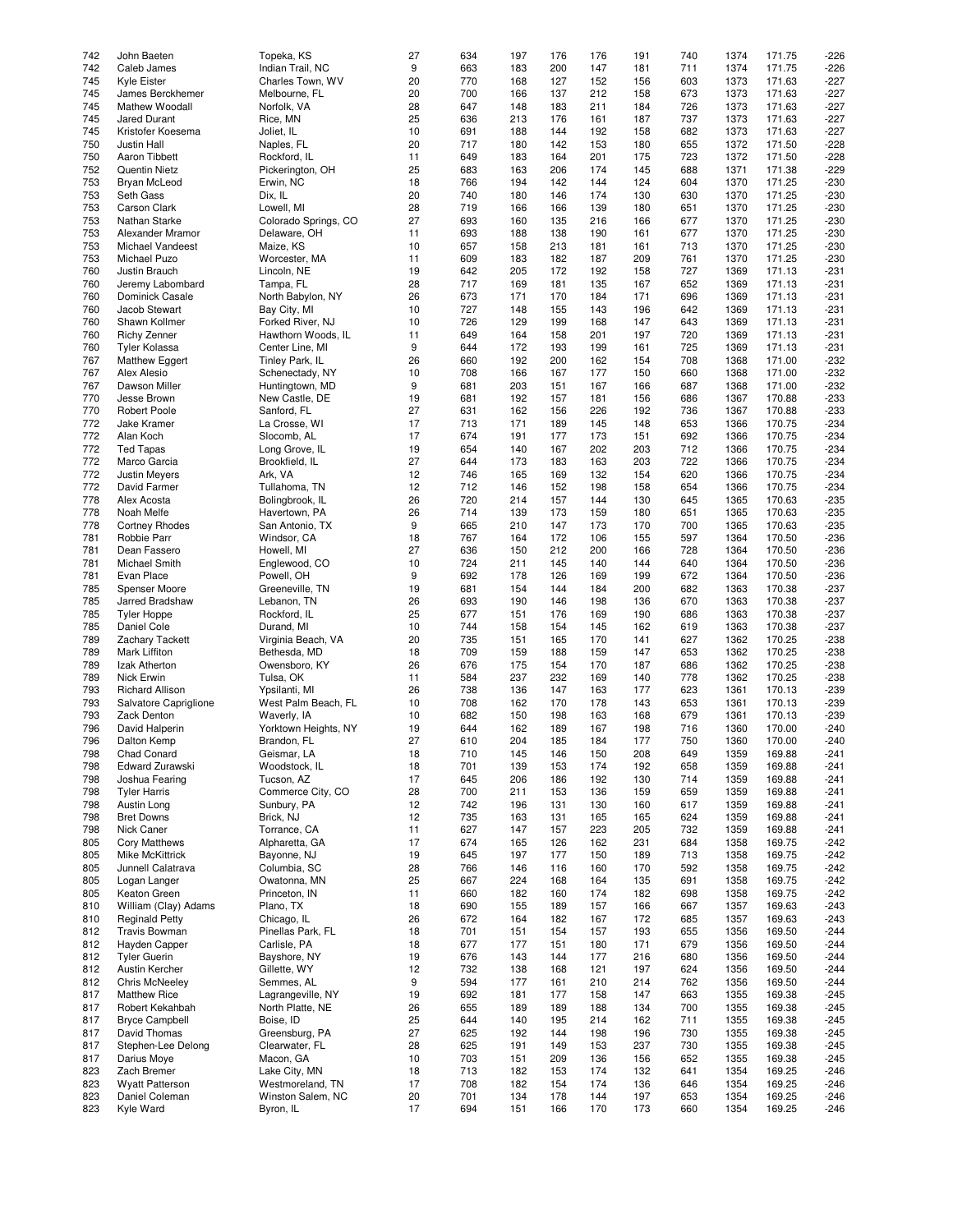| 742 | John Baeten            | Topeka, KS           | 27 | 634 | 197 | 176 | 176 | 191 | 740 | 1374 | 171.75 | $-226$ |
|-----|------------------------|----------------------|----|-----|-----|-----|-----|-----|-----|------|--------|--------|
|     |                        |                      |    |     |     |     |     |     |     |      |        |        |
| 742 | Caleb James            | Indian Trail, NC     | 9  | 663 | 183 | 200 | 147 | 181 | 711 | 1374 | 171.75 | $-226$ |
| 745 | Kyle Eister            | Charles Town, WV     | 20 | 770 | 168 | 127 | 152 | 156 | 603 | 1373 | 171.63 | $-227$ |
| 745 | James Berckhemer       | Melbourne, FL        | 20 | 700 | 166 | 137 | 212 | 158 | 673 | 1373 | 171.63 | $-227$ |
| 745 |                        |                      |    |     |     |     |     |     |     |      | 171.63 |        |
|     | Mathew Woodall         | Norfolk, VA          | 28 | 647 | 148 | 183 | 211 | 184 | 726 | 1373 |        | $-227$ |
| 745 | Jared Durant           | Rice, MN             | 25 | 636 | 213 | 176 | 161 | 187 | 737 | 1373 | 171.63 | $-227$ |
| 745 | Kristofer Koesema      | Joliet, IL           | 10 | 691 | 188 | 144 | 192 | 158 | 682 | 1373 | 171.63 | $-227$ |
| 750 | Justin Hall            | Naples, FL           | 20 | 717 | 180 | 142 | 153 | 180 | 655 | 1372 | 171.50 | $-228$ |
|     |                        |                      |    |     |     |     |     |     |     |      |        |        |
| 750 | Aaron Tibbett          | Rockford, IL         | 11 | 649 | 183 | 164 | 201 | 175 | 723 | 1372 | 171.50 | $-228$ |
| 752 | <b>Quentin Nietz</b>   | Pickerington, OH     | 25 | 683 | 163 | 206 | 174 | 145 | 688 | 1371 | 171.38 | $-229$ |
| 753 | Bryan McLeod           | Erwin, NC            | 18 | 766 | 194 | 142 | 144 | 124 | 604 | 1370 | 171.25 | $-230$ |
|     |                        |                      |    |     |     |     |     |     |     |      |        |        |
| 753 | Seth Gass              | Dix, IL              | 20 | 740 | 180 | 146 | 174 | 130 | 630 | 1370 | 171.25 | $-230$ |
| 753 | Carson Clark           | Lowell, MI           | 28 | 719 | 166 | 166 | 139 | 180 | 651 | 1370 | 171.25 | $-230$ |
| 753 | Nathan Starke          | Colorado Springs, CO | 27 | 693 | 160 | 135 | 216 | 166 | 677 | 1370 | 171.25 | $-230$ |
| 753 |                        |                      |    | 693 |     | 138 | 190 |     | 677 | 1370 | 171.25 | $-230$ |
|     | Alexander Mramor       | Delaware, OH         | 11 |     | 188 |     |     | 161 |     |      |        |        |
| 753 | Michael Vandeest       | Maize, KS            | 10 | 657 | 158 | 213 | 181 | 161 | 713 | 1370 | 171.25 | $-230$ |
| 753 | Michael Puzo           | Worcester, MA        | 11 | 609 | 183 | 182 | 187 | 209 | 761 | 1370 | 171.25 | $-230$ |
| 760 | Justin Brauch          | Lincoln, NE          | 19 | 642 | 205 | 172 | 192 | 158 | 727 | 1369 | 171.13 | $-231$ |
|     |                        |                      |    |     |     |     |     |     |     |      |        |        |
| 760 | Jeremy Labombard       | Tampa, FL            | 28 | 717 | 169 | 181 | 135 | 167 | 652 | 1369 | 171.13 | $-231$ |
| 760 | Dominick Casale        | North Babylon, NY    | 26 | 673 | 171 | 170 | 184 | 171 | 696 | 1369 | 171.13 | $-231$ |
| 760 | Jacob Stewart          | Bay City, MI         | 10 | 727 | 148 | 155 | 143 | 196 | 642 | 1369 | 171.13 | $-231$ |
|     |                        |                      |    |     |     |     |     |     |     |      |        |        |
| 760 | Shawn Kollmer          | Forked River, NJ     | 10 | 726 | 129 | 199 | 168 | 147 | 643 | 1369 | 171.13 | $-231$ |
| 760 | <b>Richy Zenner</b>    | Hawthorn Woods, IL   | 11 | 649 | 164 | 158 | 201 | 197 | 720 | 1369 | 171.13 | $-231$ |
| 760 | <b>Tyler Kolassa</b>   | Center Line, MI      | 9  | 644 | 172 | 193 | 199 | 161 | 725 | 1369 | 171.13 | $-231$ |
| 767 | Matthew Eggert         | Tinley Park, IL      | 26 | 660 | 192 | 200 | 162 | 154 | 708 | 1368 | 171.00 | $-232$ |
|     |                        |                      |    |     |     |     |     |     |     |      |        |        |
| 767 | Alex Alesio            | Schenectady, NY      | 10 | 708 | 166 | 167 | 177 | 150 | 660 | 1368 | 171.00 | $-232$ |
| 767 | Dawson Miller          | Huntingtown, MD      | 9  | 681 | 203 | 151 | 167 | 166 | 687 | 1368 | 171.00 | $-232$ |
| 770 | Jesse Brown            | New Castle, DE       | 19 | 681 | 192 | 157 | 181 | 156 | 686 | 1367 | 170.88 | $-233$ |
|     |                        |                      |    |     |     |     |     |     |     |      |        |        |
| 770 | <b>Robert Poole</b>    | Sanford, FL          | 27 | 631 | 162 | 156 | 226 | 192 | 736 | 1367 | 170.88 | $-233$ |
| 772 | Jake Kramer            | La Crosse, WI        | 17 | 713 | 171 | 189 | 145 | 148 | 653 | 1366 | 170.75 | $-234$ |
| 772 | Alan Koch              | Slocomb, AL          | 17 | 674 | 191 | 177 | 173 | 151 | 692 | 1366 | 170.75 | $-234$ |
|     |                        |                      |    |     |     |     |     |     |     |      |        |        |
| 772 | <b>Ted Tapas</b>       | Long Grove, IL       | 19 | 654 | 140 | 167 | 202 | 203 | 712 | 1366 | 170.75 | $-234$ |
| 772 | Marco Garcia           | Brookfield, IL       | 27 | 644 | 173 | 183 | 163 | 203 | 722 | 1366 | 170.75 | $-234$ |
| 772 | Justin Meyers          | Ark, VA              | 12 | 746 | 165 | 169 | 132 | 154 | 620 | 1366 | 170.75 | $-234$ |
| 772 | David Farmer           | Tullahoma, TN        |    | 712 | 146 |     | 198 |     |     |      | 170.75 |        |
|     |                        |                      | 12 |     |     | 152 |     | 158 | 654 | 1366 |        | $-234$ |
| 778 | Alex Acosta            | Bolingbrook, IL      | 26 | 720 | 214 | 157 | 144 | 130 | 645 | 1365 | 170.63 | $-235$ |
| 778 | Noah Melfe             | Havertown, PA        | 26 | 714 | 139 | 173 | 159 | 180 | 651 | 1365 | 170.63 | $-235$ |
| 778 | <b>Cortney Rhodes</b>  | San Antonio, TX      | 9  | 665 | 210 | 147 | 173 | 170 | 700 | 1365 | 170.63 | $-235$ |
|     |                        |                      |    |     |     |     |     |     |     |      |        |        |
| 781 | Robbie Parr            | Windsor, CA          | 18 | 767 | 164 | 172 | 106 | 155 | 597 | 1364 | 170.50 | $-236$ |
| 781 | Dean Fassero           | Howell, MI           | 27 | 636 | 150 | 212 | 200 | 166 | 728 | 1364 | 170.50 | $-236$ |
| 781 | Michael Smith          | Englewood, CO        | 10 | 724 | 211 | 145 | 140 | 144 | 640 | 1364 | 170.50 | $-236$ |
|     |                        |                      |    | 692 |     |     | 169 |     |     |      |        |        |
| 781 | Evan Place             | Powell, OH           | 9  |     | 178 | 126 |     | 199 | 672 | 1364 | 170.50 | $-236$ |
| 785 | Spenser Moore          | Greeneville, TN      | 19 | 681 | 154 | 144 | 184 | 200 | 682 | 1363 | 170.38 | $-237$ |
| 785 | Jarred Bradshaw        | Lebanon, TN          | 26 | 693 | 190 | 146 | 198 | 136 | 670 | 1363 | 170.38 | $-237$ |
| 785 | <b>Tyler Hoppe</b>     | Rockford, IL         | 25 | 677 | 151 | 176 | 169 | 190 | 686 | 1363 | 170.38 | $-237$ |
|     |                        |                      |    |     |     |     |     |     |     |      |        |        |
| 785 | Daniel Cole            | Durand, MI           | 10 | 744 | 158 | 154 | 145 | 162 | 619 | 1363 | 170.38 | $-237$ |
| 789 | Zachary Tackett        | Virginia Beach, VA   | 20 | 735 | 151 | 165 | 170 | 141 | 627 | 1362 | 170.25 | $-238$ |
| 789 | Mark Liffiton          | Bethesda, MD         | 18 | 709 | 159 | 188 | 159 | 147 | 653 | 1362 | 170.25 | $-238$ |
|     |                        |                      |    |     |     |     |     |     |     |      |        |        |
| 789 | Izak Atherton          | Owensboro, KY        | 26 | 676 | 175 | 154 | 170 | 187 | 686 | 1362 | 170.25 | $-238$ |
| 789 | <b>Nick Erwin</b>      | Tulsa, OK            | 11 | 584 | 237 | 232 | 169 | 140 | 778 | 1362 | 170.25 | $-238$ |
| 793 | <b>Richard Allison</b> | Ypsilanti, MI        | 26 | 738 | 136 | 147 | 163 | 177 | 623 | 1361 | 170.13 | $-239$ |
|     |                        |                      |    |     |     |     |     |     |     |      |        |        |
| 793 | Salvatore Capriglione  | West Palm Beach, FL  | 10 | 708 | 162 | 170 | 178 | 143 | 653 | 1361 | 170.13 | $-239$ |
| 793 | Zack Denton            | Waverly, IA          | 10 | 682 | 150 | 198 | 163 | 168 | 679 | 1361 | 170.13 | $-239$ |
| 796 | David Halperin         | Yorktown Heights, NY | 19 | 644 | 162 | 189 | 167 | 198 | 716 | 1360 | 170.00 | $-240$ |
| 796 |                        | Brandon, FL          | 27 | 610 | 204 |     |     |     | 750 |      | 170.00 | $-240$ |
|     | Dalton Kemp            |                      |    |     |     | 185 | 184 | 177 |     | 1360 |        |        |
| 798 | Chad Conard            | Geismar, LA          | 18 | 710 | 145 | 146 | 150 | 208 | 649 | 1359 | 169.88 | $-241$ |
| 798 | Edward Zurawski        | Woodstock, IL        | 18 | 701 | 139 | 153 | 174 | 192 | 658 | 1359 | 169.88 | $-241$ |
| 798 | Joshua Fearing         | Tucson, AZ           | 17 | 645 | 206 | 186 | 192 | 130 | 714 | 1359 | 169.88 | $-241$ |
|     |                        |                      |    |     |     |     |     |     |     |      |        |        |
| 798 | <b>Tyler Harris</b>    | Commerce City, CO    | 28 | 700 | 211 | 153 | 136 | 159 | 659 | 1359 | 169.88 | $-241$ |
| 798 | Austin Long            | Sunbury, PA          | 12 | 742 | 196 | 131 | 130 | 160 | 617 | 1359 | 169.88 | $-241$ |
| 798 | <b>Bret Downs</b>      | Brick, NJ            | 12 | 735 | 163 | 131 | 165 | 165 | 624 | 1359 | 169.88 | $-241$ |
| 798 | Nick Caner             | Torrance, CA         | 11 | 627 | 147 | 157 | 223 | 205 | 732 | 1359 | 169.88 | $-241$ |
|     |                        |                      |    |     |     |     |     |     |     |      |        |        |
| 805 | <b>Cory Matthews</b>   | Alpharetta, GA       | 17 | 674 | 165 | 126 | 162 | 231 | 684 | 1358 | 169.75 | $-242$ |
| 805 | <b>Mike McKittrick</b> | Bayonne, NJ          | 19 | 645 | 197 | 177 | 150 | 189 | 713 | 1358 | 169.75 | $-242$ |
| 805 | Junnell Calatrava      | Columbia, SC         | 28 | 766 | 146 | 116 | 160 | 170 | 592 | 1358 | 169.75 | $-242$ |
|     |                        |                      |    |     |     |     |     |     |     |      |        |        |
| 805 | Logan Langer           | Owatonna, MN         | 25 | 667 | 224 | 168 | 164 | 135 | 691 | 1358 | 169.75 | $-242$ |
| 805 | Keaton Green           | Princeton, IN        | 11 | 660 | 182 | 160 | 174 | 182 | 698 | 1358 | 169.75 | $-242$ |
| 810 | William (Clay) Adams   | Plano, TX            | 18 | 690 | 155 | 189 | 157 | 166 | 667 | 1357 | 169.63 | $-243$ |
|     |                        |                      |    |     |     |     |     |     |     |      |        |        |
| 810 | <b>Reginald Petty</b>  | Chicago, IL          | 26 | 672 | 164 | 182 | 167 | 172 | 685 | 1357 | 169.63 | $-243$ |
| 812 | <b>Travis Bowman</b>   | Pinellas Park, FL    | 18 | 701 | 151 | 154 | 157 | 193 | 655 | 1356 | 169.50 | $-244$ |
| 812 | Hayden Capper          | Carlisle, PA         | 18 | 677 | 177 | 151 | 180 | 171 | 679 | 1356 | 169.50 | $-244$ |
| 812 | <b>Tyler Guerin</b>    | Bayshore, NY         | 19 | 676 | 143 | 144 | 177 | 216 | 680 | 1356 | 169.50 | $-244$ |
|     |                        |                      |    |     |     |     |     |     |     |      |        |        |
| 812 | Austin Kercher         | Gillette, WY         | 12 | 732 | 138 | 168 | 121 | 197 | 624 | 1356 | 169.50 | $-244$ |
| 812 | <b>Chris McNeeley</b>  | Semmes, AL           | 9  | 594 | 177 | 161 | 210 | 214 | 762 | 1356 | 169.50 | $-244$ |
| 817 | <b>Matthew Rice</b>    | Lagrangeville, NY    | 19 | 692 | 181 | 177 | 158 | 147 | 663 | 1355 | 169.38 | $-245$ |
|     |                        |                      |    |     |     |     |     |     |     |      |        |        |
| 817 | Robert Kekahbah        | North Platte, NE     | 26 | 655 | 189 | 189 | 188 | 134 | 700 | 1355 | 169.38 | $-245$ |
| 817 | <b>Bryce Campbell</b>  | Boise, ID            | 25 | 644 | 140 | 195 | 214 | 162 | 711 | 1355 | 169.38 | $-245$ |
| 817 | David Thomas           | Greensburg, PA       | 27 | 625 | 192 | 144 | 198 | 196 | 730 | 1355 | 169.38 | $-245$ |
|     |                        | Clearwater, FL       | 28 | 625 |     | 149 |     | 237 |     |      | 169.38 |        |
| 817 | Stephen-Lee Delong     |                      |    |     | 191 |     | 153 |     | 730 | 1355 |        | $-245$ |
| 817 | Darius Moye            | Macon, GA            | 10 | 703 | 151 | 209 | 136 | 156 | 652 | 1355 | 169.38 | $-245$ |
| 823 | Zach Bremer            | Lake City, MN        | 18 | 713 | 182 | 153 | 174 | 132 | 641 | 1354 | 169.25 | $-246$ |
| 823 | <b>Wyatt Patterson</b> | Westmoreland, TN     | 17 | 708 | 182 | 154 | 174 | 136 | 646 | 1354 | 169.25 | -246   |
|     |                        |                      |    |     |     |     |     |     |     |      |        |        |
| 823 | Daniel Coleman         | Winston Salem, NC    | 20 | 701 | 134 | 178 | 144 | 197 | 653 | 1354 | 169.25 | $-246$ |
| 823 | Kyle Ward              | Byron, IL            | 17 | 694 | 151 | 166 | 170 | 173 | 660 | 1354 | 169.25 | $-246$ |
|     |                        |                      |    |     |     |     |     |     |     |      |        |        |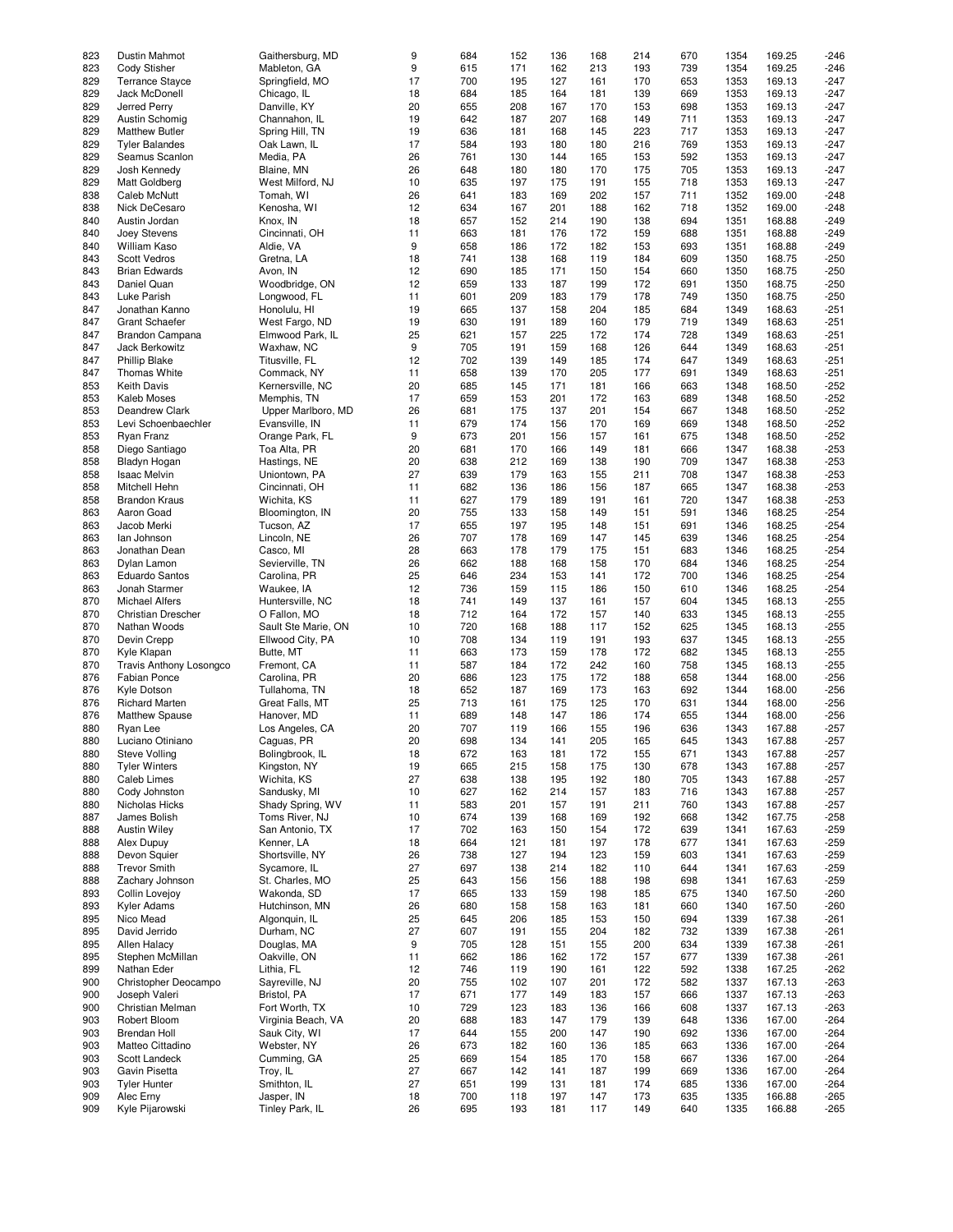| 823 | Dustin Mahmot                  | Gaithersburg, MD    | 9  | 684 | 152 | 136 | 168 | 214 | 670 | 1354 | 169.25 | $-246$ |
|-----|--------------------------------|---------------------|----|-----|-----|-----|-----|-----|-----|------|--------|--------|
|     |                                |                     |    |     |     |     |     |     |     |      |        |        |
| 823 | Cody Stisher                   | Mableton, GA        | 9  | 615 | 171 | 162 | 213 | 193 | 739 | 1354 | 169.25 | $-246$ |
| 829 | <b>Terrance Stayce</b>         | Springfield, MO     | 17 | 700 | 195 | 127 | 161 | 170 | 653 | 1353 | 169.13 | $-247$ |
| 829 | Jack McDonell                  | Chicago, IL         | 18 | 684 | 185 | 164 | 181 | 139 | 669 | 1353 | 169.13 | $-247$ |
|     |                                |                     |    |     |     |     |     |     |     |      |        |        |
| 829 | Jerred Perry                   | Danville, KY        | 20 | 655 | 208 | 167 | 170 | 153 | 698 | 1353 | 169.13 | $-247$ |
| 829 | Austin Schomig                 | Channahon, IL       | 19 | 642 | 187 | 207 | 168 | 149 | 711 | 1353 | 169.13 | $-247$ |
| 829 | <b>Matthew Butler</b>          | Spring Hill, TN     | 19 | 636 | 181 | 168 | 145 | 223 | 717 | 1353 | 169.13 | $-247$ |
|     |                                |                     |    |     |     |     |     |     |     |      |        |        |
| 829 | <b>Tyler Balandes</b>          | Oak Lawn, IL        | 17 | 584 | 193 | 180 | 180 | 216 | 769 | 1353 | 169.13 | $-247$ |
| 829 | Seamus Scanlon                 | Media, PA           | 26 | 761 | 130 | 144 | 165 | 153 | 592 | 1353 | 169.13 | $-247$ |
| 829 | Josh Kennedy                   | Blaine, MN          | 26 | 648 | 180 | 180 | 170 | 175 | 705 | 1353 | 169.13 | $-247$ |
|     |                                |                     |    |     |     |     |     |     |     |      |        |        |
| 829 | Matt Goldberg                  | West Milford, NJ    | 10 | 635 | 197 | 175 | 191 | 155 | 718 | 1353 | 169.13 | $-247$ |
| 838 | Caleb McNutt                   | Tomah, WI           | 26 | 641 | 183 | 169 | 202 | 157 | 711 | 1352 | 169.00 | $-248$ |
| 838 | Nick DeCesaro                  | Kenosha, WI         | 12 | 634 | 167 | 201 | 188 | 162 | 718 | 1352 | 169.00 | $-248$ |
|     |                                |                     |    |     |     |     |     |     |     |      |        |        |
| 840 | Austin Jordan                  | Knox, IN            | 18 | 657 | 152 | 214 | 190 | 138 | 694 | 1351 | 168.88 | $-249$ |
| 840 | Joey Stevens                   | Cincinnati, OH      | 11 | 663 | 181 | 176 | 172 | 159 | 688 | 1351 | 168.88 | $-249$ |
| 840 | William Kaso                   | Aldie, VA           | 9  | 658 | 186 | 172 | 182 | 153 | 693 | 1351 | 168.88 | $-249$ |
|     |                                |                     |    |     |     |     |     |     |     |      |        |        |
| 843 | <b>Scott Vedros</b>            | Gretna, LA          | 18 | 741 | 138 | 168 | 119 | 184 | 609 | 1350 | 168.75 | $-250$ |
| 843 | <b>Brian Edwards</b>           | Avon, IN            | 12 | 690 | 185 | 171 | 150 | 154 | 660 | 1350 | 168.75 | $-250$ |
| 843 | Daniel Quan                    | Woodbridge, ON      | 12 | 659 | 133 | 187 | 199 | 172 | 691 | 1350 | 168.75 | $-250$ |
|     |                                |                     |    |     |     |     |     |     |     |      |        |        |
| 843 | Luke Parish                    | Longwood, FL        | 11 | 601 | 209 | 183 | 179 | 178 | 749 | 1350 | 168.75 | $-250$ |
| 847 | Jonathan Kanno                 | Honolulu, HI        | 19 | 665 | 137 | 158 | 204 | 185 | 684 | 1349 | 168.63 | $-251$ |
| 847 | <b>Grant Schaefer</b>          | West Fargo, ND      | 19 | 630 | 191 | 189 | 160 | 179 | 719 | 1349 | 168.63 | $-251$ |
|     |                                |                     |    |     |     |     |     |     |     |      |        |        |
| 847 | Brandon Campana                | Elmwood Park, IL    | 25 | 621 | 157 | 225 | 172 | 174 | 728 | 1349 | 168.63 | $-251$ |
| 847 | Jack Berkowitz                 | Waxhaw, NC          | 9  | 705 | 191 | 159 | 168 | 126 | 644 | 1349 | 168.63 | $-251$ |
| 847 | <b>Phillip Blake</b>           | Titusville, FL      | 12 | 702 | 139 | 149 | 185 | 174 | 647 | 1349 | 168.63 | $-251$ |
|     |                                |                     |    |     |     |     |     |     |     |      |        |        |
| 847 | <b>Thomas White</b>            | Commack, NY         | 11 | 658 | 139 | 170 | 205 | 177 | 691 | 1349 | 168.63 | $-251$ |
| 853 | <b>Keith Davis</b>             | Kernersville, NC    | 20 | 685 | 145 | 171 | 181 | 166 | 663 | 1348 | 168.50 | $-252$ |
|     | Kaleb Moses                    |                     | 17 |     |     |     |     |     |     |      |        |        |
| 853 |                                | Memphis, TN         |    | 659 | 153 | 201 | 172 | 163 | 689 | 1348 | 168.50 | $-252$ |
| 853 | <b>Deandrew Clark</b>          | Upper Marlboro, MD  | 26 | 681 | 175 | 137 | 201 | 154 | 667 | 1348 | 168.50 | $-252$ |
| 853 | Levi Schoenbaechler            | Evansville, IN      | 11 | 679 | 174 | 156 | 170 | 169 | 669 | 1348 | 168.50 | $-252$ |
|     |                                |                     |    |     |     |     |     |     |     |      |        |        |
| 853 | Ryan Franz                     | Orange Park, FL     | 9  | 673 | 201 | 156 | 157 | 161 | 675 | 1348 | 168.50 | $-252$ |
| 858 | Diego Santiago                 | Toa Alta, PR        | 20 | 681 | 170 | 166 | 149 | 181 | 666 | 1347 | 168.38 | $-253$ |
| 858 | Bladyn Hogan                   | Hastings, NE        | 20 | 638 | 212 | 169 | 138 | 190 | 709 | 1347 | 168.38 | $-253$ |
|     |                                |                     |    |     |     |     |     |     |     |      |        |        |
| 858 | <b>Isaac Melvin</b>            | Uniontown, PA       | 27 | 639 | 179 | 163 | 155 | 211 | 708 | 1347 | 168.38 | $-253$ |
| 858 | Mitchell Hehn                  | Cincinnati, OH      | 11 | 682 | 136 | 186 | 156 | 187 | 665 | 1347 | 168.38 | $-253$ |
| 858 | <b>Brandon Kraus</b>           | Wichita, KS         | 11 | 627 | 179 | 189 | 191 | 161 | 720 | 1347 | 168.38 | $-253$ |
|     |                                |                     |    |     |     |     |     |     |     |      |        |        |
| 863 | Aaron Goad                     | Bloomington, IN     | 20 | 755 | 133 | 158 | 149 | 151 | 591 | 1346 | 168.25 | $-254$ |
| 863 | Jacob Merki                    | Tucson, AZ          | 17 | 655 | 197 | 195 | 148 | 151 | 691 | 1346 | 168.25 | $-254$ |
| 863 | lan Johnson                    | Lincoln, NE         | 26 | 707 | 178 | 169 | 147 | 145 | 639 | 1346 | 168.25 | $-254$ |
|     |                                |                     |    |     |     |     |     |     |     |      |        |        |
| 863 | Jonathan Dean                  | Casco, MI           | 28 | 663 | 178 | 179 | 175 | 151 | 683 | 1346 | 168.25 | $-254$ |
| 863 | Dylan Lamon                    | Sevierville, TN     | 26 | 662 | 188 | 168 | 158 | 170 | 684 | 1346 | 168.25 | $-254$ |
| 863 | <b>Eduardo Santos</b>          | Carolina, PR        | 25 | 646 | 234 | 153 | 141 | 172 | 700 | 1346 | 168.25 | $-254$ |
|     |                                |                     |    |     |     |     |     |     |     |      |        |        |
| 863 | Jonah Starmer                  | Waukee, IA          | 12 | 736 | 159 | 115 | 186 | 150 | 610 | 1346 | 168.25 | $-254$ |
| 870 | <b>Michael Alfers</b>          | Huntersville, NC    | 18 | 741 | 149 | 137 | 161 | 157 | 604 | 1345 | 168.13 | $-255$ |
| 870 | Christian Drescher             | O Fallon, MO        | 18 | 712 | 164 | 172 | 157 | 140 | 633 | 1345 | 168.13 | $-255$ |
|     |                                |                     |    |     |     |     |     |     |     |      |        |        |
| 870 | Nathan Woods                   | Sault Ste Marie, ON | 10 | 720 | 168 | 188 | 117 | 152 | 625 | 1345 | 168.13 | $-255$ |
| 870 | Devin Crepp                    | Ellwood City, PA    | 10 | 708 | 134 | 119 | 191 | 193 | 637 | 1345 | 168.13 | $-255$ |
| 870 | Kyle Klapan                    | Butte, MT           | 11 | 663 | 173 | 159 | 178 | 172 | 682 | 1345 | 168.13 | $-255$ |
|     |                                |                     |    |     |     |     |     |     |     |      |        |        |
| 870 | <b>Travis Anthony Losongco</b> | Fremont, CA         | 11 | 587 | 184 | 172 | 242 | 160 | 758 | 1345 | 168.13 | $-255$ |
| 876 | <b>Fabian Ponce</b>            | Carolina, PR        | 20 | 686 | 123 | 175 | 172 | 188 | 658 | 1344 | 168.00 | $-256$ |
|     |                                |                     |    |     |     |     |     |     |     |      |        |        |
| 876 | Kyle Dotson                    | Tullahoma, TN       | 18 | 652 | 187 | 169 | 173 | 163 | 692 | 1344 | 168.00 | $-256$ |
| 876 | <b>Richard Marten</b>          | Great Falls, MT     | 25 | 713 | 161 | 175 | 125 | 170 | 631 | 1344 | 168.00 | $-256$ |
| 876 | <b>Matthew Spause</b>          | Hanover, MD         | 11 | 689 | 148 | 147 | 186 | 174 | 655 | 1344 | 168.00 | $-256$ |
|     |                                |                     |    |     |     |     |     |     |     |      |        |        |
| 880 | Ryan Lee                       | Los Angeles, CA     | 20 | 707 | 119 | 166 | 155 | 196 | 636 | 1343 | 167.88 | $-257$ |
| 880 | Luciano Otiniano               | Caguas, PR          | 20 | 698 | 134 | 141 | 205 | 165 | 645 | 1343 | 167.88 | $-257$ |
| 880 | <b>Steve Volling</b>           | Bolingbrook, IL     | 18 | 672 | 163 | 181 | 172 | 155 | 671 | 1343 | 167.88 | $-257$ |
|     |                                |                     |    |     |     |     |     |     |     |      |        |        |
| 880 | <b>Tyler Winters</b>           | Kingston, NY        | 19 | 665 | 215 | 158 | 175 | 130 | 678 | 1343 | 167.88 | $-257$ |
| 880 | Caleb Limes                    | Wichita, KS         | 27 | 638 | 138 | 195 | 192 | 180 | 705 | 1343 | 167.88 | $-257$ |
| 880 | Cody Johnston                  | Sandusky, MI        | 10 | 627 | 162 | 214 | 157 | 183 | 716 | 1343 | 167.88 | $-257$ |
|     |                                |                     |    |     |     |     |     |     |     |      |        |        |
| 880 | Nicholas Hicks                 | Shady Spring, WV    | 11 | 583 | 201 | 157 | 191 | 211 | 760 | 1343 | 167.88 | $-257$ |
| 887 | James Bolish                   | Toms River, NJ      | 10 | 674 | 139 | 168 | 169 | 192 | 668 | 1342 | 167.75 | $-258$ |
| 888 | <b>Austin Wiley</b>            | San Antonio, TX     | 17 | 702 | 163 | 150 | 154 | 172 | 639 | 1341 | 167.63 | $-259$ |
|     |                                | Kenner, LA          | 18 | 664 |     |     | 197 |     | 677 | 1341 | 167.63 | $-259$ |
| 888 | Alex Dupuy                     |                     |    |     | 121 | 181 |     | 178 |     |      |        |        |
| 888 | Devon Squier                   | Shortsville, NY     | 26 | 738 | 127 | 194 | 123 | 159 | 603 | 1341 | 167.63 | $-259$ |
| 888 | <b>Trevor Smith</b>            | Sycamore, IL        | 27 | 697 | 138 | 214 | 182 | 110 | 644 | 1341 | 167.63 | $-259$ |
| 888 | Zachary Johnson                | St. Charles, MO     | 25 | 643 | 156 | 156 | 188 | 198 | 698 | 1341 | 167.63 | $-259$ |
|     |                                |                     |    |     |     |     |     |     |     |      |        |        |
| 893 | <b>Collin Lovejoy</b>          | Wakonda, SD         | 17 | 665 | 133 | 159 | 198 | 185 | 675 | 1340 | 167.50 | $-260$ |
| 893 | <b>Kyler Adams</b>             | Hutchinson, MN      | 26 | 680 | 158 | 158 | 163 | 181 | 660 | 1340 | 167.50 | $-260$ |
|     | Nico Mead                      |                     |    |     |     |     |     |     |     |      |        |        |
| 895 |                                | Algonquin, IL       | 25 | 645 | 206 | 185 | 153 | 150 | 694 | 1339 | 167.38 | $-261$ |
| 895 | David Jerrido                  | Durham, NC          | 27 | 607 | 191 | 155 | 204 | 182 | 732 | 1339 | 167.38 | $-261$ |
| 895 | Allen Halacy                   | Douglas, MA         | 9  | 705 | 128 | 151 | 155 | 200 | 634 | 1339 | 167.38 | $-261$ |
|     |                                |                     |    |     |     |     |     |     |     |      |        |        |
| 895 | Stephen McMillan               | Oakville, ON        | 11 | 662 | 186 | 162 | 172 | 157 | 677 | 1339 | 167.38 | $-261$ |
| 899 | Nathan Eder                    | Lithia, FL          | 12 | 746 | 119 | 190 | 161 | 122 | 592 | 1338 | 167.25 | $-262$ |
| 900 | Christopher Deocampo           | Sayreville, NJ      | 20 | 755 | 102 | 107 | 201 | 172 | 582 | 1337 | 167.13 | $-263$ |
|     |                                |                     |    |     |     |     |     |     |     |      |        |        |
| 900 | Joseph Valeri                  | Bristol, PA         | 17 | 671 | 177 | 149 | 183 | 157 | 666 | 1337 | 167.13 | $-263$ |
| 900 | Christian Melman               | Fort Worth, TX      | 10 | 729 | 123 | 183 | 136 | 166 | 608 | 1337 | 167.13 | $-263$ |
| 903 | Robert Bloom                   | Virginia Beach, VA  | 20 | 688 | 183 | 147 | 179 | 139 | 648 | 1336 | 167.00 | $-264$ |
|     |                                |                     |    |     |     |     |     |     |     |      |        |        |
| 903 | Brendan Holl                   | Sauk City, WI       | 17 | 644 | 155 | 200 | 147 | 190 | 692 | 1336 | 167.00 | $-264$ |
| 903 | Matteo Cittadino               | Webster, NY         | 26 | 673 | 182 | 160 | 136 | 185 | 663 | 1336 | 167.00 | $-264$ |
| 903 | Scott Landeck                  | Cumming, GA         | 25 | 669 | 154 | 185 | 170 | 158 | 667 | 1336 | 167.00 | $-264$ |
|     |                                |                     |    |     |     |     |     |     |     |      |        |        |
| 903 | Gavin Pisetta                  | Troy, IL            | 27 | 667 | 142 | 141 | 187 | 199 | 669 | 1336 | 167.00 | $-264$ |
| 903 | <b>Tyler Hunter</b>            | Smithton, IL        | 27 | 651 | 199 | 131 | 181 | 174 | 685 | 1336 | 167.00 | $-264$ |
| 909 | Alec Erny                      | Jasper, IN          | 18 | 700 | 118 | 197 | 147 | 173 | 635 | 1335 | 166.88 | $-265$ |
|     |                                |                     |    |     |     |     |     |     |     |      |        |        |
| 909 | Kyle Pijarowski                | Tinley Park, IL     | 26 | 695 | 193 | 181 | 117 | 149 | 640 | 1335 | 166.88 | $-265$ |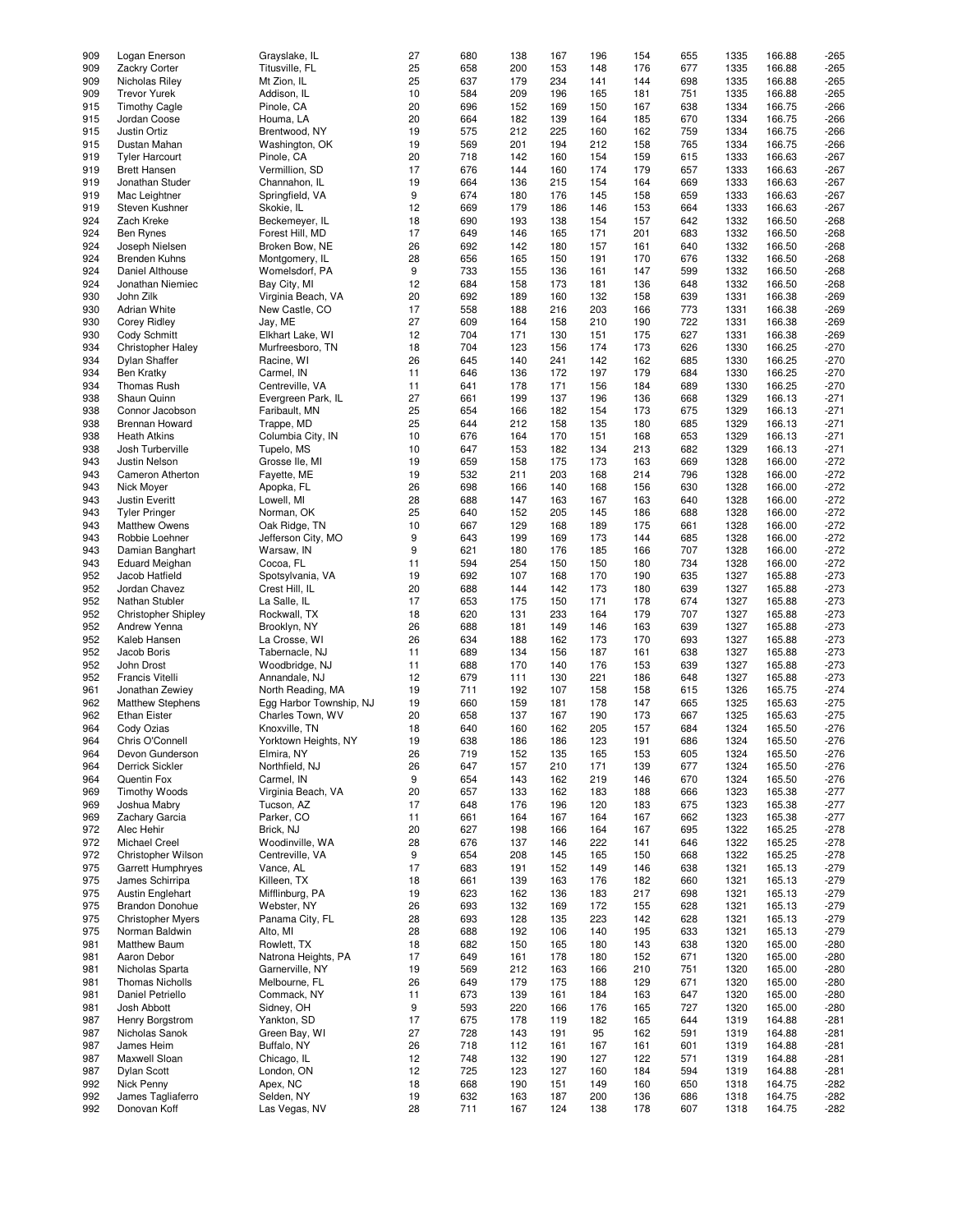| 909 | Logan Enerson              | Grayslake, IL           | 27 | 680 | 138 | 167 | 196 | 154 | 655 | 1335 | 166.88 | -265   |
|-----|----------------------------|-------------------------|----|-----|-----|-----|-----|-----|-----|------|--------|--------|
|     |                            |                         |    |     |     |     |     |     |     |      |        |        |
| 909 | Zackry Corter              | Titusville, FL          | 25 | 658 | 200 | 153 | 148 | 176 | 677 | 1335 | 166.88 | $-265$ |
| 909 | Nicholas Riley             | Mt Zion, IL             | 25 | 637 | 179 | 234 | 141 | 144 | 698 | 1335 | 166.88 | $-265$ |
| 909 | <b>Trevor Yurek</b>        | Addison, IL             | 10 | 584 | 209 | 196 | 165 | 181 | 751 | 1335 | 166.88 | $-265$ |
|     |                            |                         |    |     |     |     |     |     |     |      | 166.75 |        |
| 915 | <b>Timothy Cagle</b>       | Pinole, CA              | 20 | 696 | 152 | 169 | 150 | 167 | 638 | 1334 |        | $-266$ |
| 915 | Jordan Coose               | Houma, LA               | 20 | 664 | 182 | 139 | 164 | 185 | 670 | 1334 | 166.75 | $-266$ |
| 915 | Justin Ortiz               | Brentwood, NY           | 19 | 575 | 212 | 225 | 160 | 162 | 759 | 1334 | 166.75 | $-266$ |
| 915 | Dustan Mahan               | Washington, OK          | 19 | 569 | 201 | 194 | 212 | 158 | 765 | 1334 | 166.75 | $-266$ |
|     |                            |                         |    |     |     |     |     |     |     |      |        |        |
| 919 | <b>Tyler Harcourt</b>      | Pinole, CA              | 20 | 718 | 142 | 160 | 154 | 159 | 615 | 1333 | 166.63 | $-267$ |
| 919 | <b>Brett Hansen</b>        | Vermillion, SD          | 17 | 676 | 144 | 160 | 174 | 179 | 657 | 1333 | 166.63 | $-267$ |
| 919 | Jonathan Studer            | Channahon, IL           | 19 | 664 | 136 | 215 | 154 | 164 | 669 | 1333 | 166.63 | $-267$ |
| 919 |                            |                         | 9  | 674 |     |     | 145 | 158 |     |      | 166.63 | $-267$ |
|     | Mac Leightner              | Springfield, VA         |    |     | 180 | 176 |     |     | 659 | 1333 |        |        |
| 919 | Steven Kushner             | Skokie, IL              | 12 | 669 | 179 | 186 | 146 | 153 | 664 | 1333 | 166.63 | $-267$ |
| 924 | Zach Kreke                 | Beckemeyer, IL          | 18 | 690 | 193 | 138 | 154 | 157 | 642 | 1332 | 166.50 | $-268$ |
| 924 | <b>Ben Rynes</b>           | Forest Hill, MD         | 17 | 649 | 146 | 165 | 171 | 201 | 683 | 1332 | 166.50 | $-268$ |
|     |                            |                         |    |     |     |     |     |     |     |      |        |        |
| 924 | Joseph Nielsen             | Broken Bow, NE          | 26 | 692 | 142 | 180 | 157 | 161 | 640 | 1332 | 166.50 | $-268$ |
| 924 | Brenden Kuhns              | Montgomery, IL          | 28 | 656 | 165 | 150 | 191 | 170 | 676 | 1332 | 166.50 | $-268$ |
| 924 | Daniel Althouse            | Womelsdorf, PA          | 9  | 733 | 155 | 136 | 161 | 147 | 599 | 1332 | 166.50 | $-268$ |
|     |                            |                         |    |     |     |     |     |     |     |      |        |        |
| 924 | Jonathan Niemiec           | Bay City, MI            | 12 | 684 | 158 | 173 | 181 | 136 | 648 | 1332 | 166.50 | $-268$ |
| 930 | John Zilk                  | Virginia Beach, VA      | 20 | 692 | 189 | 160 | 132 | 158 | 639 | 1331 | 166.38 | $-269$ |
| 930 | <b>Adrian White</b>        | New Castle, CO          | 17 | 558 | 188 | 216 | 203 | 166 | 773 | 1331 | 166.38 | $-269$ |
| 930 | <b>Corey Ridley</b>        | Jay, ME                 | 27 | 609 | 164 | 158 | 210 | 190 | 722 | 1331 | 166.38 | $-269$ |
|     |                            |                         |    |     |     |     |     |     |     |      |        |        |
| 930 | Cody Schmitt               | Elkhart Lake, WI        | 12 | 704 | 171 | 130 | 151 | 175 | 627 | 1331 | 166.38 | $-269$ |
| 934 | Christopher Haley          | Murfreesboro, TN        | 18 | 704 | 123 | 156 | 174 | 173 | 626 | 1330 | 166.25 | $-270$ |
| 934 | <b>Dylan Shaffer</b>       | Racine, WI              | 26 | 645 | 140 | 241 | 142 | 162 | 685 | 1330 | 166.25 | $-270$ |
|     |                            |                         |    |     |     |     |     |     |     |      |        |        |
| 934 | <b>Ben Kratky</b>          | Carmel, IN              | 11 | 646 | 136 | 172 | 197 | 179 | 684 | 1330 | 166.25 | $-270$ |
| 934 | <b>Thomas Rush</b>         | Centreville, VA         | 11 | 641 | 178 | 171 | 156 | 184 | 689 | 1330 | 166.25 | $-270$ |
| 938 | Shaun Quinn                | Evergreen Park, IL      | 27 | 661 | 199 | 137 | 196 | 136 | 668 | 1329 | 166.13 | $-271$ |
| 938 | Connor Jacobson            | Faribault, MN           | 25 | 654 | 166 | 182 | 154 | 173 | 675 | 1329 | 166.13 | $-271$ |
|     |                            |                         |    |     |     |     |     |     |     |      |        |        |
| 938 | <b>Brennan Howard</b>      | Trappe, MD              | 25 | 644 | 212 | 158 | 135 | 180 | 685 | 1329 | 166.13 | $-271$ |
| 938 | <b>Heath Atkins</b>        | Columbia City, IN       | 10 | 676 | 164 | 170 | 151 | 168 | 653 | 1329 | 166.13 | $-271$ |
| 938 | Josh Turberville           | Tupelo, MS              | 10 | 647 | 153 | 182 | 134 | 213 | 682 | 1329 | 166.13 | $-271$ |
|     |                            |                         |    |     |     |     |     |     |     |      |        |        |
| 943 | Justin Nelson              | Grosse Ile, MI          | 19 | 659 | 158 | 175 | 173 | 163 | 669 | 1328 | 166.00 | $-272$ |
| 943 | Cameron Atherton           | Fayette, ME             | 19 | 532 | 211 | 203 | 168 | 214 | 796 | 1328 | 166.00 | $-272$ |
| 943 | Nick Moyer                 | Apopka, FL              | 26 | 698 | 166 | 140 | 168 | 156 | 630 | 1328 | 166.00 | $-272$ |
| 943 |                            | Lowell, MI              | 28 | 688 | 147 | 163 | 167 | 163 | 640 | 1328 | 166.00 | $-272$ |
|     | Justin Everitt             |                         |    |     |     |     |     |     |     |      |        |        |
| 943 | <b>Tyler Pringer</b>       | Norman, OK              | 25 | 640 | 152 | 205 | 145 | 186 | 688 | 1328 | 166.00 | $-272$ |
| 943 | <b>Matthew Owens</b>       | Oak Ridge, TN           | 10 | 667 | 129 | 168 | 189 | 175 | 661 | 1328 | 166.00 | $-272$ |
| 943 | Robbie Loehner             | Jefferson City, MO      | 9  | 643 | 199 | 169 | 173 | 144 | 685 | 1328 | 166.00 | $-272$ |
|     |                            |                         |    |     |     |     |     |     |     |      |        |        |
| 943 | Damian Banghart            | Warsaw, IN              | 9  | 621 | 180 | 176 | 185 | 166 | 707 | 1328 | 166.00 | $-272$ |
| 943 | <b>Eduard Meighan</b>      | Cocoa, FL               | 11 | 594 | 254 | 150 | 150 | 180 | 734 | 1328 | 166.00 | $-272$ |
| 952 | Jacob Hatfield             | Spotsylvania, VA        | 19 | 692 | 107 | 168 | 170 | 190 | 635 | 1327 | 165.88 | $-273$ |
| 952 |                            |                         | 20 | 688 |     | 142 | 173 |     | 639 | 1327 | 165.88 | $-273$ |
|     | Jordan Chavez              | Crest Hill, IL          |    |     | 144 |     |     | 180 |     |      |        |        |
| 952 | Nathan Stubler             | La Salle, IL            | 17 | 653 | 175 | 150 | 171 | 178 | 674 | 1327 | 165.88 | $-273$ |
| 952 | <b>Christopher Shipley</b> | Rockwall, TX            | 18 | 620 | 131 | 233 | 164 | 179 | 707 | 1327 | 165.88 | $-273$ |
| 952 | Andrew Yenna               | Brooklyn, NY            | 26 | 688 | 181 | 149 | 146 | 163 | 639 | 1327 | 165.88 | $-273$ |
|     |                            |                         |    |     |     |     |     |     |     |      |        |        |
| 952 | Kaleb Hansen               | La Crosse, WI           | 26 | 634 | 188 | 162 | 173 | 170 | 693 | 1327 | 165.88 | $-273$ |
| 952 | Jacob Boris                | Tabernacle, NJ          | 11 | 689 | 134 | 156 | 187 | 161 | 638 | 1327 | 165.88 | $-273$ |
| 952 | John Drost                 | Woodbridge, NJ          | 11 | 688 | 170 | 140 | 176 | 153 | 639 | 1327 | 165.88 | $-273$ |
|     |                            |                         |    |     |     |     |     |     |     |      |        |        |
| 952 | Francis Vitelli            | Annandale, NJ           | 12 | 679 | 111 | 130 | 221 | 186 | 648 | 1327 | 165.88 | $-273$ |
| 961 | Jonathan Zewiey            | North Reading, MA       | 19 | 711 | 192 | 107 | 158 | 158 | 615 | 1326 | 165.75 | $-274$ |
| 962 | Matthew Stephens           | Egg Harbor Township, NJ | 19 | 660 | 159 | 181 | 178 | 147 | 665 | 1325 | 165.63 | $-275$ |
| 962 | <b>Ethan Eister</b>        | Charles Town, WV        | 20 | 658 | 137 | 167 | 190 | 173 | 667 | 1325 | 165.63 | $-275$ |
|     |                            |                         |    |     |     |     |     |     |     |      |        |        |
| 964 | Cody Ozias                 | Knoxville, TN           | 18 | 640 | 160 | 162 | 205 | 157 | 684 | 1324 | 165.50 | $-276$ |
| 964 | Chris O'Connell            | Yorktown Heights, NY    | 19 | 638 | 186 | 186 | 123 | 191 | 686 | 1324 | 165.50 | $-276$ |
| 964 | Devon Gunderson            | Elmira, NY              | 26 | 719 | 152 | 135 | 165 | 153 | 605 | 1324 | 165.50 | $-276$ |
|     |                            |                         |    |     |     |     |     |     |     |      |        |        |
| 964 | <b>Derrick Sickler</b>     | Northfield, NJ          | 26 | 647 | 157 | 210 | 171 | 139 | 677 | 1324 | 165.50 | $-276$ |
| 964 | Quentin Fox                | Carmel, IN              | 9  | 654 | 143 | 162 | 219 | 146 | 670 | 1324 | 165.50 | $-276$ |
| 969 | <b>Timothy Woods</b>       | Virginia Beach, VA      | 20 | 657 | 133 | 162 | 183 | 188 | 666 | 1323 | 165.38 | $-277$ |
| 969 | Joshua Mabry               | Tucson, AZ              | 17 | 648 | 176 | 196 | 120 | 183 | 675 | 1323 | 165.38 | $-277$ |
|     |                            |                         |    |     |     |     |     |     |     |      |        |        |
| 969 | Zachary Garcia             | Parker, CO              | 11 | 661 | 164 | 167 | 164 | 167 | 662 | 1323 | 165.38 | $-277$ |
| 972 | Alec Hehir                 | Brick, NJ               | 20 | 627 | 198 | 166 | 164 | 167 | 695 | 1322 | 165.25 | $-278$ |
| 972 | Michael Creel              | Woodinville, WA         | 28 | 676 | 137 | 146 | 222 | 141 | 646 | 1322 | 165.25 | $-278$ |
| 972 | Christopher Wilson         | Centreville, VA         | 9  | 654 | 208 | 145 | 165 | 150 | 668 | 1322 | 165.25 | $-278$ |
|     |                            |                         |    |     |     |     |     |     |     |      |        |        |
| 975 | <b>Garrett Humphryes</b>   | Vance, AL               | 17 | 683 | 191 | 152 | 149 | 146 | 638 | 1321 | 165.13 | $-279$ |
| 975 | James Schirripa            | Killeen, TX             | 18 | 661 | 139 | 163 | 176 | 182 | 660 | 1321 | 165.13 | $-279$ |
| 975 | Austin Englehart           | Mifflinburg, PA         | 19 | 623 | 162 | 136 | 183 | 217 | 698 | 1321 | 165.13 | $-279$ |
| 975 | <b>Brandon Donohue</b>     | Webster, NY             | 26 | 693 | 132 | 169 | 172 | 155 | 628 | 1321 | 165.13 | $-279$ |
|     |                            |                         |    |     |     |     |     |     |     |      |        |        |
| 975 | <b>Christopher Myers</b>   | Panama City, FL         | 28 | 693 | 128 | 135 | 223 | 142 | 628 | 1321 | 165.13 | -279   |
| 975 | Norman Baldwin             | Alto, MI                | 28 | 688 | 192 | 106 | 140 | 195 | 633 | 1321 | 165.13 | $-279$ |
| 981 | Matthew Baum               | Rowlett, TX             | 18 | 682 | 150 | 165 | 180 | 143 | 638 | 1320 | 165.00 | $-280$ |
|     |                            |                         |    |     |     |     |     |     |     |      |        |        |
| 981 | Aaron Debor                | Natrona Heights, PA     | 17 | 649 | 161 | 178 | 180 | 152 | 671 | 1320 | 165.00 | $-280$ |
| 981 | Nicholas Sparta            | Garnerville, NY         | 19 | 569 | 212 | 163 | 166 | 210 | 751 | 1320 | 165.00 | $-280$ |
| 981 | <b>Thomas Nicholls</b>     | Melbourne, FL           | 26 | 649 | 179 | 175 | 188 | 129 | 671 | 1320 | 165.00 | $-280$ |
| 981 | Daniel Petriello           | Commack, NY             | 11 | 673 | 139 | 161 | 184 | 163 | 647 | 1320 | 165.00 | $-280$ |
|     |                            |                         |    |     |     |     |     |     |     |      |        |        |
| 981 | Josh Abbott                | Sidney, OH              | 9  | 593 | 220 | 166 | 176 | 165 | 727 | 1320 | 165.00 | $-280$ |
| 987 | Henry Borgstrom            | Yankton, SD             | 17 | 675 | 178 | 119 | 182 | 165 | 644 | 1319 | 164.88 | $-281$ |
| 987 | Nicholas Sanok             | Green Bay, WI           | 27 | 728 | 143 | 191 | 95  | 162 | 591 | 1319 | 164.88 | $-281$ |
|     |                            |                         |    |     |     |     |     |     |     |      |        |        |
| 987 | James Heim                 | Buffalo, NY             | 26 | 718 | 112 | 161 | 167 | 161 | 601 | 1319 | 164.88 | $-281$ |
| 987 | Maxwell Sloan              | Chicago, IL             | 12 | 748 | 132 | 190 | 127 | 122 | 571 | 1319 | 164.88 | $-281$ |
| 987 | <b>Dylan Scott</b>         | London, ON              | 12 | 725 | 123 | 127 | 160 | 184 | 594 | 1319 | 164.88 | $-281$ |
| 992 | Nick Penny                 | Apex, NC                | 18 | 668 | 190 | 151 | 149 | 160 | 650 | 1318 | 164.75 | $-282$ |
|     |                            |                         |    |     |     |     |     |     |     |      |        |        |
| 992 | James Tagliaferro          | Selden, NY              | 19 | 632 | 163 | 187 | 200 | 136 | 686 | 1318 | 164.75 | $-282$ |
| 992 | Donovan Koff               | Las Vegas, NV           | 28 | 711 | 167 | 124 | 138 | 178 | 607 | 1318 | 164.75 | $-282$ |
|     |                            |                         |    |     |     |     |     |     |     |      |        |        |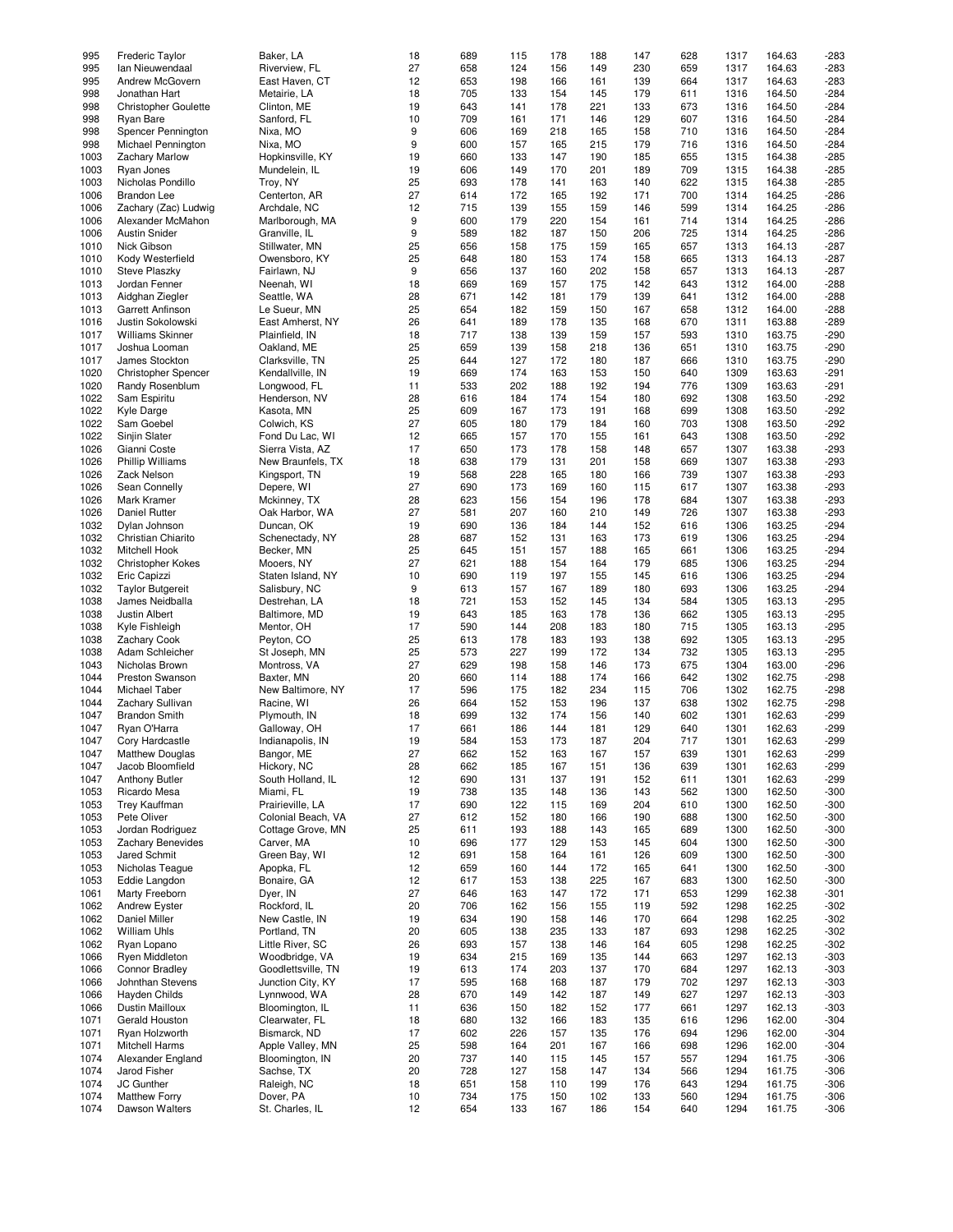| 995  | <b>Frederic Taylor</b>      | Baker, LA          | 18 | 689 | 115 | 178 | 188 | 147 | 628 | 1317 | 164.63 | $-283$ |
|------|-----------------------------|--------------------|----|-----|-----|-----|-----|-----|-----|------|--------|--------|
|      |                             |                    |    |     |     |     |     |     |     |      |        |        |
| 995  | Ian Nieuwendaal             | Riverview, FL      | 27 | 658 | 124 | 156 | 149 | 230 | 659 | 1317 | 164.63 | $-283$ |
| 995  | Andrew McGovern             | East Haven, CT     | 12 | 653 | 198 | 166 | 161 | 139 | 664 | 1317 | 164.63 | $-283$ |
| 998  | Jonathan Hart               | Metairie, LA       | 18 | 705 | 133 | 154 | 145 | 179 | 611 | 1316 | 164.50 | $-284$ |
|      |                             |                    |    |     |     |     |     |     |     |      |        |        |
| 998  | <b>Christopher Goulette</b> | Clinton, ME        | 19 | 643 | 141 | 178 | 221 | 133 | 673 | 1316 | 164.50 | $-284$ |
| 998  | <b>Ryan Bare</b>            | Sanford, FL        | 10 | 709 | 161 | 171 | 146 | 129 | 607 | 1316 | 164.50 | $-284$ |
| 998  | Spencer Pennington          | Nixa, MO           | 9  | 606 | 169 | 218 | 165 | 158 | 710 | 1316 | 164.50 | $-284$ |
| 998  | Michael Pennington          | Nixa, MO           | 9  | 600 | 157 | 165 | 215 | 179 | 716 | 1316 | 164.50 | $-284$ |
|      |                             |                    |    |     |     |     |     |     |     |      |        |        |
| 1003 | <b>Zachary Marlow</b>       | Hopkinsville, KY   | 19 | 660 | 133 | 147 | 190 | 185 | 655 | 1315 | 164.38 | $-285$ |
| 1003 | Ryan Jones                  | Mundelein, IL      | 19 | 606 | 149 | 170 | 201 | 189 | 709 | 1315 | 164.38 | $-285$ |
| 1003 | Nicholas Pondillo           | Troy, NY           | 25 | 693 | 178 | 141 | 163 | 140 | 622 | 1315 | 164.38 | $-285$ |
|      |                             |                    |    |     |     |     |     |     |     |      |        |        |
| 1006 | <b>Brandon Lee</b>          | Centerton, AR      | 27 | 614 | 172 | 165 | 192 | 171 | 700 | 1314 | 164.25 | $-286$ |
| 1006 | Zachary (Zac) Ludwig        | Archdale, NC       | 12 | 715 | 139 | 155 | 159 | 146 | 599 | 1314 | 164.25 | $-286$ |
| 1006 | Alexander McMahon           | Marlborough, MA    | 9  | 600 | 179 | 220 | 154 | 161 | 714 | 1314 | 164.25 | $-286$ |
| 1006 | <b>Austin Snider</b>        | Granville, IL      | 9  | 589 | 182 | 187 | 150 | 206 | 725 | 1314 | 164.25 | $-286$ |
|      |                             |                    |    |     |     |     |     |     |     |      |        |        |
| 1010 | Nick Gibson                 | Stillwater, MN     | 25 | 656 | 158 | 175 | 159 | 165 | 657 | 1313 | 164.13 | $-287$ |
| 1010 | Kody Westerfield            | Owensboro, KY      | 25 | 648 | 180 | 153 | 174 | 158 | 665 | 1313 | 164.13 | $-287$ |
| 1010 | <b>Steve Plaszkv</b>        | Fairlawn, NJ       | 9  | 656 | 137 | 160 | 202 | 158 | 657 | 1313 | 164.13 | $-287$ |
|      |                             |                    |    |     |     |     |     |     |     |      |        |        |
| 1013 | Jordan Fenner               | Neenah, WI         | 18 | 669 | 169 | 157 | 175 | 142 | 643 | 1312 | 164.00 | $-288$ |
| 1013 | Aidghan Ziegler             | Seattle, WA        | 28 | 671 | 142 | 181 | 179 | 139 | 641 | 1312 | 164.00 | $-288$ |
| 1013 | Garrett Anfinson            | Le Sueur, MN       | 25 | 654 | 182 | 159 | 150 | 167 | 658 | 1312 | 164.00 | $-288$ |
| 1016 | Justin Sokolowski           | East Amherst, NY   | 26 | 641 | 189 | 178 | 135 | 168 | 670 | 1311 | 163.88 | $-289$ |
|      |                             |                    |    |     |     |     |     |     |     |      |        |        |
| 1017 | <b>Williams Skinner</b>     | Plainfield, IN     | 18 | 717 | 138 | 139 | 159 | 157 | 593 | 1310 | 163.75 | $-290$ |
| 1017 | Joshua Looman               | Oakland, ME        | 25 | 659 | 139 | 158 | 218 | 136 | 651 | 1310 | 163.75 | $-290$ |
| 1017 | James Stockton              | Clarksville, TN    | 25 | 644 | 127 | 172 | 180 | 187 | 666 | 1310 | 163.75 | $-290$ |
|      |                             |                    |    |     |     |     |     |     |     |      |        |        |
| 1020 | Christopher Spencer         | Kendallville, IN   | 19 | 669 | 174 | 163 | 153 | 150 | 640 | 1309 | 163.63 | $-291$ |
| 1020 | Randy Rosenblum             | Longwood, FL       | 11 | 533 | 202 | 188 | 192 | 194 | 776 | 1309 | 163.63 | $-291$ |
| 1022 | Sam Espiritu                | Henderson, NV      | 28 | 616 | 184 | 174 | 154 | 180 | 692 | 1308 | 163.50 | $-292$ |
| 1022 | <b>Kyle Darge</b>           | Kasota, MN         | 25 | 609 | 167 | 173 | 191 | 168 | 699 | 1308 | 163.50 | $-292$ |
|      |                             |                    |    |     |     |     |     |     |     |      |        |        |
| 1022 | Sam Goebel                  | Colwich, KS        | 27 | 605 | 180 | 179 | 184 | 160 | 703 | 1308 | 163.50 | $-292$ |
| 1022 | Sinjin Slater               | Fond Du Lac, WI    | 12 | 665 | 157 | 170 | 155 | 161 | 643 | 1308 | 163.50 | $-292$ |
| 1026 | Gianni Coste                | Sierra Vista, AZ   | 17 | 650 | 173 | 178 | 158 | 148 | 657 | 1307 | 163.38 | $-293$ |
|      |                             |                    |    |     |     |     |     |     |     |      |        |        |
| 1026 | <b>Phillip Williams</b>     | New Braunfels, TX  | 18 | 638 | 179 | 131 | 201 | 158 | 669 | 1307 | 163.38 | $-293$ |
| 1026 | Zack Nelson                 | Kingsport, TN      | 19 | 568 | 228 | 165 | 180 | 166 | 739 | 1307 | 163.38 | $-293$ |
| 1026 | Sean Connelly               | Depere, WI         | 27 | 690 | 173 | 169 | 160 | 115 | 617 | 1307 | 163.38 | $-293$ |
|      |                             |                    |    |     |     |     |     |     |     |      |        |        |
| 1026 | Mark Kramer                 | Mckinney, TX       | 28 | 623 | 156 | 154 | 196 | 178 | 684 | 1307 | 163.38 | $-293$ |
| 1026 | Daniel Rutter               | Oak Harbor, WA     | 27 | 581 | 207 | 160 | 210 | 149 | 726 | 1307 | 163.38 | $-293$ |
| 1032 | Dylan Johnson               | Duncan, OK         | 19 | 690 | 136 | 184 | 144 | 152 | 616 | 1306 | 163.25 | $-294$ |
| 1032 | Christian Chiarito          | Schenectady, NY    | 28 | 687 | 152 | 131 | 163 | 173 | 619 | 1306 | 163.25 | $-294$ |
|      |                             |                    |    |     |     |     |     |     |     |      |        |        |
| 1032 | Mitchell Hook               | Becker, MN         | 25 | 645 | 151 | 157 | 188 | 165 | 661 | 1306 | 163.25 | $-294$ |
| 1032 | <b>Christopher Kokes</b>    | Mooers, NY         | 27 | 621 | 188 | 154 | 164 | 179 | 685 | 1306 | 163.25 | $-294$ |
| 1032 | Eric Capizzi                | Staten Island, NY  | 10 | 690 | 119 | 197 | 155 | 145 | 616 | 1306 | 163.25 | $-294$ |
|      |                             |                    |    |     |     |     |     |     |     |      |        |        |
| 1032 | <b>Taylor Butgereit</b>     | Salisbury, NC      | 9  | 613 | 157 | 167 | 189 | 180 | 693 | 1306 | 163.25 | $-294$ |
| 1038 | James Neidballa             | Destrehan, LA      | 18 | 721 | 153 | 152 | 145 | 134 | 584 | 1305 | 163.13 | $-295$ |
| 1038 | <b>Justin Albert</b>        | Baltimore, MD      | 19 | 643 | 185 | 163 | 178 | 136 | 662 | 1305 | 163.13 | $-295$ |
|      |                             |                    | 17 | 590 |     | 208 | 183 | 180 | 715 |      |        |        |
| 1038 | Kyle Fishleigh              | Mentor, OH         |    |     | 144 |     |     |     |     | 1305 | 163.13 | $-295$ |
| 1038 | <b>Zachary Cook</b>         | Peyton, CO         | 25 | 613 | 178 | 183 | 193 | 138 | 692 | 1305 | 163.13 | $-295$ |
| 1038 | Adam Schleicher             | St Joseph, MN      | 25 | 573 | 227 | 199 | 172 | 134 | 732 | 1305 | 163.13 | $-295$ |
| 1043 | Nicholas Brown              | Montross, VA       | 27 | 629 | 198 | 158 | 146 | 173 | 675 | 1304 | 163.00 | $-296$ |
|      |                             |                    |    |     |     |     |     |     |     |      |        |        |
| 1044 | <b>Preston Swanson</b>      | Baxter, MN         | 20 | 660 | 114 | 188 | 174 | 166 | 642 | 1302 | 162.75 | $-298$ |
| 1044 | Michael Taber               | New Baltimore, NY  | 17 | 596 | 175 | 182 | 234 | 115 | 706 | 1302 | 162.75 | $-298$ |
| 1044 | Zachary Sullivan            | Racine, WI         | 26 | 664 | 152 | 153 | 196 | 137 | 638 | 1302 | 162.75 | $-298$ |
|      |                             |                    |    |     |     |     |     |     |     |      |        |        |
| 1047 | <b>Brandon Smith</b>        | Plymouth, IN       | 18 | 699 | 132 | 174 | 156 | 140 | 602 | 1301 | 162.63 | $-299$ |
| 1047 | Ryan O'Harra                | Galloway, OH       | 17 | 661 | 186 | 144 | 181 | 129 | 640 | 1301 | 162.63 | $-299$ |
| 1047 | Cory Hardcastle             | Indianapolis, IN   | 19 | 584 | 153 | 173 | 187 | 204 | 717 | 1301 | 162.63 | $-299$ |
| 1047 | <b>Matthew Douglas</b>      | Bangor, ME         | 27 | 662 | 152 | 163 | 167 | 157 | 639 | 1301 | 162.63 | $-299$ |
|      |                             |                    |    |     |     |     |     |     |     |      |        |        |
| 1047 | Jacob Bloomfield            | Hickory, NC        | 28 | 662 | 185 | 167 | 151 | 136 | 639 | 1301 | 162.63 | $-299$ |
| 1047 | <b>Anthony Butler</b>       | South Holland, IL  | 12 | 690 | 131 | 137 | 191 | 152 | 611 | 1301 | 162.63 | $-299$ |
| 1053 | Ricardo Mesa                | Miami, FL          | 19 | 738 | 135 | 148 | 136 | 143 | 562 | 1300 | 162.50 | $-300$ |
| 1053 | <b>Trey Kauffman</b>        | Prairieville, LA   | 17 | 690 | 122 | 115 | 169 | 204 | 610 | 1300 | 162.50 | $-300$ |
|      |                             |                    |    |     |     |     |     |     |     |      |        |        |
| 1053 | Pete Oliver                 | Colonial Beach, VA | 27 | 612 | 152 | 180 | 166 | 190 | 688 | 1300 | 162.50 | $-300$ |
| 1053 | Jordan Rodriguez            | Cottage Grove, MN  | 25 | 611 | 193 | 188 | 143 | 165 | 689 | 1300 | 162.50 | $-300$ |
| 1053 | Zachary Benevides           | Carver, MA         | 10 | 696 | 177 | 129 | 153 | 145 | 604 | 1300 | 162.50 | $-300$ |
| 1053 | <b>Jared Schmit</b>         | Green Bay, WI      | 12 | 691 | 158 | 164 | 161 | 126 | 609 | 1300 | 162.50 | $-300$ |
|      |                             |                    |    |     |     |     |     |     |     |      |        |        |
| 1053 | Nicholas Teague             | Apopka, FL         | 12 | 659 | 160 | 144 | 172 | 165 | 641 | 1300 | 162.50 | $-300$ |
| 1053 | Eddie Langdon               | Bonaire, GA        | 12 | 617 | 153 | 138 | 225 | 167 | 683 | 1300 | 162.50 | $-300$ |
| 1061 | Marty Freeborn              | Dyer, IN           | 27 | 646 | 163 | 147 | 172 | 171 | 653 | 1299 | 162.38 | $-301$ |
|      |                             |                    |    |     |     |     |     |     |     |      |        |        |
| 1062 | <b>Andrew Eyster</b>        | Rockford, IL       | 20 | 706 | 162 | 156 | 155 | 119 | 592 | 1298 | 162.25 | $-302$ |
| 1062 | <b>Daniel Miller</b>        | New Castle, IN     | 19 | 634 | 190 | 158 | 146 | 170 | 664 | 1298 | 162.25 | $-302$ |
| 1062 | William Uhls                | Portland, TN       | 20 | 605 | 138 | 235 | 133 | 187 | 693 | 1298 | 162.25 | $-302$ |
| 1062 | Ryan Lopano                 | Little River, SC   | 26 | 693 | 157 | 138 | 146 | 164 | 605 | 1298 | 162.25 | $-302$ |
|      |                             |                    |    |     |     |     |     |     |     |      |        |        |
| 1066 | <b>Ryen Middleton</b>       | Woodbridge, VA     | 19 | 634 | 215 | 169 | 135 | 144 | 663 | 1297 | 162.13 | $-303$ |
| 1066 | Connor Bradley              | Goodlettsville, TN | 19 | 613 | 174 | 203 | 137 | 170 | 684 | 1297 | 162.13 | $-303$ |
| 1066 | Johnthan Stevens            | Junction City, KY  | 17 | 595 | 168 | 168 | 187 | 179 | 702 | 1297 | 162.13 | $-303$ |
|      |                             |                    |    |     |     |     |     |     |     |      |        |        |
| 1066 | Hayden Childs               | Lynnwood, WA       | 28 | 670 | 149 | 142 | 187 | 149 | 627 | 1297 | 162.13 | $-303$ |
| 1066 | Dustin Mailloux             | Bloomington, IL    | 11 | 636 | 150 | 182 | 152 | 177 | 661 | 1297 | 162.13 | $-303$ |
| 1071 | Gerald Houston              | Clearwater, FL     | 18 | 680 | 132 | 166 | 183 | 135 | 616 | 1296 | 162.00 | $-304$ |
| 1071 | Ryan Holzworth              | Bismarck, ND       | 17 | 602 | 226 | 157 | 135 | 176 | 694 | 1296 | 162.00 | $-304$ |
|      |                             |                    |    |     |     |     |     |     |     |      |        |        |
| 1071 | Mitchell Harms              | Apple Valley, MN   | 25 | 598 | 164 | 201 | 167 | 166 | 698 | 1296 | 162.00 | $-304$ |
| 1074 | Alexander England           | Bloomington, IN    | 20 | 737 | 140 | 115 | 145 | 157 | 557 | 1294 | 161.75 | $-306$ |
| 1074 | Jarod Fisher                | Sachse, TX         | 20 | 728 | 127 | 158 | 147 | 134 | 566 | 1294 | 161.75 | $-306$ |
|      |                             |                    |    |     |     |     |     |     |     |      |        |        |
| 1074 | JC Gunther                  | Raleigh, NC        | 18 | 651 | 158 | 110 | 199 | 176 | 643 | 1294 | 161.75 | $-306$ |
| 1074 | <b>Matthew Forry</b>        | Dover, PA          | 10 | 734 | 175 | 150 | 102 | 133 | 560 | 1294 | 161.75 | $-306$ |
| 1074 | Dawson Walters              | St. Charles, IL    | 12 | 654 | 133 | 167 | 186 | 154 | 640 | 1294 | 161.75 | $-306$ |
|      |                             |                    |    |     |     |     |     |     |     |      |        |        |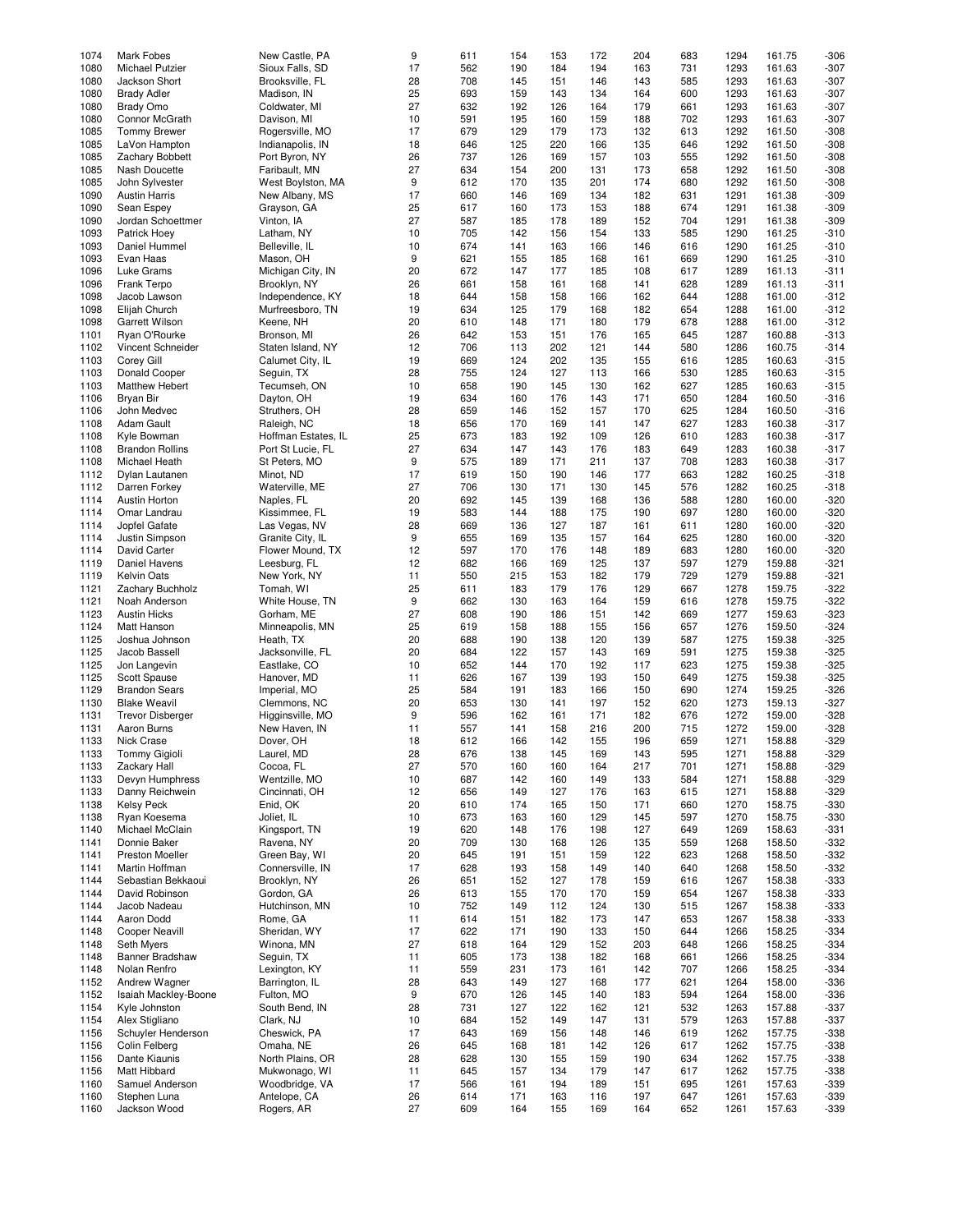| 1074 | Mark Fobes              | New Castle, PA      | 9  | 611 | 154 | 153 | 172 | 204 | 683 | 1294 | 161.75 | $-306$ |
|------|-------------------------|---------------------|----|-----|-----|-----|-----|-----|-----|------|--------|--------|
|      |                         |                     |    |     |     |     |     |     |     |      |        |        |
| 1080 | Michael Putzier         | Sioux Falls, SD     | 17 | 562 | 190 | 184 | 194 | 163 | 731 | 1293 | 161.63 | $-307$ |
| 1080 | Jackson Short           | Brooksville, FL     | 28 | 708 | 145 | 151 | 146 | 143 | 585 | 1293 | 161.63 | $-307$ |
| 1080 | <b>Brady Adler</b>      | Madison, IN         | 25 | 693 | 159 | 143 | 134 | 164 | 600 | 1293 | 161.63 | $-307$ |
|      |                         |                     |    |     |     |     |     |     |     |      |        |        |
| 1080 | <b>Brady Omo</b>        | Coldwater, MI       | 27 | 632 | 192 | 126 | 164 | 179 | 661 | 1293 | 161.63 | $-307$ |
| 1080 | Connor McGrath          | Davison, MI         | 10 | 591 | 195 | 160 | 159 | 188 | 702 | 1293 | 161.63 | $-307$ |
| 1085 | <b>Tommy Brewer</b>     | Rogersville, MO     | 17 | 679 | 129 | 179 | 173 | 132 | 613 | 1292 | 161.50 | $-308$ |
| 1085 |                         | Indianapolis, IN    | 18 |     | 125 | 220 |     |     |     | 1292 | 161.50 | $-308$ |
|      | LaVon Hampton           |                     |    | 646 |     |     | 166 | 135 | 646 |      |        |        |
| 1085 | Zachary Bobbett         | Port Byron, NY      | 26 | 737 | 126 | 169 | 157 | 103 | 555 | 1292 | 161.50 | $-308$ |
| 1085 | Nash Doucette           | Faribault, MN       | 27 | 634 | 154 | 200 | 131 | 173 | 658 | 1292 | 161.50 | $-308$ |
| 1085 | John Sylvester          | West Boylston, MA   | 9  | 612 | 170 | 135 | 201 | 174 | 680 | 1292 | 161.50 | $-308$ |
|      |                         |                     |    |     |     |     |     |     |     |      |        |        |
| 1090 | <b>Austin Harris</b>    | New Albany, MS      | 17 | 660 | 146 | 169 | 134 | 182 | 631 | 1291 | 161.38 | $-309$ |
| 1090 | Sean Espey              | Grayson, GA         | 25 | 617 | 160 | 173 | 153 | 188 | 674 | 1291 | 161.38 | $-309$ |
| 1090 | Jordan Schoettmer       | Vinton, IA          | 27 | 587 | 185 | 178 | 189 | 152 | 704 | 1291 | 161.38 | $-309$ |
|      |                         |                     |    |     |     |     |     |     |     |      |        |        |
| 1093 | Patrick Hoey            | Latham, NY          | 10 | 705 | 142 | 156 | 154 | 133 | 585 | 1290 | 161.25 | $-310$ |
| 1093 | Daniel Hummel           | Belleville, IL      | 10 | 674 | 141 | 163 | 166 | 146 | 616 | 1290 | 161.25 | $-310$ |
| 1093 | Evan Haas               | Mason, OH           | 9  | 621 | 155 | 185 | 168 | 161 | 669 | 1290 | 161.25 | $-310$ |
|      |                         |                     |    |     |     |     |     |     |     |      |        |        |
| 1096 | Luke Grams              | Michigan City, IN   | 20 | 672 | 147 | 177 | 185 | 108 | 617 | 1289 | 161.13 | $-311$ |
| 1096 | Frank Terpo             | Brooklyn, NY        | 26 | 661 | 158 | 161 | 168 | 141 | 628 | 1289 | 161.13 | $-311$ |
| 1098 | Jacob Lawson            | Independence, KY    | 18 | 644 | 158 | 158 | 166 | 162 | 644 | 1288 | 161.00 | $-312$ |
|      |                         |                     |    |     |     |     |     |     |     |      |        |        |
| 1098 | Elijah Church           | Murfreesboro, TN    | 19 | 634 | 125 | 179 | 168 | 182 | 654 | 1288 | 161.00 | $-312$ |
| 1098 | <b>Garrett Wilson</b>   | Keene, NH           | 20 | 610 | 148 | 171 | 180 | 179 | 678 | 1288 | 161.00 | $-312$ |
| 1101 | Ryan O'Rourke           | Bronson, MI         | 26 | 642 | 153 | 151 | 176 | 165 | 645 | 1287 | 160.88 | $-313$ |
| 1102 |                         |                     | 12 | 706 |     | 202 |     | 144 | 580 |      | 160.75 | $-314$ |
|      | Vincent Schneider       | Staten Island, NY   |    |     | 113 |     | 121 |     |     | 1286 |        |        |
| 1103 | Corey Gill              | Calumet City, IL    | 19 | 669 | 124 | 202 | 135 | 155 | 616 | 1285 | 160.63 | $-315$ |
| 1103 | Donald Cooper           | Seguin, TX          | 28 | 755 | 124 | 127 | 113 | 166 | 530 | 1285 | 160.63 | $-315$ |
| 1103 | <b>Matthew Hebert</b>   | Tecumseh, ON        | 10 | 658 | 190 | 145 | 130 | 162 | 627 | 1285 | 160.63 | $-315$ |
|      |                         |                     |    |     |     |     |     |     |     |      |        |        |
| 1106 | Bryan Bir               | Dayton, OH          | 19 | 634 | 160 | 176 | 143 | 171 | 650 | 1284 | 160.50 | $-316$ |
| 1106 | John Medvec             | Struthers, OH       | 28 | 659 | 146 | 152 | 157 | 170 | 625 | 1284 | 160.50 | $-316$ |
| 1108 | Adam Gault              | Raleigh, NC         | 18 | 656 | 170 | 169 | 141 | 147 | 627 | 1283 | 160.38 | $-317$ |
|      |                         |                     |    |     |     |     |     |     |     |      |        |        |
| 1108 | Kvle Bowman             | Hoffman Estates, IL | 25 | 673 | 183 | 192 | 109 | 126 | 610 | 1283 | 160.38 | $-317$ |
| 1108 | <b>Brandon Rollins</b>  | Port St Lucie, FL   | 27 | 634 | 147 | 143 | 176 | 183 | 649 | 1283 | 160.38 | $-317$ |
| 1108 | Michael Heath           | St Peters, MO       | 9  | 575 | 189 | 171 | 211 | 137 | 708 | 1283 | 160.38 | $-317$ |
|      |                         |                     |    |     |     |     |     |     |     |      |        |        |
| 1112 | Dylan Lautanen          | Minot, ND           | 17 | 619 | 150 | 190 | 146 | 177 | 663 | 1282 | 160.25 | $-318$ |
| 1112 | Darren Forkey           | Waterville, ME      | 27 | 706 | 130 | 171 | 130 | 145 | 576 | 1282 | 160.25 | $-318$ |
| 1114 | Austin Horton           | Naples, FL          | 20 | 692 | 145 | 139 | 168 | 136 | 588 | 1280 | 160.00 | $-320$ |
|      |                         |                     |    |     |     |     |     |     |     |      |        |        |
| 1114 | Omar Landrau            | Kissimmee, FL       | 19 | 583 | 144 | 188 | 175 | 190 | 697 | 1280 | 160.00 | $-320$ |
| 1114 | Jopfel Gafate           | Las Vegas, NV       | 28 | 669 | 136 | 127 | 187 | 161 | 611 | 1280 | 160.00 | $-320$ |
| 1114 | Justin Simpson          | Granite City, IL    | 9  | 655 | 169 | 135 | 157 | 164 | 625 | 1280 | 160.00 | $-320$ |
|      |                         |                     |    |     |     |     |     |     |     |      |        |        |
| 1114 | David Carter            | Flower Mound, TX    | 12 | 597 | 170 | 176 | 148 | 189 | 683 | 1280 | 160.00 | $-320$ |
| 1119 | Daniel Havens           | Leesburg, FL        | 12 | 682 | 166 | 169 | 125 | 137 | 597 | 1279 | 159.88 | $-321$ |
| 1119 | <b>Kelvin Oats</b>      | New York, NY        | 11 | 550 | 215 | 153 | 182 | 179 | 729 | 1279 | 159.88 | $-321$ |
|      |                         |                     | 25 |     |     | 179 |     |     | 667 |      | 159.75 |        |
| 1121 | Zachary Buchholz        | Tomah, WI           |    | 611 | 183 |     | 176 | 129 |     | 1278 |        | $-322$ |
| 1121 | Noah Anderson           | White House, TN     | 9  | 662 | 130 | 163 | 164 | 159 | 616 | 1278 | 159.75 | $-322$ |
| 1123 | <b>Austin Hicks</b>     | Gorham, ME          | 27 | 608 | 190 | 186 | 151 | 142 | 669 | 1277 | 159.63 | $-323$ |
|      |                         |                     |    |     |     |     |     |     |     |      |        |        |
| 1124 | Matt Hanson             | Minneapolis, MN     | 25 | 619 | 158 | 188 | 155 | 156 | 657 | 1276 | 159.50 | $-324$ |
| 1125 | Joshua Johnson          | Heath, TX           | 20 | 688 | 190 | 138 | 120 | 139 | 587 | 1275 | 159.38 | $-325$ |
| 1125 | Jacob Bassell           | Jacksonville, FL    | 20 | 684 | 122 | 157 | 143 | 169 | 591 | 1275 | 159.38 | $-325$ |
| 1125 | Jon Langevin            | Eastlake, CO        | 10 | 652 | 144 | 170 | 192 | 117 | 623 | 1275 | 159.38 | $-325$ |
|      |                         |                     |    |     |     |     |     |     |     |      |        |        |
| 1125 | Scott Spause            | Hanover, MD         | 11 | 626 | 167 | 139 | 193 | 150 | 649 | 1275 | 159.38 | $-325$ |
| 1129 | <b>Brandon Sears</b>    | Imperial, MO        | 25 | 584 | 191 | 183 | 166 | 150 | 690 | 1274 | 159.25 | $-326$ |
| 1130 | <b>Blake Weavil</b>     | Clemmons, NC        | 20 | 653 | 130 | 141 | 197 | 152 | 620 | 1273 | 159.13 | $-327$ |
|      |                         |                     |    |     |     |     |     |     |     |      |        |        |
| 1131 | <b>Trevor Disberger</b> | Higginsville, MO    | 9  | 596 | 162 | 161 | 171 | 182 | 676 | 1272 | 159.00 | $-328$ |
| 1131 | Aaron Burns             | New Haven, IN       | 11 | 557 | 141 | 158 | 216 | 200 | 715 | 1272 | 159.00 | $-328$ |
| 1133 | <b>Nick Crase</b>       | Dover, OH           | 18 | 612 | 166 | 142 | 155 | 196 | 659 | 1271 | 158.88 | $-329$ |
|      |                         |                     |    |     |     |     |     |     |     |      |        |        |
| 1133 | Tommy Gigioli           | Laurel, MD          | 28 | 676 | 138 | 145 | 169 | 143 | 595 | 1271 | 158.88 | $-329$ |
| 1133 | Zackary Hall            | Cocoa, FL           | 27 | 570 | 160 | 160 | 164 | 217 | 701 | 1271 | 158.88 | $-329$ |
| 1133 | Devyn Humphress         | Wentzille, MO       | 10 | 687 | 142 | 160 | 149 | 133 | 584 | 1271 | 158.88 | $-329$ |
|      |                         |                     |    |     |     |     |     |     |     |      |        |        |
| 1133 | Danny Reichwein         | Cincinnati, OH      | 12 | 656 | 149 | 127 | 176 | 163 | 615 | 1271 | 158.88 | $-329$ |
| 1138 | <b>Kelsy Peck</b>       | Enid, OK            | 20 | 610 | 174 | 165 | 150 | 171 | 660 | 1270 | 158.75 | $-330$ |
| 1138 | Ryan Koesema            | Joliet, IL          | 10 | 673 | 163 | 160 | 129 | 145 | 597 | 1270 | 158.75 | $-330$ |
| 1140 | Michael McClain         | Kingsport, TN       | 19 | 620 | 148 | 176 | 198 | 127 | 649 | 1269 | 158.63 | $-331$ |
|      |                         |                     |    |     |     |     |     |     |     |      |        |        |
| 1141 | Donnie Baker            | Ravena, NY          | 20 | 709 | 130 | 168 | 126 | 135 | 559 | 1268 | 158.50 | $-332$ |
| 1141 | Preston Moeller         | Green Bay, WI       | 20 | 645 | 191 | 151 | 159 | 122 | 623 | 1268 | 158.50 | $-332$ |
| 1141 | Martin Hoffman          | Connersville, IN    | 17 | 628 | 193 | 158 | 149 | 140 | 640 | 1268 | 158.50 | $-332$ |
|      |                         |                     |    |     |     |     |     |     |     |      |        |        |
| 1144 | Sebastian Bekkaoui      | Brooklyn, NY        | 26 | 651 | 152 | 127 | 178 | 159 | 616 | 1267 | 158.38 | $-333$ |
| 1144 | David Robinson          | Gordon, GA          | 26 | 613 | 155 | 170 | 170 | 159 | 654 | 1267 | 158.38 | $-333$ |
| 1144 | Jacob Nadeau            | Hutchinson, MN      | 10 | 752 | 149 | 112 | 124 | 130 | 515 | 1267 | 158.38 | $-333$ |
|      |                         |                     |    |     |     |     |     |     |     |      |        |        |
| 1144 | Aaron Dodd              | Rome, GA            | 11 | 614 | 151 | 182 | 173 | 147 | 653 | 1267 | 158.38 | -333   |
| 1148 | Cooper Neavill          | Sheridan, WY        | 17 | 622 | 171 | 190 | 133 | 150 | 644 | 1266 | 158.25 | $-334$ |
| 1148 | Seth Myers              | Winona, MN          | 27 | 618 | 164 | 129 | 152 | 203 | 648 | 1266 | 158.25 | $-334$ |
|      |                         |                     |    |     |     |     |     |     |     |      |        |        |
| 1148 | Banner Bradshaw         | Seguin, TX          | 11 | 605 | 173 | 138 | 182 | 168 | 661 | 1266 | 158.25 | $-334$ |
| 1148 | Nolan Renfro            | Lexington, KY       | 11 | 559 | 231 | 173 | 161 | 142 | 707 | 1266 | 158.25 | $-334$ |
| 1152 | Andrew Wagner           | Barrington, IL      | 28 | 643 | 149 | 127 | 168 | 177 | 621 | 1264 | 158.00 | -336   |
|      |                         |                     |    |     |     |     |     |     |     |      |        |        |
| 1152 | Isaiah Mackley-Boone    | Fulton, MO          | 9  | 670 | 126 | 145 | 140 | 183 | 594 | 1264 | 158.00 | $-336$ |
| 1154 | Kyle Johnston           | South Bend, IN      | 28 | 731 | 127 | 122 | 162 | 121 | 532 | 1263 | 157.88 | -337   |
| 1154 | Alex Stigliano          | Clark, NJ           | 10 | 684 | 152 | 149 | 147 | 131 | 579 | 1263 | 157.88 | $-337$ |
|      |                         |                     |    |     |     |     |     |     |     |      |        |        |
| 1156 | Schuyler Henderson      | Cheswick, PA        | 17 | 643 | 169 | 156 | 148 | 146 | 619 | 1262 | 157.75 | $-338$ |
| 1156 | Colin Felberg           | Omaha, NE           | 26 | 645 | 168 | 181 | 142 | 126 | 617 | 1262 | 157.75 | $-338$ |
| 1156 | Dante Kiaunis           | North Plains, OR    | 28 | 628 | 130 | 155 | 159 | 190 | 634 | 1262 | 157.75 | $-338$ |
| 1156 | Matt Hibbard            | Mukwonago, WI       | 11 | 645 | 157 | 134 | 179 | 147 | 617 | 1262 | 157.75 | $-338$ |
|      |                         |                     |    |     |     |     |     |     |     |      |        |        |
| 1160 | Samuel Anderson         | Woodbridge, VA      | 17 | 566 | 161 | 194 | 189 | 151 | 695 | 1261 | 157.63 | $-339$ |
| 1160 | Stephen Luna            | Antelope, CA        | 26 | 614 | 171 | 163 | 116 | 197 | 647 | 1261 | 157.63 | $-339$ |
| 1160 | Jackson Wood            | Rogers, AR          | 27 | 609 | 164 | 155 | 169 | 164 | 652 | 1261 | 157.63 | $-339$ |
|      |                         |                     |    |     |     |     |     |     |     |      |        |        |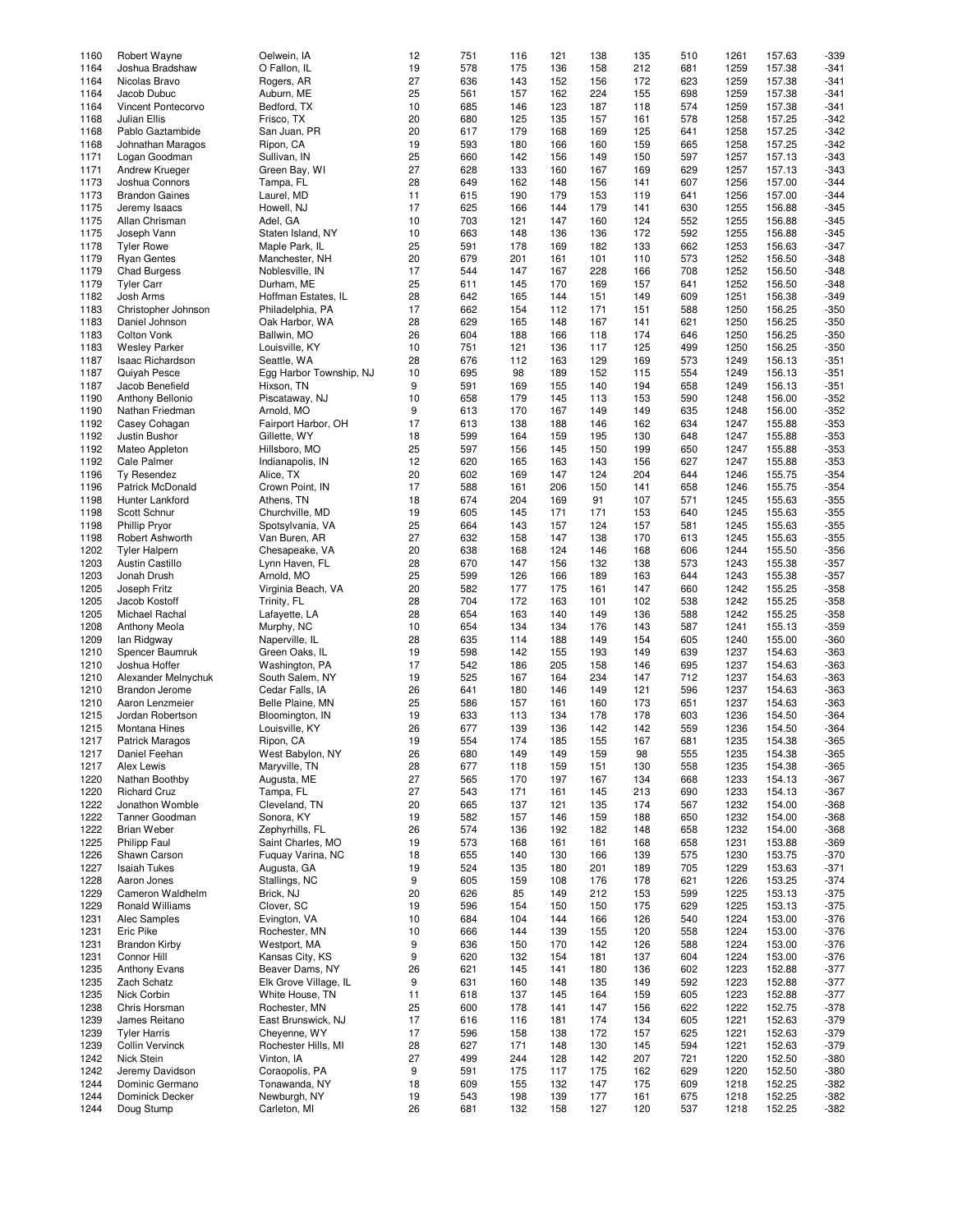| 1160 | Robert Wayne            | Oelwein, IA             | 12 | 751 | 116 | 121 | 138 | 135 | 510 | 1261 | 157.63 | $-339$ |
|------|-------------------------|-------------------------|----|-----|-----|-----|-----|-----|-----|------|--------|--------|
|      |                         |                         |    |     |     |     |     |     |     |      |        |        |
| 1164 | Joshua Bradshaw         | O Fallon, IL            | 19 | 578 | 175 | 136 | 158 | 212 | 681 | 1259 | 157.38 | $-341$ |
| 1164 | Nicolas Bravo           | Rogers, AR              | 27 | 636 | 143 | 152 | 156 | 172 | 623 | 1259 | 157.38 | $-341$ |
|      |                         |                         |    |     |     |     |     |     |     |      |        |        |
| 1164 | Jacob Dubuc             | Auburn, ME              | 25 | 561 | 157 | 162 | 224 | 155 | 698 | 1259 | 157.38 | $-341$ |
| 1164 | Vincent Pontecorvo      | Bedford, TX             | 10 | 685 | 146 | 123 | 187 | 118 | 574 | 1259 | 157.38 | $-341$ |
|      |                         |                         |    |     |     |     |     |     |     |      |        |        |
| 1168 | <b>Julian Ellis</b>     | Frisco, TX              | 20 | 680 | 125 | 135 | 157 | 161 | 578 | 1258 | 157.25 | $-342$ |
| 1168 | Pablo Gaztambide        | San Juan, PR            | 20 | 617 | 179 | 168 | 169 | 125 | 641 | 1258 | 157.25 | $-342$ |
|      |                         |                         |    |     |     |     |     |     |     |      |        |        |
| 1168 | Johnathan Maragos       | Ripon, CA               | 19 | 593 | 180 | 166 | 160 | 159 | 665 | 1258 | 157.25 | $-342$ |
| 1171 | Logan Goodman           | Sullivan, IN            | 25 | 660 | 142 | 156 | 149 | 150 | 597 | 1257 | 157.13 | $-343$ |
|      |                         |                         |    |     |     |     |     |     |     |      |        |        |
| 1171 | Andrew Krueger          | Green Bay, WI           | 27 | 628 | 133 | 160 | 167 | 169 | 629 | 1257 | 157.13 | $-343$ |
| 1173 | Joshua Connors          | Tampa, FL               | 28 | 649 | 162 | 148 | 156 | 141 | 607 | 1256 | 157.00 | $-344$ |
|      |                         |                         |    |     |     |     |     |     |     |      |        |        |
| 1173 | <b>Brandon Gaines</b>   | Laurel, MD              | 11 | 615 | 190 | 179 | 153 | 119 | 641 | 1256 | 157.00 | $-344$ |
| 1175 | Jeremy Isaacs           | Howell, NJ              | 17 | 625 | 166 | 144 | 179 | 141 | 630 | 1255 | 156.88 | $-345$ |
|      |                         |                         |    |     |     |     |     |     |     |      |        |        |
| 1175 | Allan Chrisman          | Adel, GA                | 10 | 703 | 121 | 147 | 160 | 124 | 552 | 1255 | 156.88 | $-345$ |
| 1175 | Joseph Vann             | Staten Island, NY       | 10 | 663 | 148 | 136 | 136 | 172 | 592 | 1255 | 156.88 | $-345$ |
|      |                         |                         |    |     |     |     |     |     |     |      |        |        |
| 1178 | <b>Tyler Rowe</b>       | Maple Park, IL          | 25 | 591 | 178 | 169 | 182 | 133 | 662 | 1253 | 156.63 | $-347$ |
| 1179 | <b>Ryan Gentes</b>      | Manchester, NH          | 20 | 679 | 201 | 161 | 101 | 110 | 573 | 1252 | 156.50 | $-348$ |
|      |                         |                         |    |     |     |     |     |     |     |      |        |        |
| 1179 | <b>Chad Burgess</b>     | Noblesville, IN         | 17 | 544 | 147 | 167 | 228 | 166 | 708 | 1252 | 156.50 | $-348$ |
| 1179 | <b>Tyler Carr</b>       | Durham, ME              | 25 | 611 | 145 | 170 | 169 | 157 | 641 | 1252 | 156.50 | $-348$ |
|      |                         |                         |    |     |     |     |     |     |     |      |        |        |
| 1182 | Josh Arms               | Hoffman Estates, IL     | 28 | 642 | 165 | 144 | 151 | 149 | 609 | 1251 | 156.38 | $-349$ |
| 1183 | Christopher Johnson     | Philadelphia, PA        | 17 | 662 | 154 | 112 | 171 | 151 | 588 | 1250 | 156.25 | $-350$ |
|      |                         |                         |    |     |     |     |     |     |     |      |        |        |
| 1183 | Daniel Johnson          | Oak Harbor, WA          | 28 | 629 | 165 | 148 | 167 | 141 | 621 | 1250 | 156.25 | $-350$ |
| 1183 | Colton Vonk             | Ballwin, MO             | 26 | 604 | 188 | 166 | 118 | 174 | 646 | 1250 | 156.25 | $-350$ |
|      |                         |                         |    |     |     |     |     |     |     |      |        |        |
| 1183 | <b>Wesley Parker</b>    | Louisville, KY          | 10 | 751 | 121 | 136 | 117 | 125 | 499 | 1250 | 156.25 | $-350$ |
| 1187 | <b>Isaac Richardson</b> | Seattle, WA             | 28 | 676 | 112 | 163 | 129 | 169 | 573 | 1249 | 156.13 | $-351$ |
|      |                         |                         |    |     |     |     |     |     |     |      |        |        |
| 1187 | Quiyah Pesce            | Egg Harbor Township, NJ | 10 | 695 | 98  | 189 | 152 | 115 | 554 | 1249 | 156.13 | $-351$ |
| 1187 | Jacob Benefield         | Hixson, TN              | 9  | 591 | 169 | 155 | 140 | 194 | 658 | 1249 | 156.13 | $-351$ |
|      |                         |                         |    |     |     |     |     |     |     |      |        |        |
| 1190 | Anthony Bellonio        | Piscataway, NJ          | 10 | 658 | 179 | 145 | 113 | 153 | 590 | 1248 | 156.00 | $-352$ |
| 1190 | Nathan Friedman         | Arnold, MO              | 9  | 613 | 170 | 167 | 149 | 149 | 635 | 1248 | 156.00 | $-352$ |
|      |                         |                         |    |     |     |     |     |     |     |      |        |        |
| 1192 | Casey Cohagan           | Fairport Harbor, OH     | 17 | 613 | 138 | 188 | 146 | 162 | 634 | 1247 | 155.88 | $-353$ |
| 1192 | Justin Bushor           | Gillette, WY            | 18 | 599 | 164 | 159 | 195 | 130 | 648 | 1247 | 155.88 | $-353$ |
|      |                         |                         |    |     |     |     |     |     |     |      |        |        |
| 1192 | Mateo Appleton          | Hillsboro, MO           | 25 | 597 | 156 | 145 | 150 | 199 | 650 | 1247 | 155.88 | $-353$ |
| 1192 | Cale Palmer             | Indianapolis, IN        | 12 | 620 | 165 | 163 | 143 | 156 | 627 | 1247 | 155.88 | $-353$ |
|      |                         |                         |    |     |     |     |     |     |     |      |        |        |
| 1196 | Ty Resendez             | Alice, TX               | 20 | 602 | 169 | 147 | 124 | 204 | 644 | 1246 | 155.75 | $-354$ |
| 1196 |                         | Crown Point, IN         | 17 | 588 |     | 206 | 150 | 141 |     |      |        | $-354$ |
|      | Patrick McDonald        |                         |    |     | 161 |     |     |     | 658 | 1246 | 155.75 |        |
| 1198 | Hunter Lankford         | Athens, TN              | 18 | 674 | 204 | 169 | 91  | 107 | 571 | 1245 | 155.63 | $-355$ |
| 1198 | Scott Schnur            | Churchville, MD         | 19 | 605 | 145 | 171 | 171 | 153 | 640 | 1245 | 155.63 | $-355$ |
|      |                         |                         |    |     |     |     |     |     |     |      |        |        |
| 1198 | <b>Phillip Pryor</b>    | Spotsylvania, VA        | 25 | 664 | 143 | 157 | 124 | 157 | 581 | 1245 | 155.63 | $-355$ |
| 1198 | Robert Ashworth         | Van Buren, AR           | 27 | 632 | 158 | 147 | 138 | 170 | 613 | 1245 | 155.63 | $-355$ |
|      |                         |                         |    |     |     |     |     |     |     |      |        |        |
| 1202 | <b>Tyler Halpern</b>    | Chesapeake, VA          | 20 | 638 | 168 | 124 | 146 | 168 | 606 | 1244 | 155.50 | $-356$ |
| 1203 | <b>Austin Castillo</b>  | Lynn Haven, FL          | 28 | 670 | 147 | 156 | 132 | 138 | 573 | 1243 | 155.38 | $-357$ |
|      |                         |                         |    |     |     |     |     |     |     |      |        |        |
| 1203 | Jonah Drush             | Arnold, MO              | 25 | 599 | 126 | 166 | 189 | 163 | 644 | 1243 | 155.38 | $-357$ |
| 1205 | Joseph Fritz            | Virginia Beach, VA      | 20 | 582 | 177 | 175 | 161 | 147 | 660 | 1242 | 155.25 | $-358$ |
|      |                         |                         |    |     |     |     |     |     |     |      |        |        |
| 1205 | Jacob Kostoff           | Trinity, FL             | 28 | 704 | 172 | 163 | 101 | 102 | 538 | 1242 | 155.25 | $-358$ |
| 1205 | Michael Rachal          | Lafayette, LA           | 28 | 654 | 163 | 140 | 149 | 136 | 588 | 1242 | 155.25 | $-358$ |
|      |                         |                         |    |     |     |     |     |     |     |      |        |        |
| 1208 | <b>Anthony Meola</b>    | Murphy, NC              | 10 | 654 | 134 | 134 | 176 | 143 | 587 | 1241 | 155.13 | $-359$ |
| 1209 | lan Ridgway             | Naperville, IL          | 28 | 635 | 114 | 188 | 149 | 154 | 605 | 1240 | 155.00 | $-360$ |
|      |                         |                         |    |     |     |     |     |     |     |      |        |        |
| 1210 | Spencer Baumruk         | Green Oaks, IL          | 19 | 598 | 142 | 155 | 193 | 149 | 639 | 1237 | 154.63 | $-363$ |
| 1210 | Joshua Hoffer           | Washington, PA          | 17 | 542 | 186 | 205 | 158 | 146 | 695 | 1237 | 154.63 | $-363$ |
|      |                         |                         |    |     |     |     |     |     |     |      |        |        |
| 1210 | Alexander Melnychuk     | South Salem, NY         | 19 | 525 | 167 | 164 | 234 | 147 | 712 | 1237 | 154.63 | $-363$ |
| 1210 | <b>Brandon Jerome</b>   | Cedar Falls, IA         | 26 | 641 | 180 | 146 | 149 | 121 | 596 | 1237 | 154.63 | $-363$ |
|      |                         |                         |    |     |     |     |     |     |     |      |        |        |
| 1210 | Aaron Lenzmeier         | Belle Plaine, MN        | 25 | 586 | 157 | 161 | 160 | 173 | 651 | 1237 | 154.63 | $-363$ |
| 1215 | Jordan Robertson        | Bloomington, IN         | 19 | 633 | 113 | 134 | 178 | 178 | 603 | 1236 | 154.50 | $-364$ |
|      |                         |                         |    |     |     |     |     |     |     |      |        |        |
| 1215 | Montana Hines           | Louisville, KY          | 26 | 677 | 139 | 136 | 142 | 142 | 559 | 1236 | 154.50 | $-364$ |
| 1217 |                         |                         | 19 | 554 | 174 | 185 | 155 | 167 | 681 | 1235 | 154.38 | $-365$ |
|      | <b>Patrick Maragos</b>  | Ripon, CA               |    |     |     |     |     |     |     |      |        |        |
| 1217 | Daniel Feehan           | West Babylon, NY        | 26 | 680 | 149 | 149 | 159 | 98  | 555 | 1235 | 154.38 | $-365$ |
| 1217 | Alex Lewis              | Maryville, TN           | 28 | 677 | 118 | 159 | 151 | 130 | 558 | 1235 | 154.38 | $-365$ |
|      |                         |                         |    |     |     |     |     |     |     |      |        |        |
| 1220 | Nathan Boothby          | Augusta, ME             | 27 | 565 | 170 | 197 | 167 | 134 | 668 | 1233 | 154.13 | $-367$ |
| 1220 | <b>Richard Cruz</b>     | Tampa, FL               | 27 | 543 | 171 | 161 | 145 | 213 | 690 | 1233 | 154.13 | $-367$ |
|      |                         |                         |    |     |     |     |     |     |     |      |        |        |
| 1222 | Jonathon Womble         | Cleveland, TN           | 20 | 665 | 137 | 121 | 135 | 174 | 567 | 1232 | 154.00 | $-368$ |
| 1222 | Tanner Goodman          | Sonora, KY              | 19 | 582 | 157 | 146 | 159 | 188 | 650 | 1232 | 154.00 | $-368$ |
|      |                         |                         |    |     |     |     |     |     |     |      |        |        |
| 1222 | <b>Brian Weber</b>      | Zephyrhills, FL         | 26 | 574 | 136 | 192 | 182 | 148 | 658 | 1232 | 154.00 | $-368$ |
| 1225 | Philipp Faul            | Saint Charles, MO       | 19 | 573 | 168 | 161 | 161 | 168 | 658 | 1231 | 153.88 | $-369$ |
|      |                         |                         |    |     |     |     |     |     |     |      |        |        |
| 1226 | Shawn Carson            | Fuguay Varina, NC       | 18 | 655 | 140 | 130 | 166 | 139 | 575 | 1230 | 153.75 | $-370$ |
| 1227 | <b>Isaiah Tukes</b>     | Augusta, GA             | 19 | 524 | 135 | 180 | 201 | 189 | 705 | 1229 | 153.63 | $-371$ |
|      |                         |                         |    |     |     |     |     |     |     |      |        |        |
| 1228 | Aaron Jones             | Stallings, NC           | 9  | 605 | 159 | 108 | 176 | 178 | 621 | 1226 | 153.25 | $-374$ |
| 1229 | Cameron Waldhelm        | Brick, NJ               | 20 | 626 | 85  | 149 | 212 | 153 | 599 | 1225 | 153.13 | $-375$ |
|      |                         |                         |    |     |     |     |     |     |     |      |        |        |
| 1229 | Ronald Williams         | Clover, SC              | 19 | 596 | 154 | 150 | 150 | 175 | 629 | 1225 | 153.13 | $-375$ |
| 1231 | Alec Samples            | Evington, VA            | 10 | 684 | 104 | 144 | 166 | 126 | 540 | 1224 | 153.00 | $-376$ |
|      |                         |                         |    |     |     |     |     |     |     |      |        |        |
| 1231 | Eric Pike               | Rochester, MN           | 10 | 666 | 144 | 139 | 155 | 120 | 558 | 1224 | 153.00 | $-376$ |
| 1231 | <b>Brandon Kirby</b>    | Westport, MA            | 9  | 636 | 150 | 170 | 142 | 126 | 588 | 1224 | 153.00 | $-376$ |
|      |                         |                         |    |     |     |     |     |     |     |      |        |        |
| 1231 | Connor Hill             | Kansas City, KS         | 9  | 620 | 132 | 154 | 181 | 137 | 604 | 1224 | 153.00 | $-376$ |
| 1235 | <b>Anthony Evans</b>    | Beaver Dams, NY         | 26 | 621 | 145 | 141 | 180 | 136 | 602 | 1223 | 152.88 | $-377$ |
|      |                         |                         |    |     |     |     |     |     |     |      |        |        |
| 1235 | Zach Schatz             | Elk Grove Village, IL   | 9  | 631 | 160 | 148 | 135 | 149 | 592 | 1223 | 152.88 | $-377$ |
| 1235 | Nick Corbin             | White House, TN         | 11 | 618 | 137 | 145 | 164 | 159 | 605 | 1223 | 152.88 | $-377$ |
|      |                         |                         |    |     |     |     |     |     |     |      |        |        |
| 1238 | Chris Horsman           | Rochester, MN           | 25 | 600 | 178 | 141 | 147 | 156 | 622 | 1222 | 152.75 | $-378$ |
| 1239 | James Reitano           | East Brunswick, NJ      | 17 | 616 | 116 | 181 | 174 | 134 | 605 | 1221 | 152.63 | $-379$ |
|      |                         |                         |    |     |     |     |     |     |     |      |        |        |
| 1239 | <b>Tyler Harris</b>     | Cheyenne, WY            | 17 | 596 | 158 | 138 | 172 | 157 | 625 | 1221 | 152.63 | $-379$ |
| 1239 | <b>Collin Vervinck</b>  | Rochester Hills, MI     | 28 | 627 | 171 | 148 | 130 | 145 | 594 | 1221 | 152.63 | $-379$ |
|      |                         |                         |    |     |     |     |     |     |     |      |        |        |
| 1242 | Nick Stein              | Vinton, IA              | 27 | 499 | 244 | 128 | 142 | 207 | 721 | 1220 | 152.50 | $-380$ |
| 1242 | Jeremy Davidson         | Coraopolis, PA          | 9  | 591 | 175 | 117 | 175 | 162 | 629 | 1220 | 152.50 | $-380$ |
|      |                         |                         |    |     |     |     |     |     |     |      |        |        |
| 1244 | Dominic Germano         | Tonawanda, NY           | 18 | 609 | 155 | 132 | 147 | 175 | 609 | 1218 | 152.25 | $-382$ |
| 1244 | Dominick Decker         | Newburgh, NY            | 19 | 543 | 198 | 139 | 177 | 161 | 675 | 1218 | 152.25 | $-382$ |
|      |                         |                         |    |     |     |     |     |     |     |      |        |        |
| 1244 | Doug Stump              | Carleton, MI            | 26 | 681 | 132 | 158 | 127 | 120 | 537 | 1218 | 152.25 | $-382$ |
|      |                         |                         |    |     |     |     |     |     |     |      |        |        |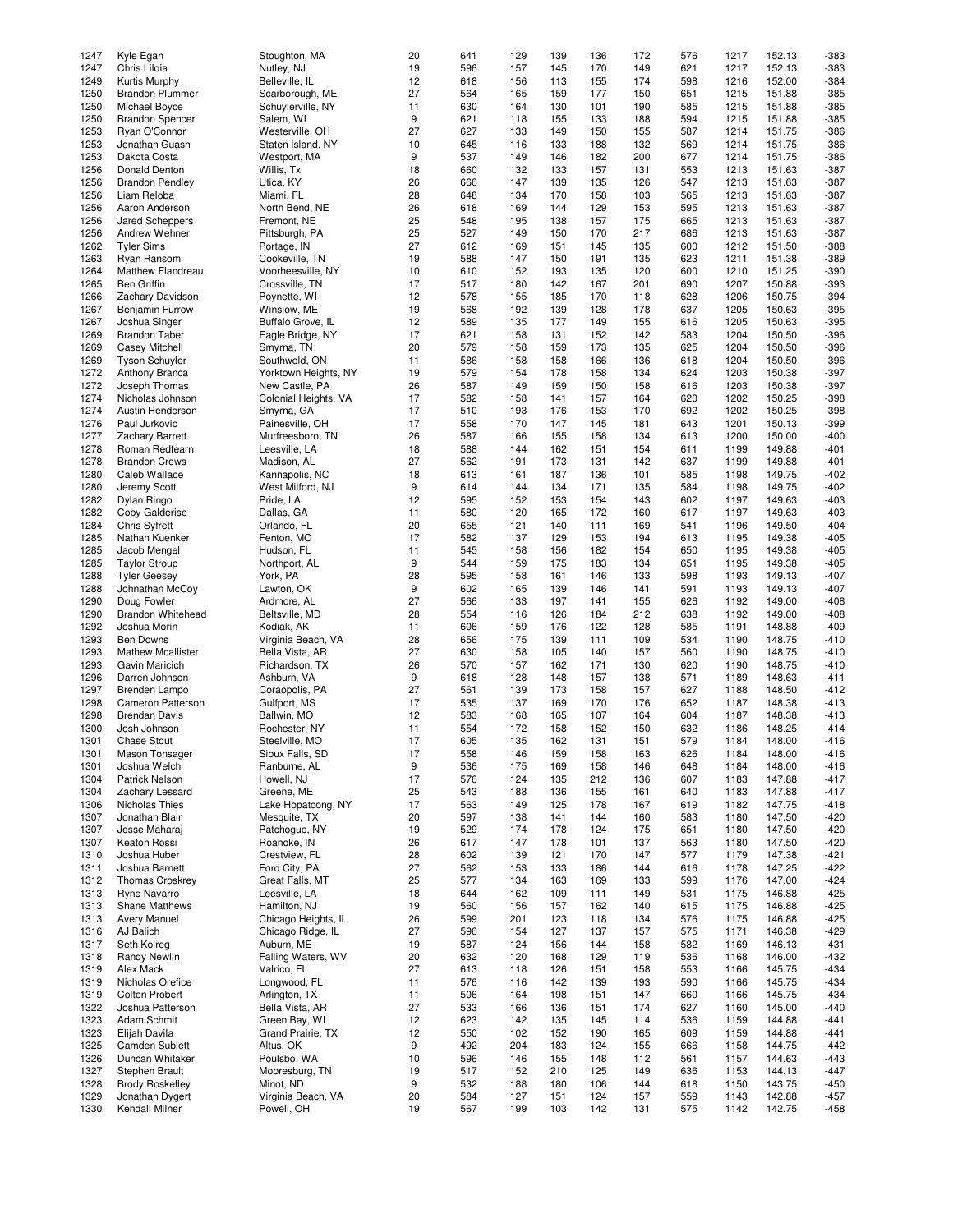| 1247         | Kyle Egan                         | Stoughton, MA                    | 20       | 641        | 129        | 139        | 136        | 172        | 576        | 1217         | 152.13           | $-383$           |
|--------------|-----------------------------------|----------------------------------|----------|------------|------------|------------|------------|------------|------------|--------------|------------------|------------------|
|              |                                   |                                  |          |            |            |            |            |            |            |              |                  |                  |
| 1247         | Chris Liloia                      | Nutley, NJ                       | 19       | 596        | 157        | 145        | 170        | 149        | 621        | 1217         | 152.13           | $-383$           |
| 1249         | Kurtis Murphy                     | Belleville, IL                   | 12       | 618        | 156        | 113        | 155        | 174        | 598        | 1216         | 152.00           | $-384$           |
| 1250         | <b>Brandon Plummer</b>            | Scarborough, ME                  | 27       | 564        | 165        | 159        | 177        | 150        | 651        | 1215         | 151.88           | $-385$           |
|              |                                   |                                  |          |            |            |            |            |            |            |              |                  |                  |
| 1250         | Michael Boyce                     | Schuylerville, NY                | 11       | 630        | 164        | 130        | 101        | 190        | 585        | 1215         | 151.88           | $-385$           |
| 1250         | <b>Brandon Spencer</b>            | Salem, WI                        | 9        | 621        | 118        | 155        | 133        | 188        | 594        | 1215         | 151.88           | $-385$           |
| 1253         | Ryan O'Connor                     | Westerville, OH                  | 27       | 627        | 133        | 149        | 150        | 155        | 587        | 1214         | 151.75           | $-386$           |
| 1253         | Jonathan Guash                    | Staten Island, NY                | 10       | 645        | 116        | 133        | 188        | 132        | 569        | 1214         | 151.75           | $-386$           |
|              |                                   |                                  |          |            |            |            |            |            |            |              |                  |                  |
| 1253         | Dakota Costa                      | Westport, MA                     | 9        | 537        | 149        | 146        | 182        | 200        | 677        | 1214         | 151.75           | $-386$           |
| 1256         | Donald Denton                     | Willis, Tx                       | 18       | 660        | 132        | 133        | 157        | 131        | 553        | 1213         | 151.63           | $-387$           |
| 1256         | <b>Brandon Pendley</b>            | Utica, KY                        | 26       | 666        | 147        | 139        | 135        | 126        | 547        | 1213         | 151.63           | $-387$           |
|              |                                   |                                  |          |            |            |            |            |            |            |              |                  |                  |
| 1256         | Liam Reloba                       | Miami, FL                        | 28       | 648        | 134        | 170        | 158        | 103        | 565        | 1213         | 151.63           | $-387$           |
| 1256         | Aaron Anderson                    | North Bend, NE                   | 26       | 618        | 169        | 144        | 129        | 153        | 595        | 1213         | 151.63           | $-387$           |
| 1256         | Jared Scheppers                   | Fremont, NE                      | 25       | 548        | 195        | 138        | 157        | 175        | 665        | 1213         | 151.63           | $-387$           |
| 1256         | Andrew Wehner                     | Pittsburgh, PA                   | 25       | 527        | 149        | 150        | 170        | 217        | 686        | 1213         | 151.63           | $-387$           |
|              |                                   |                                  |          |            |            |            |            |            |            |              |                  |                  |
| 1262         | <b>Tyler Sims</b>                 | Portage, IN                      | 27       | 612        | 169        | 151        | 145        | 135        | 600        | 1212         | 151.50           | $-388$           |
| 1263         | Ryan Ransom                       | Cookeville, TN                   | 19       | 588        | 147        | 150        | 191        | 135        | 623        | 1211         | 151.38           | $-389$           |
| 1264         | Matthew Flandreau                 | Voorheesville, NY                | 10       | 610        | 152        | 193        | 135        | 120        | 600        | 1210         | 151.25           | $-390$           |
|              |                                   |                                  |          |            |            |            |            |            |            |              |                  |                  |
| 1265         | <b>Ben Griffin</b>                | Crossville, TN                   | 17       | 517        | 180        | 142        | 167        | 201        | 690        | 1207         | 150.88           | $-393$           |
| 1266         | Zachary Davidson                  | Poynette, WI                     | 12       | 578        | 155        | 185        | 170        | 118        | 628        | 1206         | 150.75           | $-394$           |
| 1267         | <b>Benjamin Furrow</b>            | Winslow, ME                      | 19       | 568        | 192        | 139        | 128        | 178        | 637        | 1205         | 150.63           | $-395$           |
|              |                                   |                                  | 12       | 589        |            |            | 149        |            |            |              | 150.63           | $-395$           |
| 1267         | Joshua Singer                     | Buffalo Grove, IL                |          |            | 135        | 177        |            | 155        | 616        | 1205         |                  |                  |
| 1269         | <b>Brandon Taber</b>              | Eagle Bridge, NY                 | 17       | 621        | 158        | 131        | 152        | 142        | 583        | 1204         | 150.50           | $-396$           |
| 1269         | Casey Mitchell                    | Smyrna, TN                       | 20       | 579        | 158        | 159        | 173        | 135        | 625        | 1204         | 150.50           | $-396$           |
| 1269         | <b>Tyson Schuyler</b>             | Southwold, ON                    | 11       | 586        | 158        | 158        | 166        | 136        | 618        | 1204         | 150.50           | $-396$           |
|              |                                   |                                  |          |            |            |            |            |            |            |              |                  |                  |
| 1272         | Anthony Branca                    | Yorktown Heights, NY             | 19       | 579        | 154        | 178        | 158        | 134        | 624        | 1203         | 150.38           | $-397$           |
| 1272         | Joseph Thomas                     | New Castle, PA                   | 26       | 587        | 149        | 159        | 150        | 158        | 616        | 1203         | 150.38           | $-397$           |
| 1274         | Nicholas Johnson                  | Colonial Heights, VA             | 17       | 582        | 158        | 141        | 157        | 164        | 620        | 1202         | 150.25           | $-398$           |
|              |                                   |                                  |          | 510        |            |            |            |            |            |              |                  |                  |
| 1274         | Austin Henderson                  | Smyrna, GA                       | 17       |            | 193        | 176        | 153        | 170        | 692        | 1202         | 150.25           | $-398$           |
| 1276         | Paul Jurkovic                     | Painesville, OH                  | 17       | 558        | 170        | 147        | 145        | 181        | 643        | 1201         | 150.13           | $-399$           |
| 1277         | Zachary Barrett                   | Murfreesboro, TN                 | 26       | 587        | 166        | 155        | 158        | 134        | 613        | 1200         | 150.00           | $-400$           |
| 1278         | Roman Redfearn                    | Leesville, LA                    | 18       | 588        | 144        | 162        | 151        | 154        | 611        | 1199         | 149.88           | $-401$           |
|              |                                   |                                  |          |            |            |            |            |            |            |              |                  |                  |
| 1278         | <b>Brandon Crews</b>              | Madison, AL                      | 27       | 562        | 191        | 173        | 131        | 142        | 637        | 1199         | 149.88           | $-401$           |
| 1280         | Caleb Wallace                     | Kannapolis, NC                   | 18       | 613        | 161        | 187        | 136        | 101        | 585        | 1198         | 149.75           | $-402$           |
| 1280         | Jeremy Scott                      | West Milford, NJ                 | 9        | 614        | 144        | 134        | 171        | 135        | 584        | 1198         | 149.75           | $-402$           |
|              |                                   |                                  |          |            |            |            |            |            |            |              |                  |                  |
| 1282         | Dylan Ringo                       | Pride, LA                        | 12       | 595        | 152        | 153        | 154        | 143        | 602        | 1197         | 149.63           | $-403$           |
| 1282         | Coby Galderise                    | Dallas, GA                       | 11       | 580        | 120        | 165        | 172        | 160        | 617        | 1197         | 149.63           | $-403$           |
| 1284         | <b>Chris Syfrett</b>              | Orlando, FL                      | 20       | 655        | 121        | 140        | 111        | 169        | 541        | 1196         | 149.50           | $-404$           |
| 1285         | Nathan Kuenker                    | Fenton, MO                       | 17       | 582        | 137        | 129        | 153        | 194        | 613        | 1195         | 149.38           | $-405$           |
|              |                                   |                                  |          |            |            |            |            |            |            |              |                  |                  |
| 1285         | Jacob Mengel                      | Hudson, FL                       | 11       | 545        | 158        | 156        | 182        | 154        | 650        | 1195         | 149.38           | $-405$           |
| 1285         | <b>Taylor Stroup</b>              | Northport, AL                    | 9        | 544        | 159        | 175        | 183        | 134        | 651        | 1195         | 149.38           | $-405$           |
| 1288         | <b>Tyler Geesey</b>               | York, PA                         | 28       | 595        | 158        | 161        | 146        | 133        | 598        | 1193         | 149.13           | $-407$           |
|              |                                   |                                  |          |            |            |            |            |            |            |              |                  |                  |
| 1288         | Johnathan McCoy                   | Lawton, OK                       | 9        | 602        | 165        | 139        | 146        | 141        | 591        | 1193         | 149.13           | $-407$           |
| 1290         | Doug Fowler                       | Ardmore, AL                      | 27       | 566        | 133        | 197        | 141        | 155        | 626        | 1192         | 149.00           | $-408$           |
| 1290         | <b>Brandon Whitehead</b>          | Beltsville, MD                   | 28       | 554        | 116        | 126        | 184        | 212        | 638        | 1192         | 149.00           | $-408$           |
| 1292         | Joshua Morin                      |                                  | 11       | 606        | 159        | 176        | 122        | 128        | 585        | 1191         | 148.88           | $-409$           |
|              |                                   | Kodiak, AK                       |          |            |            |            |            |            |            |              |                  |                  |
| 1293         | <b>Ben Downs</b>                  | Virginia Beach, VA               | 28       | 656        | 175        | 139        | 111        | 109        | 534        | 1190         | 148.75           | $-410$           |
| 1293         | <b>Mathew Mcallister</b>          | Bella Vista, AR                  | 27       | 630        | 158        | 105        | 140        | 157        | 560        | 1190         | 148.75           | $-410$           |
| 1293         | Gavin Maricich                    | Richardson, TX                   | 26       | 570        | 157        | 162        | 171        | 130        | 620        | 1190         | 148.75           | $-410$           |
|              |                                   |                                  |          |            |            |            |            |            |            |              |                  |                  |
| 1296         | Darren Johnson                    | Ashburn, VA                      | 9        | 618        | 128        | 148        | 157        | 138        | 571        | 1189         | 148.63           | $-411$           |
| 1297         | Brenden Lampo                     | Coraopolis, PA                   | 27       | 561        | 139        | 173        | 158        | 157        | 627        | 1188         | 148.50           | $-412$           |
| 1298         | Cameron Patterson                 | Gulfport, MS                     | 17       | 535        | 137        | 169        | 170        | 176        | 652        | 1187         | 148.38           | $-413$           |
| 1298         |                                   | Ballwin, MO                      | 12       | 583        | 168        |            | 107        | 164        | 604        | 1187         | 148.38           | $-413$           |
|              | <b>Brendan Davis</b>              |                                  |          |            |            | 165        |            |            |            |              |                  |                  |
| 1300         | Josh Johnson                      | Rochester, NY                    | 11       | 554        | 172        | 158        | 152        | 150        | 632        | 1186         | 148.25           | $-414$           |
| 1301         | Chase Stout                       | Steelville, MO                   | 17       | 605        | 135        | 162        | 131        | 151        | 579        | 1184         | 148.00           | $-416$           |
| 1301         | Mason Tonsager                    | Sioux Falls, SD                  | 17       | 558        | 146        | 159        | 158        | 163        | 626        | 1184         | 148.00           | $-416$           |
|              |                                   |                                  |          |            |            |            |            |            |            |              |                  |                  |
| 1301         | Joshua Welch                      | Ranburne, AL                     | 9        | 536        | 175        | 169        | 158        | 146        | 648        | 1184         | 148.00           | $-416$           |
| 1304         | <b>Patrick Nelson</b>             | Howell, NJ                       | 17       | 576        | 124        | 135        | 212        | 136        | 607        | 1183         | 147.88           | -417             |
| 1304         | Zachary Lessard                   | Greene, ME                       | 25       | 543        | 188        | 136        | 155        | 161        | 640        | 1183         | 147.88           | $-417$           |
| 1306         | Nicholas Thies                    | Lake Hopatcong, NY               | 17       | 563        | 149        | 125        | 178        | 167        | 619        | 1182         | 147.75           | $-418$           |
|              |                                   |                                  |          |            |            |            |            |            |            |              |                  |                  |
| 1307         | Jonathan Blair                    | Mesquite, TX                     | 20       | 597        | 138        | 141        | 144        | 160        | 583        | 1180         | 147.50           | -420             |
| 1307         | Jesse Maharaj                     | Patchogue, NY                    | 19       | 529        | 174        | 178        | 124        | 175        | 651        | 1180         | 147.50           | $-420$           |
| 1307         | Keaton Rossi                      | Roanoke, IN                      | 26       | 617        | 147        | 178        | 101        | 137        | 563        | 1180         | 147.50           | $-420$           |
| 1310         | Joshua Huber                      | Crestview, FL                    | 28       | 602        | 139        | 121        | 170        | 147        | 577        | 1179         | 147.38           | $-421$           |
|              |                                   |                                  |          |            |            |            |            |            |            |              |                  |                  |
| 1311         | Joshua Barnett                    | Ford City, PA                    | 27       | 562        | 153        | 133        | 186        | 144        | 616        | 1178         | 147.25           | $-422$           |
| 1312         | <b>Thomas Croskrey</b>            | Great Falls, MT                  | 25       | 577        | 134        | 163        | 169        | 133        | 599        | 1176         | 147.00           | $-424$           |
| 1313         | Ryne Navarro                      | Leesville, LA                    | 18       | 644        | 162        | 109        | 111        | 149        | 531        | 1175         | 146.88           | $-425$           |
| 1313         | Shane Matthews                    | Hamilton, NJ                     | 19       | 560        | 156        | 157        | 162        | 140        | 615        | 1175         | 146.88           | -425             |
|              |                                   |                                  |          |            |            |            |            |            |            |              |                  |                  |
| 1313         | <b>Avery Manuel</b>               | Chicago Heights, IL              | 26       | 599        | 201        | 123        | 118        | 134        | 576        | 1175         | 146.88           | $-425$           |
| 1316         | AJ Balich                         | Chicago Ridge, IL                | 27       | 596        | 154        | 127        | 137        | 157        | 575        | 1171         | 146.38           | -429             |
| 1317         | Seth Kolreg                       | Auburn, ME                       | 19       | 587        | 124        | 156        | 144        | 158        | 582        | 1169         | 146.13           | -431             |
|              |                                   |                                  |          |            |            |            |            |            |            |              |                  |                  |
| 1318         | Randy Newlin                      | Falling Waters, WV               | 20       | 632        | 120        | 168        | 129        | 119        | 536        | 1168         | 146.00           | -432             |
| 1319         | Alex Mack                         | Valrico, FL                      | 27       | 613        | 118        | 126        | 151        | 158        | 553        | 1166         | 145.75           | -434             |
| 1319         | Nicholas Orefice                  | Longwood, FL                     | 11       | 576        | 116        | 142        | 139        | 193        | 590        | 1166         | 145.75           | -434             |
|              |                                   |                                  |          |            |            |            |            |            |            |              |                  |                  |
| 1319         | <b>Colton Probert</b>             | Arlington, TX                    | 11       | 506        | 164        | 198        | 151        | 147        | 660        | 1166         | 145.75           | $-434$           |
| 1322         | Joshua Patterson                  | Bella Vista, AR                  | 27       | 533        | 166        | 136        | 151        | 174        | 627        | 1160         | 145.00           | $-440$           |
| 1323         | Adam Schmit                       | Green Bay, WI                    | 12       | 623        | 142        | 135        | 145        | 114        | 536        | 1159         | 144.88           | $-441$           |
| 1323         |                                   | Grand Prairie, TX                | 12       | 550        | 102        | 152        | 190        | 165        | 609        | 1159         | 144.88           | $-441$           |
|              |                                   |                                  |          |            |            |            |            |            |            |              |                  |                  |
|              | Elijah Davila                     |                                  |          |            |            |            |            |            |            |              |                  |                  |
| 1325         | Camden Sublett                    | Altus, OK                        | 9        | 492        | 204        | 183        | 124        | 155        | 666        | 1158         | 144.75           | -442             |
| 1326         | Duncan Whitaker                   | Poulsbo, WA                      | 10       | 596        | 146        | 155        | 148        | 112        | 561        | 1157         | 144.63           | -443             |
|              |                                   |                                  |          |            |            |            |            |            |            |              |                  |                  |
| 1327         | Stephen Brault                    | Mooresburg, TN                   | 19       | 517        | 152        | 210        | 125        | 149        | 636        | 1153         | 144.13           | -447             |
| 1328         | <b>Brody Roskelley</b>            | Minot, ND                        | 9        | 532        | 188        | 180        | 106        | 144        | 618        | 1150         | 143.75           | -450             |
| 1329<br>1330 | Jonathan Dygert<br>Kendall Milner | Virginia Beach, VA<br>Powell, OH | 20<br>19 | 584<br>567 | 127<br>199 | 151<br>103 | 124<br>142 | 157<br>131 | 559<br>575 | 1143<br>1142 | 142.88<br>142.75 | $-457$<br>$-458$ |